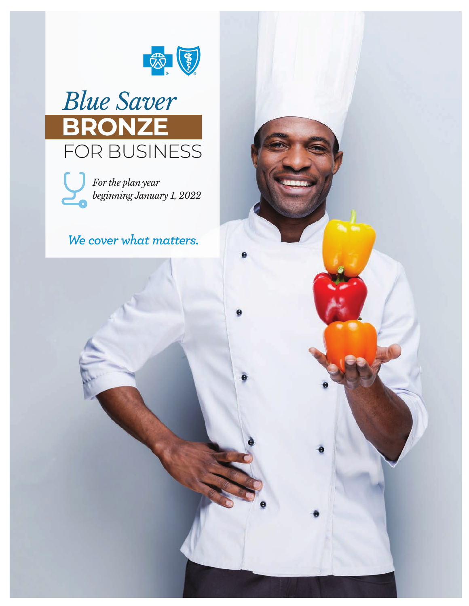





# *We cover what matters.*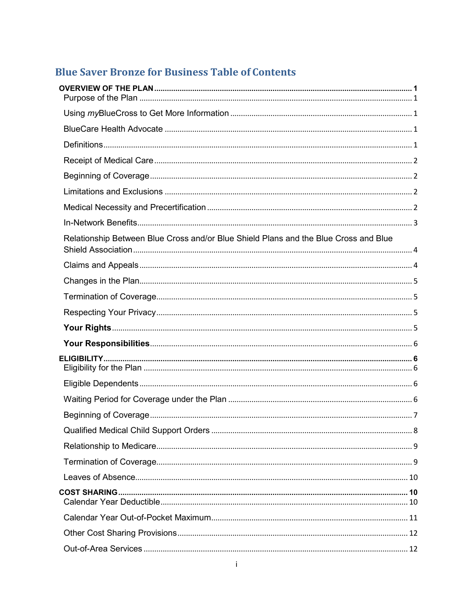# **Blue Saver Bronze for Business Table of Contents**

| Relationship Between Blue Cross and/or Blue Shield Plans and the Blue Cross and Blue |  |
|--------------------------------------------------------------------------------------|--|
|                                                                                      |  |
|                                                                                      |  |
|                                                                                      |  |
|                                                                                      |  |
|                                                                                      |  |
|                                                                                      |  |
|                                                                                      |  |
|                                                                                      |  |
|                                                                                      |  |
|                                                                                      |  |
|                                                                                      |  |
|                                                                                      |  |
|                                                                                      |  |
|                                                                                      |  |
|                                                                                      |  |
|                                                                                      |  |
|                                                                                      |  |
|                                                                                      |  |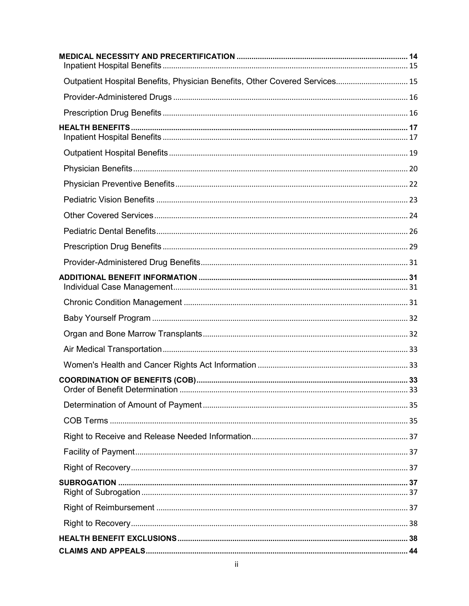| Outpatient Hospital Benefits, Physician Benefits, Other Covered Services 15 |  |
|-----------------------------------------------------------------------------|--|
|                                                                             |  |
|                                                                             |  |
|                                                                             |  |
|                                                                             |  |
|                                                                             |  |
|                                                                             |  |
|                                                                             |  |
|                                                                             |  |
|                                                                             |  |
|                                                                             |  |
|                                                                             |  |
|                                                                             |  |
|                                                                             |  |
|                                                                             |  |
|                                                                             |  |
|                                                                             |  |
|                                                                             |  |
|                                                                             |  |
|                                                                             |  |
|                                                                             |  |
|                                                                             |  |
|                                                                             |  |
|                                                                             |  |
|                                                                             |  |
|                                                                             |  |
|                                                                             |  |
|                                                                             |  |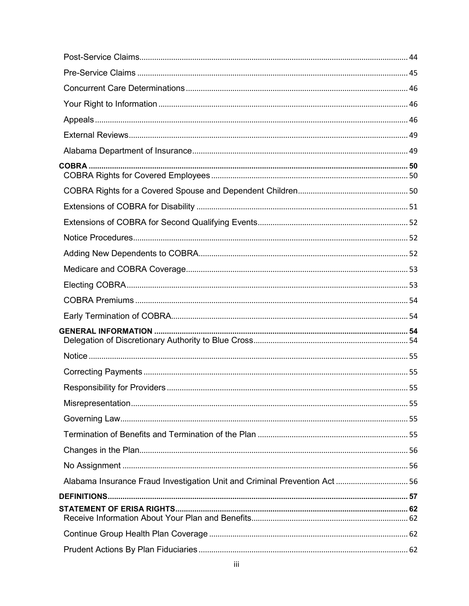| Alabama Insurance Fraud Investigation Unit and Criminal Prevention Act 56 |  |
|---------------------------------------------------------------------------|--|
|                                                                           |  |
|                                                                           |  |
|                                                                           |  |
|                                                                           |  |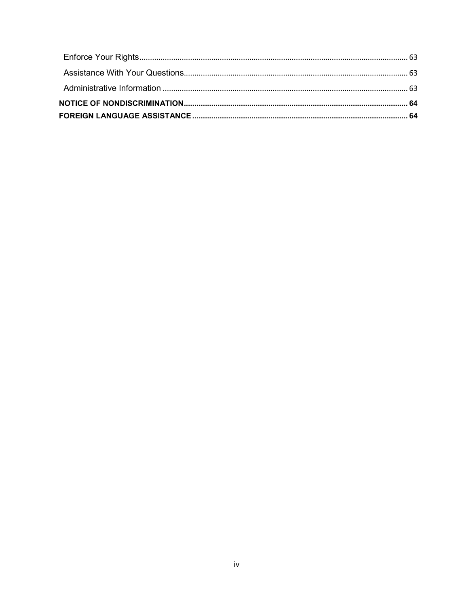<span id="page-4-0"></span>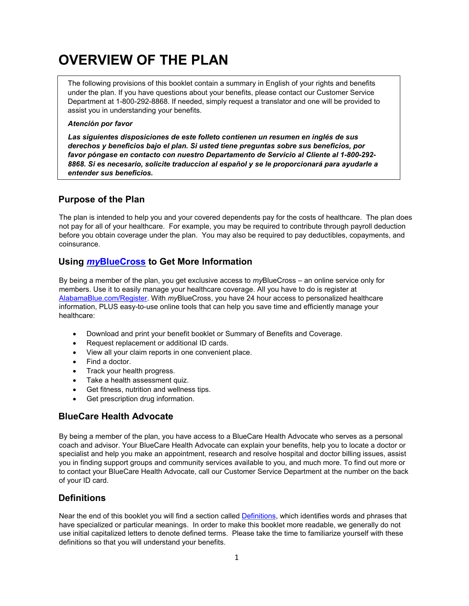# <span id="page-5-0"></span>**OVERVIEW OF THE PLAN**

The following provisions of this booklet contain a summary in English of your rights and benefits under the plan. If you have questions about your benefits, please contact our Customer Service Department at 1-800-292-8868. If needed, simply request a translator and one will be provided to assist you in understanding your benefits.

#### *Atención por favor*

*Las siguientes disposiciones de este folleto contienen un resumen en inglés de sus derechos y beneficios bajo el plan. Si usted tiene preguntas sobre sus beneficios, por favor póngase en contacto con nuestro Departamento de Servicio al Cliente al 1-800-292- 8868. Si es necesario, solicite traduccion al español y se le proporcionará para ayudarle a entender sus beneficios.*

## <span id="page-5-1"></span>**Purpose of the Plan**

The plan is intended to help you and your covered dependents pay for the costs of healthcare. The plan does not pay for all of your healthcare. For example, you may be required to contribute through payroll deduction before you obtain coverage under the plan. You may also be required to pay deductibles, copayments, and coinsurance.

## <span id="page-5-2"></span>**Using** *my***[BlueCross](https://www.bcbsal.org/webapps/customeraccess/custsecurity/cust_login.jsp?targetUrl=%2Fwebapps%2Fcustomeraccess%2FDispatch%3Fapplication%3Dorg.bcbsal.inet.customermgmt.CustomerAppListApplication) to Get More Information**

By being a member of the plan, you get exclusive access to *my*BlueCross – an online service only for members. Use it to easily manage your healthcare coverage. All you have to do is register at [AlabamaBlue.com/Register.](https://www.bcbsal.org/webapps/customeraccess/Dispatch?application=org.bcbsal.inet.customermgmt.CustomerSelfRegistrationApplication) With *my*BlueCross, you have 24 hour access to personalized healthcare information, PLUS easy-to-use online tools that can help you save time and efficiently manage your healthcare:

- Download and print your benefit booklet or Summary of Benefits and Coverage.
- Request replacement or additional ID cards.
- View all your claim reports in one convenient place.
- Find a doctor.
- Track your health progress.
- Take a health assessment quiz.
- Get fitness, nutrition and wellness tips.
- Get prescription drug information.

## <span id="page-5-3"></span>**BlueCare Health Advocate**

By being a member of the plan, you have access to a BlueCare Health Advocate who serves as a personal coach and advisor. Your BlueCare Health Advocate can explain your benefits, help you to locate a doctor or specialist and help you make an appointment, research and resolve hospital and doctor billing issues, assist you in finding support groups and community services available to you, and much more. To find out more or to contact your BlueCare Health Advocate, call our Customer Service Department at the number on the back of your ID card.

## <span id="page-5-4"></span>**Definitions**

Near the end of this booklet you will find a section called **Definitions**, which identifies words and phrases that have specialized or particular meanings. In order to make this booklet more readable, we generally do not use initial capitalized letters to denote defined terms. Please take the time to familiarize yourself with these definitions so that you will understand your benefits.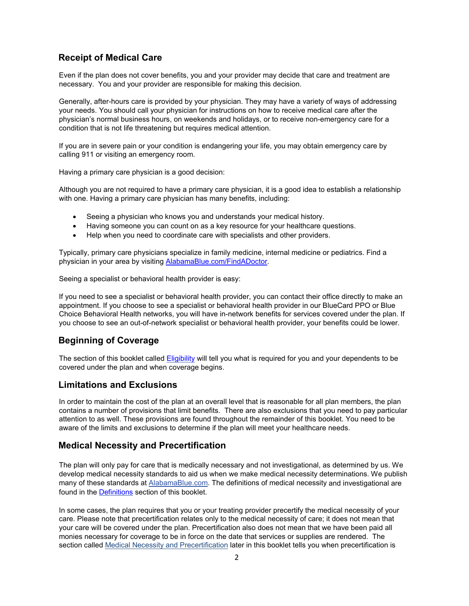## <span id="page-6-0"></span>**Receipt of Medical Care**

Even if the plan does not cover benefits, you and your provider may decide that care and treatment are necessary. You and your provider are responsible for making this decision.

Generally, after-hours care is provided by your physician. They may have a variety of ways of addressing your needs. You should call your physician for instructions on how to receive medical care after the physician's normal business hours, on weekends and holidays, or to receive non-emergency care for a condition that is not life threatening but requires medical attention.

If you are in severe pain or your condition is endangering your life, you may obtain emergency care by calling 911 or visiting an emergency room.

Having a primary care physician is a good decision:

Although you are not required to have a primary care physician, it is a good idea to establish a relationship with one. Having a primary care physician has many benefits, including:

- Seeing a physician who knows you and understands your medical history.
- Having someone you can count on as a key resource for your healthcare questions.
- Help when you need to coordinate care with specialists and other providers.

Typically, primary care physicians specialize in family medicine, internal medicine or pediatrics. Find a physician in your area by visiting [AlabamaBlue.com/FindADoctor.](https://www.bcbsal.org/web/provider-finder)

Seeing a specialist or behavioral health provider is easy:

If you need to see a specialist or behavioral health provider, you can contact their office directly to make an appointment. If you choose to see a specialist or behavioral health provider in our BlueCard PPO or Blue Choice Behavioral Health networks, you will have in-network benefits for services covered under the plan. If you choose to see an out-of-network specialist or behavioral health provider, your benefits could be lower.

## <span id="page-6-1"></span>**Beginning of Coverage**

The section of this booklet called [Eligibility](#page-10-1) will tell you what is required for you and your dependents to be covered under the plan and when coverage begins.

### <span id="page-6-2"></span>**Limitations and Exclusions**

In order to maintain the cost of the plan at an overall level that is reasonable for all plan members, the plan contains a number of provisions that limit benefits. There are also exclusions that you need to pay particular attention to as well. These provisions are found throughout the remainder of this booklet. You need to be aware of the limits and exclusions to determine if the plan will meet your healthcare needs.

### <span id="page-6-3"></span>**Medical Necessity and Precertification**

The plan will only pay for care that is medically necessary and not investigational, as determined by us. We develop medical necessity standards to aid us when we make medical necessity determinations. We publish many of these standards at [AlabamaBlue.com. T](http://www.bcbsal.com/)he definitions of medical necessity and investigational are found in the [Definitions](#page-61-0) section of this booklet.

In some cases, the plan requires that you or your treating provider precertify the medical necessity of your care. Please note that precertification relates only to the medical necessity of care; it does not mean that your care will be covered under the plan. Precertification also does not mean that we have been paid all monies necessary for coverage to be in force on the date that services or supplies are rendered. The section called [Medical Necessity and Precertification](#page-18-0) later in this booklet tells you when precertification is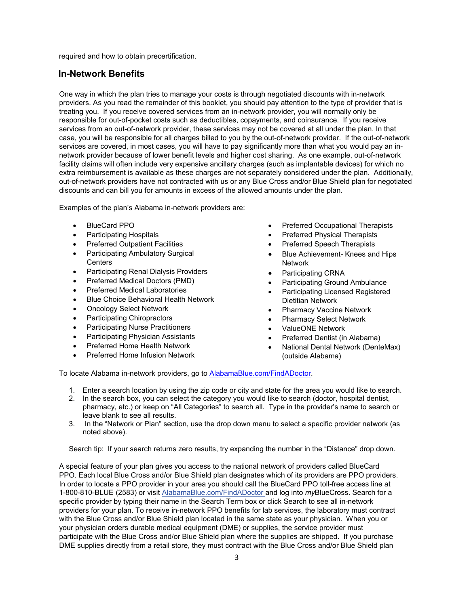<span id="page-7-0"></span>required and how to obtain precertification.

### **In-Network Benefits**

One way in which the plan tries to manage your costs is through negotiated discounts with in-network providers. As you read the remainder of this booklet, you should pay attention to the type of provider that is treating you. If you receive covered services from an in-network provider, you will normally only be responsible for out-of-pocket costs such as deductibles, copayments, and coinsurance. If you receive services from an out-of-network provider, these services may not be covered at all under the plan. In that case, you will be responsible for all charges billed to you by the out-of-network provider. If the out-of-network services are covered, in most cases, you will have to pay significantly more than what you would pay an innetwork provider because of lower benefit levels and higher cost sharing. As one example, out-of-network facility claims will often include very expensive ancillary charges (such as implantable devices) for which no extra reimbursement is available as these charges are not separately considered under the plan. Additionally, out-of-network providers have not contracted with us or any Blue Cross and/or Blue Shield plan for negotiated discounts and can bill you for amounts in excess of the allowed amounts under the plan.

Examples of the plan's Alabama in-network providers are:

- BlueCard PPO
- Participating Hospitals
- Preferred Outpatient Facilities
- Participating Ambulatory Surgical **Centers**
- Participating Renal Dialysis Providers
- Preferred Medical Doctors (PMD)
- Preferred Medical Laboratories
- Blue Choice Behavioral Health Network
- Oncology Select Network
- Participating Chiropractors
- Participating Nurse Practitioners
- Participating Physician Assistants
- Preferred Home Health Network
- Preferred Home Infusion Network
- Preferred Occupational Therapists
- Preferred Physical Therapists
- Preferred Speech Therapists
- Blue Achievement- Knees and Hips Network
- Participating CRNA
- Participating Ground Ambulance
- Participating Licensed Registered Dietitian Network
- Pharmacy Vaccine Network
- Pharmacy Select Network
- ValueONE Network
- Preferred Dentist (in Alabama)
- National Dental Network (DenteMax) (outside Alabama)

To locate Alabama in-network providers, go to [AlabamaBlue.com/FindADoctor.](https://www.bcbsal.org/web/provider-finder)

- 1. Enter a search location by using the zip code or city and state for the area you would like to search.
- 2. In the search box, you can select the category you would like to search (doctor, hospital dentist, pharmacy, etc.) or keep on "All Categories" to search all. Type in the provider's name to search or leave blank to see all results.
- 3. In the "Network or Plan" section, use the drop down menu to select a specific provider network (as noted above).

Search tip: If your search returns zero results, try expanding the number in the "Distance" drop down.

A special feature of your plan gives you access to the national network of providers called BlueCard PPO. Each local Blue Cross and/or Blue Shield plan designates which of its providers are PPO providers. In order to locate a PPO provider in your area you should call the BlueCard PPO toll-free access line at 1-800-810-BLUE (2583) or visit [AlabamaBlue.com/FindADoctor and log into](https://www.bcbsal.org/web/provider-finder) *my*BlueCross. Search for a specific provider by typing [their name in the Search Term box or click Search to see all in-network](https://www.bcbsal.org/web/provider-finder)  [providers for your plan.](https://www.bcbsal.org/web/provider-finder) To receive in-network PPO benefits for lab services, the laboratory must contract with the Blue Cross and/or Blue Shield plan located in the same state as your physician. When you or your physician orders durable medical equipment (DME) or supplies, the service provider must participate with the Blue Cross and/or Blue Shield plan where the supplies are shipped. If you purchase DME supplies directly from a retail store, they must contract with the Blue Cross and/or Blue Shield plan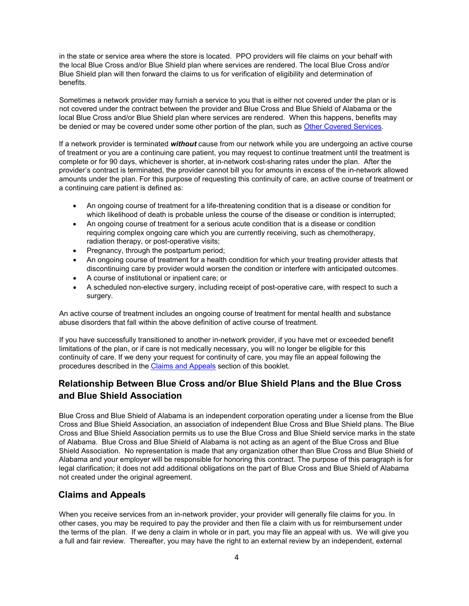in the state or service area where the store is located. PPO providers will file claims on your behalf with the local Blue Cross and/or Blue Shield plan where services are rendered. The local Blue Cross and/or Blue Shield plan will then forward the claims to us for verification of eligibility and determination of benefits.

Sometimes a network provider may furnish a service to you that is either not covered under the plan or is not covered under the contract between the provider and Blue Cross and Blue Shield of Alabama or the local Blue Cross and/or Blue Shield plan where services are rendered. When this happens, benefits may be denied or may be covered under some other portion of the plan, such as [Other Covered Services.](#page-27-1)

If a network provider is terminated *without* cause from our network while you are undergoing an active course of treatment or you are a continuing care patient, you may request to continue treatment until the treatment is complete or for 90 days, whichever is shorter, at in-network cost-sharing rates under the plan. After the provider's contract is terminated, the provider cannot bill you for amounts in excess of the in-network allowed amounts under the plan. For this purpose of requesting this continuity of care, an active course of treatment or a continuing care patient is defined as:

- An ongoing course of treatment for a life-threatening condition that is a disease or condition for which likelihood of death is probable unless the course of the disease or condition is interrupted;
- An ongoing course of treatment for a serious acute condition that is a disease or condition requiring complex ongoing care which you are currently receiving, such as chemotherapy, radiation therapy, or post-operative visits;
- Pregnancy, through the postpartum period;
- An ongoing course of treatment for a health condition for which your treating provider attests that discontinuing care by provider would worsen the condition or interfere with anticipated outcomes.
- A course of institutional or inpatient care; or
- A scheduled non-elective surgery, including receipt of post-operative care, with respect to such a surgery.

An active course of treatment includes an ongoing course of treatment for mental health and substance abuse disorders that fall within the above definition of active course of treatment.

If you have successfully transitioned to another in-network provider, if you have met or exceeded benefit limitations of the plan, or if care is not medically necessary, you will no longer be eligible for this continuity of care. If we deny your request for continuity of care, you may file an appeal following the procedures described in the [Claims and Appeals](#page-48-0) section of this booklet.

## <span id="page-8-0"></span>**Relationship Between Blue Cross and/or Blue Shield Plans and the Blue Cross and Blue Shield Association**

Blue Cross and Blue Shield of Alabama is an independent corporation operating under a license from the Blue Cross and Blue Shield Association, an association of independent Blue Cross and Blue Shield plans. The Blue Cross and Blue Shield Association permits us to use the Blue Cross and Blue Shield service marks in the state of Alabama. Blue Cross and Blue Shield of Alabama is not acting as an agent of the Blue Cross and Blue Shield Association. No representation is made that any organization other than Blue Cross and Blue Shield of Alabama and your employer will be responsible for honoring this contract. The purpose of this paragraph is for legal clarification; it does not add additional obligations on the part of Blue Cross and Blue Shield of Alabama not created under the original agreement.

## <span id="page-8-1"></span>**Claims and Appeals**

When you receive services from an in-network provider, your provider will generally file claims for you. In other cases, you may be required to pay the provider and then file a claim with us for reimbursement under the terms of the plan. If we deny a claim in whole or in part, you may file an appeal with us. We will give you a full and fair review. Thereafter, you may have the right to an external review by an independent, external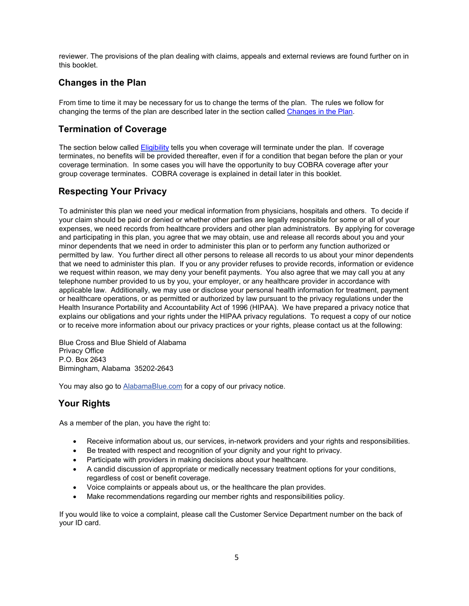reviewer. The provisions of the plan dealing with claims, appeals and external reviews are found further on in this booklet.

## <span id="page-9-0"></span>**Changes in the Plan**

From time to time it may be necessary for us to change the terms of the plan. The rules we follow for changing the terms of the plan are described later in the section called [Changes in the Plan.](#page-60-0)

## <span id="page-9-1"></span>**Termination of Coverage**

The section below calle[d Eligibility](#page-10-1) tells you when coverage will terminate under the plan. If coverage terminates, no benefits will be provided thereafter, even if for a condition that began before the plan or your coverage termination. In some cases you will have the opportunity to buy COBRA coverage after your group coverage terminates. COBRA coverage is explained in detail later in this booklet.

## <span id="page-9-2"></span>**Respecting Your Privacy**

To administer this plan we need your medical information from physicians, hospitals and others. To decide if your claim should be paid or denied or whether other parties are legally responsible for some or all of your expenses, we need records from healthcare providers and other plan administrators. By applying for coverage and participating in this plan, you agree that we may obtain, use and release all records about you and your minor dependents that we need in order to administer this plan or to perform any function authorized or permitted by law. You further direct all other persons to release all records to us about your minor dependents that we need to administer this plan. If you or any provider refuses to provide records, information or evidence we request within reason, we may deny your benefit payments. You also agree that we may call you at any telephone number provided to us by you, your employer, or any healthcare provider in accordance with applicable law. Additionally, we may use or disclose your personal health information for treatment, payment or healthcare operations, or as permitted or authorized by law pursuant to the privacy regulations under the Health Insurance Portability and Accountability Act of 1996 (HIPAA). We have prepared a privacy notice that explains our obligations and your rights under the HIPAA privacy regulations. To request a copy of our notice or to receive more information about our privacy practices or your rights, please contact us at the following:

Blue Cross and Blue Shield of Alabama Privacy Office P.O. Box 2643 Birmingham, Alabama 35202-2643

You may also go to [AlabamaBlue.com](http://www.bcbsal.com/) for a copy of our privacy notice.

## <span id="page-9-3"></span>**Your Rights**

As a member of the plan, you have the right to:

- Receive information about us, our services, in-network providers and your rights and responsibilities.
- Be treated with respect and recognition of your dignity and your right to privacy.
- Participate with providers in making decisions about your healthcare.
- A candid discussion of appropriate or medically necessary treatment options for your conditions, regardless of cost or benefit coverage.
- Voice complaints or appeals about us, or the healthcare the plan provides.
- Make recommendations regarding our member rights and responsibilities policy.

If you would like to voice a complaint, please call the Customer Service Department number on the back of your ID card.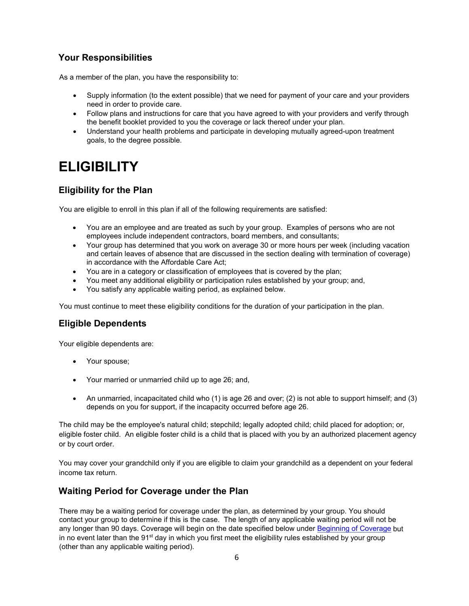## <span id="page-10-0"></span>**Your Responsibilities**

As a member of the plan, you have the responsibility to:

- Supply information (to the extent possible) that we need for payment of your care and your providers need in order to provide care.
- Follow plans and instructions for care that you have agreed to with your providers and verify through the benefit booklet provided to you the coverage or lack thereof under your plan.
- Understand your health problems and participate in developing mutually agreed-upon treatment goals, to the degree possible.

# <span id="page-10-1"></span>**ELIGIBILITY**

## <span id="page-10-2"></span>**Eligibility for the Plan**

You are eligible to enroll in this plan if all of the following requirements are satisfied:

- You are an employee and are treated as such by your group. Examples of persons who are not employees include independent contractors, board members, and consultants;
- Your group has determined that you work on average 30 or more hours per week (including vacation and certain leaves of absence that are discussed in the section dealing with termination of coverage) in accordance with the Affordable Care Act;
- You are in a category or classification of employees that is covered by the plan;
- You meet any additional eligibility or participation rules established by your group; and,
- You satisfy any applicable waiting period, as explained below.

You must continue to meet these eligibility conditions for the duration of your participation in the plan.

## <span id="page-10-3"></span>**Eligible Dependents**

Your eligible dependents are:

- Your spouse;
- Your married or unmarried child up to age 26; and,
- An unmarried, incapacitated child who (1) is age 26 and over; (2) is not able to support himself; and (3) depends on you for support, if the incapacity occurred before age 26.

The child may be the employee's natural child; stepchild; legally adopted child; child placed for adoption; or, eligible foster child. An eligible foster child is a child that is placed with you by an authorized placement agency or by court order.

You may cover your grandchild only if you are eligible to claim your grandchild as a dependent on your federal income tax return.

## <span id="page-10-4"></span>**Waiting Period for Coverage under the Plan**

There may be a waiting period for coverage under the plan, as determined by your group. You should contact your group to determine if this is the case. The length of any applicable waiting period will not be any longer than 90 days. Coverage will begin on the date specified below under [Beginning of](#page-11-0) Coverage but in no event later than the 91<sup>st</sup> day in which you first meet the eligibility rules established by your group (other than any applicable waiting period).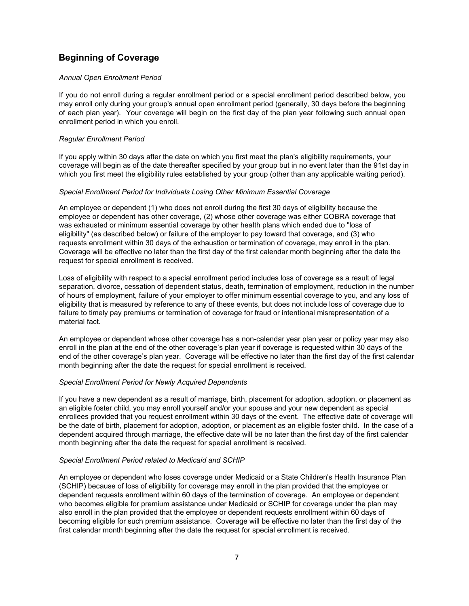## <span id="page-11-0"></span>**Beginning of Coverage**

#### *Annual Open Enrollment Period*

If you do not enroll during a regular enrollment period or a special enrollment period described below, you may enroll only during your group's annual open enrollment period (generally, 30 days before the beginning of each plan year). Your coverage will begin on the first day of the plan year following such annual open enrollment period in which you enroll.

#### *Regular Enrollment Period*

If you apply within 30 days after the date on which you first meet the plan's eligibility requirements, your coverage will begin as of the date thereafter specified by your group but in no event later than the 91st day in which you first meet the eligibility rules established by your group (other than any applicable waiting period).

#### *Special Enrollment Period for Individuals Losing Other Minimum Essential Coverage*

An employee or dependent (1) who does not enroll during the first 30 days of eligibility because the employee or dependent has other coverage, (2) whose other coverage was either COBRA coverage that was exhausted or minimum essential coverage by other health plans which ended due to "loss of eligibility" (as described below) or failure of the employer to pay toward that coverage, and (3) who requests enrollment within 30 days of the exhaustion or termination of coverage, may enroll in the plan. Coverage will be effective no later than the first day of the first calendar month beginning after the date the request for special enrollment is received.

Loss of eligibility with respect to a special enrollment period includes loss of coverage as a result of legal separation, divorce, cessation of dependent status, death, termination of employment, reduction in the number of hours of employment, failure of your employer to offer minimum essential coverage to you, and any loss of eligibility that is measured by reference to any of these events, but does not include loss of coverage due to failure to timely pay premiums or termination of coverage for fraud or intentional misrepresentation of a material fact.

An employee or dependent whose other coverage has a non-calendar year plan year or policy year may also enroll in the plan at the end of the other coverage's plan year if coverage is requested within 30 days of the end of the other coverage's plan year. Coverage will be effective no later than the first day of the first calendar month beginning after the date the request for special enrollment is received.

#### *Special Enrollment Period for Newly Acquired Dependents*

If you have a new dependent as a result of marriage, birth, placement for adoption, adoption, or placement as an eligible foster child, you may enroll yourself and/or your spouse and your new dependent as special enrollees provided that you request enrollment within 30 days of the event. The effective date of coverage will be the date of birth, placement for adoption, adoption, or placement as an eligible foster child. In the case of a dependent acquired through marriage, the effective date will be no later than the first day of the first calendar month beginning after the date the request for special enrollment is received.

#### *Special Enrollment Period related to Medicaid and SCHIP*

An employee or dependent who loses coverage under Medicaid or a State Children's Health Insurance Plan (SCHIP) because of loss of eligibility for coverage may enroll in the plan provided that the employee or dependent requests enrollment within 60 days of the termination of coverage. An employee or dependent who becomes eligible for premium assistance under Medicaid or SCHIP for coverage under the plan may also enroll in the plan provided that the employee or dependent requests enrollment within 60 days of becoming eligible for such premium assistance. Coverage will be effective no later than the first day of the first calendar month beginning after the date the request for special enrollment is received.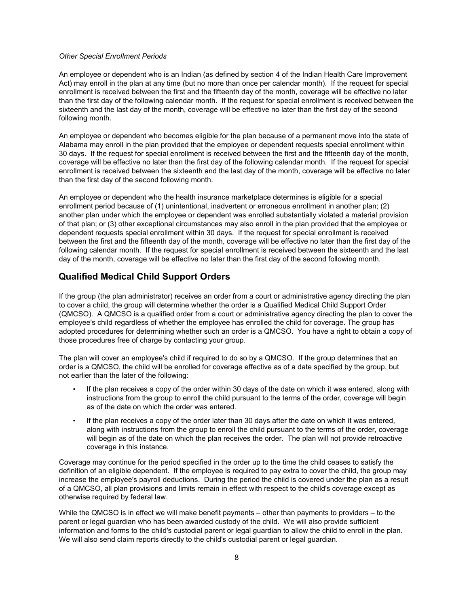#### *Other Special Enrollment Periods*

An employee or dependent who is an Indian (as defined by section 4 of the Indian Health Care Improvement Act) may enroll in the plan at any time (but no more than once per calendar month). If the request for special enrollment is received between the first and the fifteenth day of the month, coverage will be effective no later than the first day of the following calendar month. If the request for special enrollment is received between the sixteenth and the last day of the month, coverage will be effective no later than the first day of the second following month.

An employee or dependent who becomes eligible for the plan because of a permanent move into the state of Alabama may enroll in the plan provided that the employee or dependent requests special enrollment within 30 days. If the request for special enrollment is received between the first and the fifteenth day of the month, coverage will be effective no later than the first day of the following calendar month. If the request for special enrollment is received between the sixteenth and the last day of the month, coverage will be effective no later than the first day of the second following month.

An employee or dependent who the health insurance marketplace determines is eligible for a special enrollment period because of (1) unintentional, inadvertent or erroneous enrollment in another plan; (2) another plan under which the employee or dependent was enrolled substantially violated a material provision of that plan; or (3) other exceptional circumstances may also enroll in the plan provided that the employee or dependent requests special enrollment within 30 days. If the request for special enrollment is received between the first and the fifteenth day of the month, coverage will be effective no later than the first day of the following calendar month. If the request for special enrollment is received between the sixteenth and the last day of the month, coverage will be effective no later than the first day of the second following month.

## <span id="page-12-0"></span>**Qualified Medical Child Support Orders**

If the group (the plan administrator) receives an order from a court or administrative agency directing the plan to cover a child, the group will determine whether the order is a Qualified Medical Child Support Order (QMCSO). A QMCSO is a qualified order from a court or administrative agency directing the plan to cover the employee's child regardless of whether the employee has enrolled the child for coverage. The group has adopted procedures for determining whether such an order is a QMCSO. You have a right to obtain a copy of those procedures free of charge by contacting your group.

The plan will cover an employee's child if required to do so by a QMCSO. If the group determines that an order is a QMCSO, the child will be enrolled for coverage effective as of a date specified by the group, but not earlier than the later of the following:

- If the plan receives a copy of the order within 30 days of the date on which it was entered, along with instructions from the group to enroll the child pursuant to the terms of the order, coverage will begin as of the date on which the order was entered.
- If the plan receives a copy of the order later than 30 days after the date on which it was entered, along with instructions from the group to enroll the child pursuant to the terms of the order, coverage will begin as of the date on which the plan receives the order. The plan will not provide retroactive coverage in this instance.

Coverage may continue for the period specified in the order up to the time the child ceases to satisfy the definition of an eligible dependent. If the employee is required to pay extra to cover the child, the group may increase the employee's payroll deductions. During the period the child is covered under the plan as a result of a QMCSO, all plan provisions and limits remain in effect with respect to the child's coverage except as otherwise required by federal law.

While the QMCSO is in effect we will make benefit payments – other than payments to providers – to the parent or legal guardian who has been awarded custody of the child. We will also provide sufficient information and forms to the child's custodial parent or legal guardian to allow the child to enroll in the plan. We will also send claim reports directly to the child's custodial parent or legal guardian.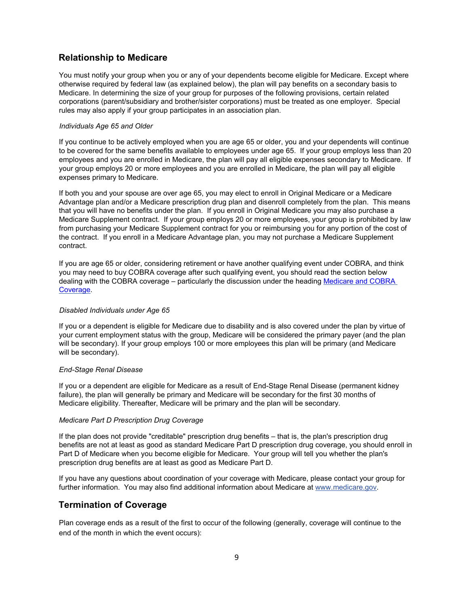## <span id="page-13-0"></span>**Relationship to Medicare**

You must notify your group when you or any of your dependents become eligible for Medicare. Except where otherwise required by federal law (as explained below), the plan will pay benefits on a secondary basis to Medicare. In determining the size of your group for purposes of the following provisions, certain related corporations (parent/subsidiary and brother/sister corporations) must be treated as one employer. Special rules may also apply if your group participates in an association plan.

#### *Individuals Age 65 and Older*

If you continue to be actively employed when you are age 65 or older, you and your dependents will continue to be covered for the same benefits available to employees under age 65. If your group employs less than 20 employees and you are enrolled in Medicare, the plan will pay all eligible expenses secondary to Medicare. If your group employs 20 or more employees and you are enrolled in Medicare, the plan will pay all eligible expenses primary to Medicare.

If both you and your spouse are over age 65, you may elect to enroll in Original Medicare or a Medicare Advantage plan and/or a Medicare prescription drug plan and disenroll completely from the plan. This means that you will have no benefits under the plan. If you enroll in Original Medicare you may also purchase a Medicare Supplement contract. If your group employs 20 or more employees, your group is prohibited by law from purchasing your Medicare Supplement contract for you or reimbursing you for any portion of the cost of the contract. If you enroll in a Medicare Advantage plan, you may not purchase a Medicare Supplement contract.

If you are age 65 or older, considering retirement or have another qualifying event under COBRA, and think you may need to buy COBRA coverage after such qualifying event, you should read the section below dealing with the COBRA coverage – particularly the discussion under the heading Medicare and COBRA [Coverage.](#page-57-0)

#### *Disabled Individuals under Age 65*

If you or a dependent is eligible for Medicare due to disability and is also covered under the plan by virtue of your current employment status with the group, Medicare will be considered the primary payer (and the plan will be secondary). If your group employs 100 or more employees this plan will be primary (and Medicare will be secondary).

#### *End-Stage Renal Disease*

If you or a dependent are eligible for Medicare as a result of End-Stage Renal Disease (permanent kidney failure), the plan will generally be primary and Medicare will be secondary for the first 30 months of Medicare eligibility. Thereafter, Medicare will be primary and the plan will be secondary.

#### *Medicare Part D Prescription Drug Coverage*

If the plan does not provide "creditable" prescription drug benefits – that is, the plan's prescription drug benefits are not at least as good as standard Medicare Part D prescription drug coverage, you should enroll in Part D of Medicare when you become eligible for Medicare. Your group will tell you whether the plan's prescription drug benefits are at least as good as Medicare Part D.

If you have any questions about coordination of your coverage with Medicare, please contact your group for further information. You may also find additional information about Medicare at [www.medicare.gov.](http://www.medicare.gov/) 

## <span id="page-13-1"></span>**Termination of Coverage**

Plan coverage ends as a result of the first to occur of the following (generally, coverage will continue to the end of the month in which the event occurs):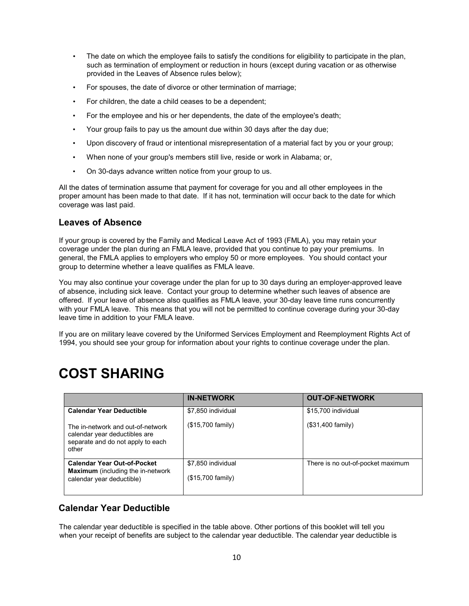- The date on which the employee fails to satisfy the conditions for eligibility to participate in the plan, such as termination of employment or reduction in hours (except during vacation or as otherwise provided in the Leaves of Absence rules below);
- For spouses, the date of divorce or other termination of marriage;
- For children, the date a child ceases to be a dependent;
- For the employee and his or her dependents, the date of the employee's death;
- Your group fails to pay us the amount due within 30 days after the day due;
- Upon discovery of fraud or intentional misrepresentation of a material fact by you or your group;
- When none of your group's members still live, reside or work in Alabama; or,
- On 30-days advance written notice from your group to us.

All the dates of termination assume that payment for coverage for you and all other employees in the proper amount has been made to that date. If it has not, termination will occur back to the date for which coverage was last paid.

## <span id="page-14-0"></span>**Leaves of Absence**

If your group is covered by the Family and Medical Leave Act of 1993 (FMLA), you may retain your coverage under the plan during an FMLA leave, provided that you continue to pay your premiums. In general, the FMLA applies to employers who employ 50 or more employees. You should contact your group to determine whether a leave qualifies as FMLA leave.

You may also continue your coverage under the plan for up to 30 days during an employer-approved leave of absence, including sick leave. Contact your group to determine whether such leaves of absence are offered. If your leave of absence also qualifies as FMLA leave, your 30-day leave time runs concurrently with your FMLA leave. This means that you will not be permitted to continue coverage during your 30-day leave time in addition to your FMLA leave.

<span id="page-14-1"></span>If you are on military leave covered by the Uniformed Services Employment and Reemployment Rights Act of 1994, you should see your group for information about your rights to continue coverage under the plan.

# **COST SHARING**

|                                                                                                                  | <b>IN-NETWORK</b>                       | <b>OUT-OF-NETWORK</b>             |
|------------------------------------------------------------------------------------------------------------------|-----------------------------------------|-----------------------------------|
| <b>Calendar Year Deductible</b>                                                                                  | \$7,850 individual                      | \$15,700 individual               |
| The in-network and out-of-network<br>calendar year deductibles are<br>separate and do not apply to each<br>other | (\$15,700 family)                       | (\$31,400 family)                 |
| <b>Calendar Year Out-of-Pocket</b><br><b>Maximum</b> (including the in-network<br>calendar year deductible)      | \$7.850 individual<br>(\$15,700 family) | There is no out-of-pocket maximum |

## <span id="page-14-2"></span>**Calendar Year Deductible**

The calendar year deductible is specified in the table above. Other portions of this booklet will tell you when your receipt of benefits are subject to the calendar year deductible. The calendar year deductible is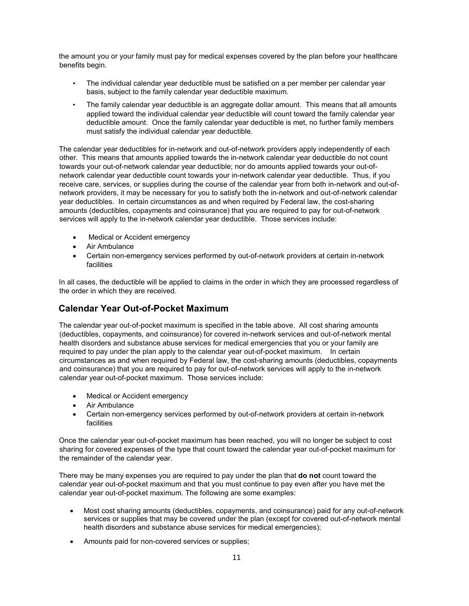the amount you or your family must pay for medical expenses covered by the plan before your healthcare benefits begin.

- The individual calendar year deductible must be satisfied on a per member per calendar year basis, subject to the family calendar year deductible maximum.
- The family calendar year deductible is an aggregate dollar amount. This means that all amounts applied toward the individual calendar year deductible will count toward the family calendar year deductible amount. Once the family calendar year deductible is met, no further family members must satisfy the individual calendar year deductible.

The calendar year deductibles for in-network and out-of-network providers apply independently of each other. This means that amounts applied towards the in-network calendar year deductible do not count towards your out-of-network calendar year deductible; nor do amounts applied towards your out-ofnetwork calendar year deductible count towards your in-network calendar year deductible. Thus, if you receive care, services, or supplies during the course of the calendar year from both in-network and out-ofnetwork providers, it may be necessary for you to satisfy both the in-network and out-of-network calendar year deductibles. In certain circumstances as and when required by Federal law, the cost-sharing amounts (deductibles, copayments and coinsurance) that you are required to pay for out-of-network services will apply to the in-network calendar year deductible. Those services include:

- Medical or Accident emergency
- Air Ambulance
- Certain non-emergency services performed by out-of-network providers at certain in-network facilities

In all cases, the deductible will be applied to claims in the order in which they are processed regardless of the order in which they are received.

## <span id="page-15-0"></span>**Calendar Year Out-of-Pocket Maximum**

The calendar year out-of-pocket maximum is specified in the table above. All cost sharing amounts (deductibles, copayments, and coinsurance) for covered in-network services and out-of-network mental health disorders and substance abuse services for medical emergencies that you or your family are required to pay under the plan apply to the calendar year out-of-pocket maximum. In certain circumstances as and when required by Federal law, the cost-sharing amounts (deductibles, copayments and coinsurance) that you are required to pay for out-of-network services will apply to the in-network calendar year out-of-pocket maximum. Those services include:

- Medical or Accident emergency
- Air Ambulance
- Certain non-emergency services performed by out-of-network providers at certain in-network facilities

Once the calendar year out-of-pocket maximum has been reached, you will no longer be subject to cost sharing for covered expenses of the type that count toward the calendar year out-of-pocket maximum for the remainder of the calendar year.

There may be many expenses you are required to pay under the plan that **do not** count toward the calendar year out-of-pocket maximum and that you must continue to pay even after you have met the calendar year out-of-pocket maximum. The following are some examples:

- Most cost sharing amounts (deductibles, copayments, and coinsurance) paid for any out-of-network services or supplies that may be covered under the plan (except for covered out-of-network mental health disorders and substance abuse services for medical emergencies);
- Amounts paid for non-covered services or supplies;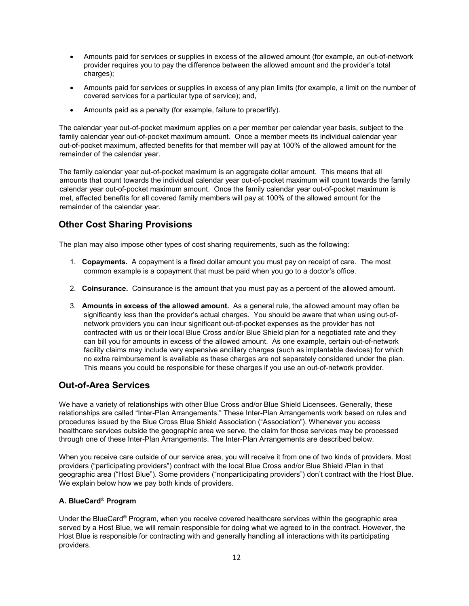- Amounts paid for services or supplies in excess of the allowed amount (for example, an out-of-network provider requires you to pay the difference between the allowed amount and the provider's total charges);
- Amounts paid for services or supplies in excess of any plan limits (for example, a limit on the number of covered services for a particular type of service); and,
- Amounts paid as a penalty (for example, failure to precertify).

The calendar year out-of-pocket maximum applies on a per member per calendar year basis, subject to the family calendar year out-of-pocket maximum amount. Once a member meets its individual calendar year out-of-pocket maximum, affected benefits for that member will pay at 100% of the allowed amount for the remainder of the calendar year.

The family calendar year out-of-pocket maximum is an aggregate dollar amount. This means that all amounts that count towards the individual calendar year out-of-pocket maximum will count towards the family calendar year out-of-pocket maximum amount. Once the family calendar year out-of-pocket maximum is met, affected benefits for all covered family members will pay at 100% of the allowed amount for the remainder of the calendar year.

## <span id="page-16-0"></span>**Other Cost Sharing Provisions**

The plan may also impose other types of cost sharing requirements, such as the following:

- 1. **Copayments.** A copayment is a fixed dollar amount you must pay on receipt of care. The most common example is a copayment that must be paid when you go to a doctor's office.
- 2. **Coinsurance.** Coinsurance is the amount that you must pay as a percent of the allowed amount.
- 3. **Amounts in excess of the allowed amount.** As a general rule, the allowed amount may often be significantly less than the provider's actual charges. You should be aware that when using out-ofnetwork providers you can incur significant out-of-pocket expenses as the provider has not contracted with us or their local Blue Cross and/or Blue Shield plan for a negotiated rate and they can bill you for amounts in excess of the allowed amount. As one example, certain out-of-network facility claims may include very expensive ancillary charges (such as implantable devices) for which no extra reimbursement is available as these charges are not separately considered under the plan. This means you could be responsible for these charges if you use an out-of-network provider.

## <span id="page-16-1"></span>**Out-of-Area Services**

We have a variety of relationships with other Blue Cross and/or Blue Shield Licensees. Generally, these relationships are called "Inter-Plan Arrangements." These Inter-Plan Arrangements work based on rules and procedures issued by the Blue Cross Blue Shield Association ("Association"). Whenever you access healthcare services outside the geographic area we serve, the claim for those services may be processed through one of these Inter-Plan Arrangements. The Inter-Plan Arrangements are described below.

When you receive care outside of our service area, you will receive it from one of two kinds of providers. Most providers ("participating providers") contract with the local Blue Cross and/or Blue Shield /Plan in that geographic area ("Host Blue"). Some providers ("nonparticipating providers") don't contract with the Host Blue. We explain below how we pay both kinds of providers.

### **A. BlueCard® Program**

Under the BlueCard® Program, when you receive covered healthcare services within the geographic area served by a Host Blue, we will remain responsible for doing what we agreed to in the contract. However, the Host Blue is responsible for contracting with and generally handling all interactions with its participating providers.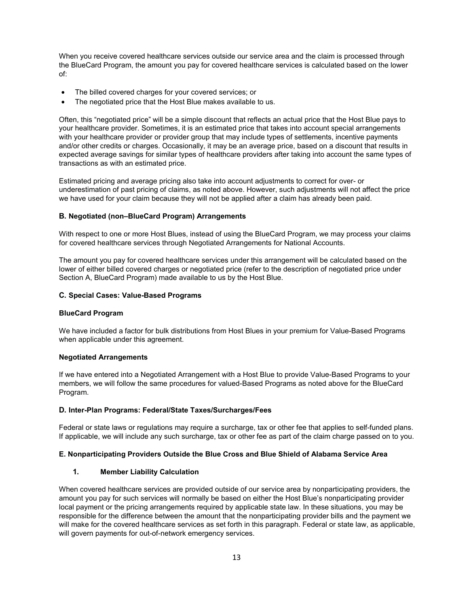When you receive covered healthcare services outside our service area and the claim is processed through the BlueCard Program, the amount you pay for covered healthcare services is calculated based on the lower of:

- The billed covered charges for your covered services; or
- The negotiated price that the Host Blue makes available to us.

Often, this "negotiated price" will be a simple discount that reflects an actual price that the Host Blue pays to your healthcare provider. Sometimes, it is an estimated price that takes into account special arrangements with your healthcare provider or provider group that may include types of settlements, incentive payments and/or other credits or charges. Occasionally, it may be an average price, based on a discount that results in expected average savings for similar types of healthcare providers after taking into account the same types of transactions as with an estimated price.

Estimated pricing and average pricing also take into account adjustments to correct for over- or underestimation of past pricing of claims, as noted above. However, such adjustments will not affect the price we have used for your claim because they will not be applied after a claim has already been paid.

#### **B. Negotiated (non–BlueCard Program) Arrangements**

With respect to one or more Host Blues, instead of using the BlueCard Program, we may process your claims for covered healthcare services through Negotiated Arrangements for National Accounts.

The amount you pay for covered healthcare services under this arrangement will be calculated based on the lower of either billed covered charges or negotiated price (refer to the description of negotiated price under Section A, BlueCard Program) made available to us by the Host Blue.

#### **C. Special Cases: Value-Based Programs**

#### **BlueCard Program**

We have included a factor for bulk distributions from Host Blues in your premium for Value-Based Programs when applicable under this agreement.

#### **Negotiated Arrangements**

If we have entered into a Negotiated Arrangement with a Host Blue to provide Value-Based Programs to your members, we will follow the same procedures for valued-Based Programs as noted above for the BlueCard Program.

#### **D. Inter-Plan Programs: Federal/State Taxes/Surcharges/Fees**

Federal or state laws or regulations may require a surcharge, tax or other fee that applies to self-funded plans. If applicable, we will include any such surcharge, tax or other fee as part of the claim charge passed on to you.

#### **E. Nonparticipating Providers Outside the Blue Cross and Blue Shield of Alabama Service Area**

#### **1. Member Liability Calculation**

When covered healthcare services are provided outside of our service area by nonparticipating providers, the amount you pay for such services will normally be based on either the Host Blue's nonparticipating provider local payment or the pricing arrangements required by applicable state law. In these situations, you may be responsible for the difference between the amount that the nonparticipating provider bills and the payment we will make for the covered healthcare services as set forth in this paragraph. Federal or state law, as applicable, will govern payments for out-of-network emergency services.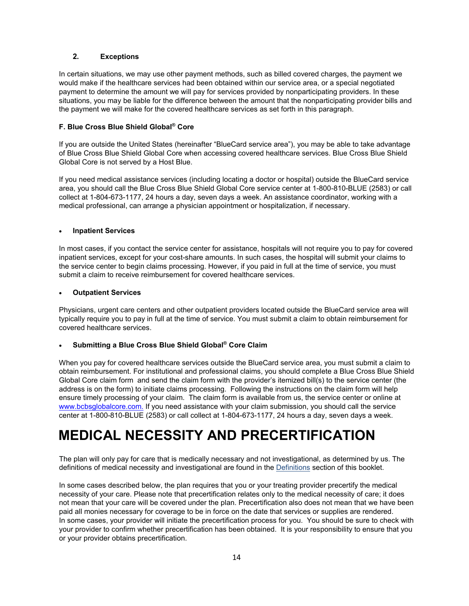#### **2. Exceptions**

In certain situations, we may use other payment methods, such as billed covered charges, the payment we would make if the healthcare services had been obtained within our service area, or a special negotiated payment to determine the amount we will pay for services provided by nonparticipating providers. In these situations, you may be liable for the difference between the amount that the nonparticipating provider bills and the payment we will make for the covered healthcare services as set forth in this paragraph.

#### **F. Blue Cross Blue Shield Global® Core**

If you are outside the United States (hereinafter "BlueCard service area"), you may be able to take advantage of Blue Cross Blue Shield Global Core when accessing covered healthcare services. Blue Cross Blue Shield Global Core is not served by a Host Blue.

If you need medical assistance services (including locating a doctor or hospital) outside the BlueCard service area, you should call the Blue Cross Blue Shield Global Core service center at 1-800-810-BLUE (2583) or call collect at 1-804-673-1177, 24 hours a day, seven days a week. An assistance coordinator, working with a medical professional, can arrange a physician appointment or hospitalization, if necessary.

#### • **Inpatient Services**

In most cases, if you contact the service center for assistance, hospitals will not require you to pay for covered inpatient services, except for your cost-share amounts. In such cases, the hospital will submit your claims to the service center to begin claims processing. However, if you paid in full at the time of service, you must submit a claim to receive reimbursement for covered healthcare services.

#### • **Outpatient Services**

Physicians, urgent care centers and other outpatient providers located outside the BlueCard service area will typically require you to pay in full at the time of service. You must submit a claim to obtain reimbursement for covered healthcare services.

#### • **Submitting a Blue Cross Blue Shield Global® Core Claim**

When you pay for covered healthcare services outside the BlueCard service area, you must submit a claim to obtain reimbursement. For institutional and professional claims, you should complete a Blue Cross Blue Shield Global Core claim form and send the claim form with the provider's itemized bill(s) to the service center (the address is on the form) to initiate claims processing. Following the instructions on the claim form will help ensure timely processing of your claim. The claim form is available from us, the service center or online at [www.bcbsglobalcore.com.](http://www.bluecardworldwide.com) If you need assistance with your claim submission, you should call the service center at 1-800-810-BLUE (2583) or call collect at 1-804-673-1177, 24 hours a day, seven days a week.

# <span id="page-18-0"></span>**MEDICAL NECESSITY AND PRECERTIFICATION**

The plan will only pay for care that is medically necessary and not investigational, as determined by us. The definitions of medical necessity and investigational are found in the **Definitions** section of this booklet.

In some cases described below, the plan requires that you or your treating provider precertify the medical necessity of your care. Please note that precertification relates only to the medical necessity of care; it does not mean that your care will be covered under the plan. Precertification also does not mean that we have been paid all monies necessary for coverage to be in force on the date that services or supplies are rendered. In some cases, your provider will initiate the precertification process for you. You should be sure to check with your provider to confirm whether precertification has been obtained. It is your responsibility to ensure that you or your provider obtains precertification.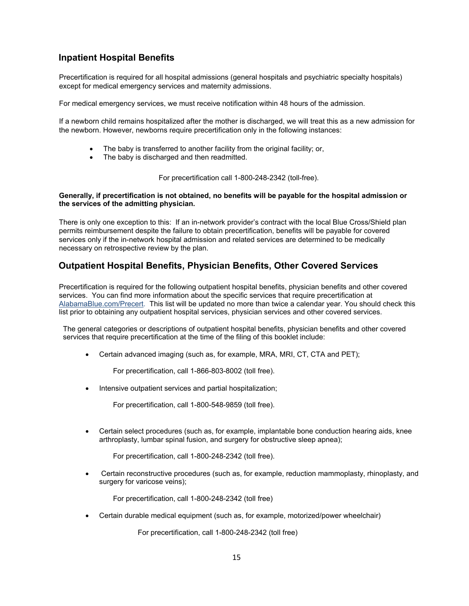## <span id="page-19-0"></span>**Inpatient Hospital Benefits**

Precertification is required for all hospital admissions (general hospitals and psychiatric specialty hospitals) except for medical emergency services and maternity admissions.

For medical emergency services, we must receive notification within 48 hours of the admission.

If a newborn child remains hospitalized after the mother is discharged, we will treat this as a new admission for the newborn. However, newborns require precertification only in the following instances:

- The baby is transferred to another facility from the original facility; or,
- The baby is discharged and then readmitted.

For precertification call 1-800-248-2342 (toll-free).

#### **Generally, if precertification is not obtained, no benefits will be payable for the hospital admission or the services of the admitting physician.**

There is only one exception to this: If an in-network provider's contract with the local Blue Cross/Shield plan permits reimbursement despite the failure to obtain precertification, benefits will be payable for covered services only if the in-network hospital admission and related services are determined to be medically necessary on retrospective review by the plan.

## <span id="page-19-1"></span>**Outpatient Hospital Benefits, Physician Benefits, Other Covered Services**

Precertification is required for the following outpatient hospital benefits, physician benefits and other covered services. You can find more information about the specific services that require precertification at [AlabamaBlue.com/Precert.](https://www.bcbsal.org/web/precertification.html) This list will be updated no more than twice a calendar year. You should check this list prior to obtaining any outpatient hospital services, physician services and other covered services.

The general categories or descriptions of outpatient hospital benefits, physician benefits and other covered services that require precertification at the time of the filing of this booklet include:

• Certain advanced imaging (such as, for example, MRA, MRI, CT, CTA and PET);

For precertification, call 1-866-803-8002 (toll free).

Intensive outpatient services and partial hospitalization;

For precertification, call 1-800-548-9859 (toll free).

• Certain select procedures (such as, for example, implantable bone conduction hearing aids, knee arthroplasty, lumbar spinal fusion, and surgery for obstructive sleep apnea);

For precertification, call 1-800-248-2342 (toll free).

• Certain reconstructive procedures (such as, for example, reduction mammoplasty, rhinoplasty, and surgery for varicose veins);

For precertification, call 1-800-248-2342 (toll free)

• Certain durable medical equipment (such as, for example, motorized/power wheelchair)

For precertification, call 1-800-248-2342 (toll free)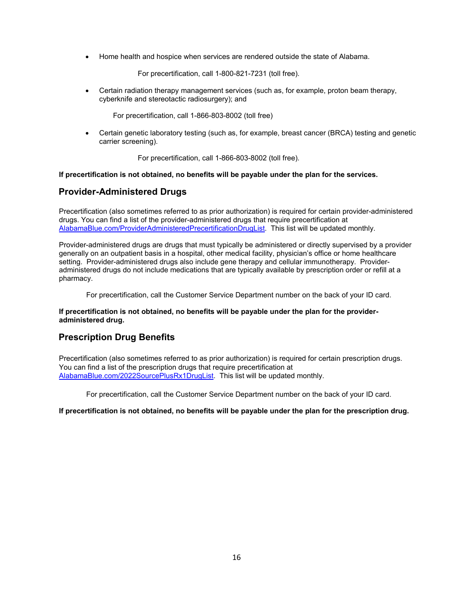• Home health and hospice when services are rendered outside the state of Alabama.

For precertification, call 1-800-821-7231 (toll free).

• Certain radiation therapy management services (such as, for example, proton beam therapy, cyberknife and stereotactic radiosurgery); and

For precertification, call 1-866-803-8002 (toll free)

• Certain genetic laboratory testing (such as, for example, breast cancer (BRCA) testing and genetic carrier screening).

For precertification, call 1-866-803-8002 (toll free).

<span id="page-20-0"></span>**If precertification is not obtained, no benefits will be payable under the plan for the services.** 

## **Provider-Administered Drugs**

Precertification (also sometimes referred to as prior authorization) is required for certain provider-administered drugs. You can find a list of the provider-administered drugs that require precertification at [AlabamaBlue.com/ProviderAdministeredPrecertificationDrugList.](https://www.alabamablue.com/ProviderAdministeredPrecertificationDrugList) This list will be updated monthly.

Provider-administered drugs are drugs that must typically be administered or directly supervised by a provider generally on an outpatient basis in a hospital, other medical facility, physician's office or home healthcare setting. Provider-administered drugs also include gene therapy and cellular immunotherapy. Provideradministered drugs do not include medications that are typically available by prescription order or refill at a pharmacy.

For precertification, call the Customer Service Department number on the back of your ID card.

#### **If precertification is not obtained, no benefits will be payable under the plan for the provideradministered drug.**

## <span id="page-20-1"></span>**Prescription Drug Benefits**

Precertification (also sometimes referred to as prior authorization) is required for certain prescription drugs. You can find a list of the prescription drugs that require precertification at [AlabamaBlue.com/2022SourcePlusRx1DrugList.](http://www.alabamablue.com/2022SourcePlusRx1DrugList) This list will be updated monthly.

For precertification, call the Customer Service Department number on the back of your ID card.

#### **If precertification is not obtained, no benefits will be payable under the plan for the prescription drug.**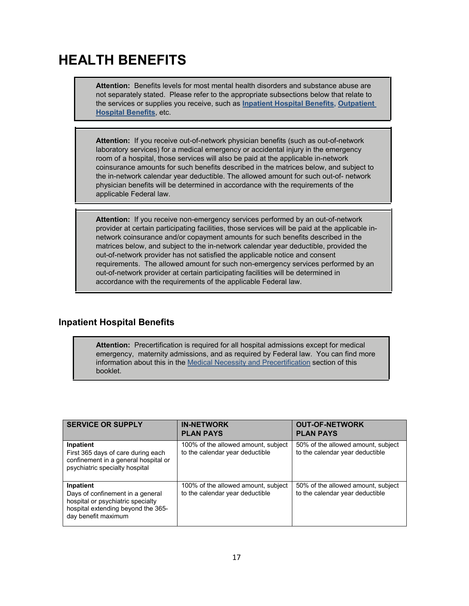# <span id="page-21-0"></span>**HEALTH BENEFITS**

**Attention:** Benefits levels for most mental health disorders and substance abuse are not separately stated. Please refer to the appropriate subsections below that relate to the services or supplies you receive, such as **[Inpatient Hospital Benefits,](#page-21-1) [Outpatient](#page-23-0)  Hospital [Benefits](#page-23-0)**, etc.

**Attention:** If you receive out-of-network physician benefits (such as out-of-network laboratory services) for a medical emergency or accidental injury in the emergency room of a hospital, those services will also be paid at the applicable in-network coinsurance amounts for such benefits described in the matrices below, and subject to the in-network calendar year deductible. The allowed amount for such out-of- network physician benefits will be determined in accordance with the requirements of the applicable Federal law.

**Attention:** If you receive non-emergency services performed by an out-of-network provider at certain participating facilities, those services will be paid at the applicable innetwork coinsurance and/or copayment amounts for such benefits described in the matrices below, and subject to the in-network calendar year deductible, provided the out-of-network provider has not satisfied the applicable notice and consent requirements. The allowed amount for such non-emergency services performed by an out-of-network provider at certain participating facilities will be determined in accordance with the requirements of the applicable Federal law.

## <span id="page-21-1"></span>**Inpatient Hospital Benefits**

**Attention:** Precertification is required for all hospital admissions except for medical emergency, maternity admissions, and as required by Federal law. You can find more information about this in the [Medical Necessity and Precertification](#page-18-0) section of this booklet.

| <b>SERVICE OR SUPPLY</b>                                                                                                                        | <b>IN-NETWORK</b><br><b>PLAN PAYS</b>                                  | <b>OUT-OF-NETWORK</b><br><b>PLAN PAYS</b>                             |
|-------------------------------------------------------------------------------------------------------------------------------------------------|------------------------------------------------------------------------|-----------------------------------------------------------------------|
| Inpatient<br>First 365 days of care during each<br>confinement in a general hospital or<br>psychiatric specialty hospital                       | 100% of the allowed amount, subject<br>to the calendar year deductible | 50% of the allowed amount, subject<br>to the calendar year deductible |
| Inpatient<br>Days of confinement in a general<br>hospital or psychiatric specialty<br>hospital extending beyond the 365-<br>day benefit maximum | 100% of the allowed amount, subject<br>to the calendar year deductible | 50% of the allowed amount, subject<br>to the calendar year deductible |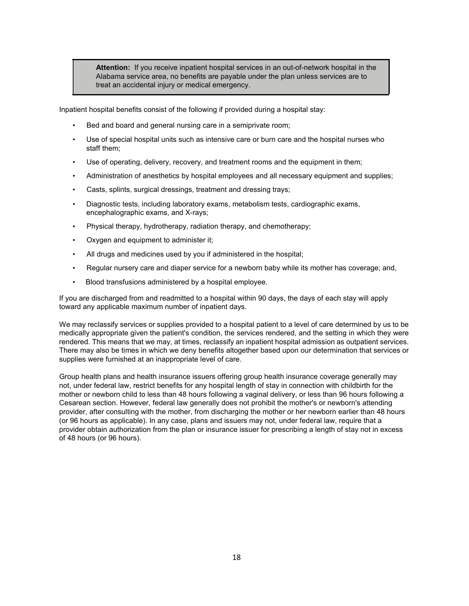**Attention:** If you receive inpatient hospital services in an out-of-network hospital in the Alabama service area, no benefits are payable under the plan unless services are to treat an accidental injury or medical emergency.

Inpatient hospital benefits consist of the following if provided during a hospital stay:

- Bed and board and general nursing care in a semiprivate room;
- Use of special hospital units such as intensive care or burn care and the hospital nurses who staff them;
- Use of operating, delivery, recovery, and treatment rooms and the equipment in them;
- Administration of anesthetics by hospital employees and all necessary equipment and supplies;
- Casts, splints, surgical dressings, treatment and dressing trays;
- Diagnostic tests, including laboratory exams, metabolism tests, cardiographic exams, encephalographic exams, and X-rays;
- Physical therapy, hydrotherapy, radiation therapy, and chemotherapy;
- Oxygen and equipment to administer it;
- All drugs and medicines used by you if administered in the hospital;
- Regular nursery care and diaper service for a newborn baby while its mother has coverage; and,
- Blood transfusions administered by a hospital employee.

If you are discharged from and readmitted to a hospital within 90 days, the days of each stay will apply toward any applicable maximum number of inpatient days.

We may reclassify services or supplies provided to a hospital patient to a level of care determined by us to be medically appropriate given the patient's condition, the services rendered, and the setting in which they were rendered. This means that we may, at times, reclassify an inpatient hospital admission as outpatient services. There may also be times in which we deny benefits altogether based upon our determination that services or supplies were furnished at an inappropriate level of care.

Group health plans and health insurance issuers offering group health insurance coverage generally may not, under federal law, restrict benefits for any hospital length of stay in connection with childbirth for the mother or newborn child to less than 48 hours following a vaginal delivery, or less than 96 hours following a Cesarean section. However, federal law generally does not prohibit the mother's or newborn's attending provider, after consulting with the mother, from discharging the mother or her newborn earlier than 48 hours (or 96 hours as applicable). In any case, plans and issuers may not, under federal law, require that a provider obtain authorization from the plan or insurance issuer for prescribing a length of stay not in excess of 48 hours (or 96 hours).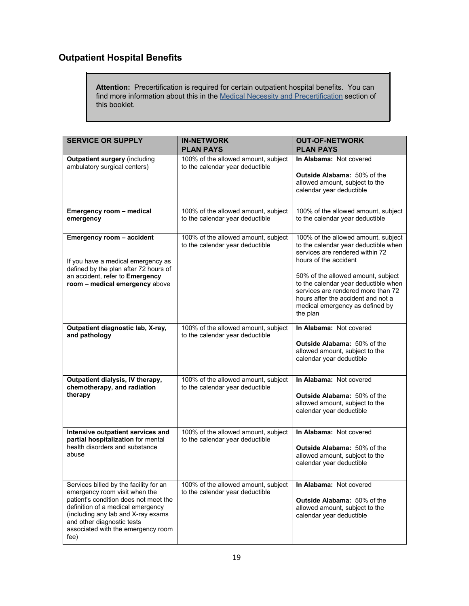## <span id="page-23-0"></span>**Outpatient Hospital Benefits**

**Attention:** Precertification is required for certain outpatient hospital benefits. You can find more information about this in the [Medical Necessity and Precertification](#page-18-0) section of this booklet.

| <b>SERVICE OR SUPPLY</b>                                                                                                                                                                                                                                                | <b>IN-NETWORK</b><br><b>PLAN PAYS</b>                                  | <b>OUT-OF-NETWORK</b><br><b>PLAN PAYS</b>                                                                                                                                                                                                                                                                                                        |
|-------------------------------------------------------------------------------------------------------------------------------------------------------------------------------------------------------------------------------------------------------------------------|------------------------------------------------------------------------|--------------------------------------------------------------------------------------------------------------------------------------------------------------------------------------------------------------------------------------------------------------------------------------------------------------------------------------------------|
| <b>Outpatient surgery (including</b><br>ambulatory surgical centers)                                                                                                                                                                                                    | 100% of the allowed amount, subject<br>to the calendar year deductible | In Alabama: Not covered<br><b>Outside Alabama: 50% of the</b><br>allowed amount, subject to the<br>calendar year deductible                                                                                                                                                                                                                      |
| Emergency room - medical<br>emergency                                                                                                                                                                                                                                   | 100% of the allowed amount, subject<br>to the calendar year deductible | 100% of the allowed amount, subject<br>to the calendar year deductible                                                                                                                                                                                                                                                                           |
| Emergency room - accident<br>If you have a medical emergency as<br>defined by the plan after 72 hours of<br>an accident, refer to Emergency<br>room - medical emergency above                                                                                           | 100% of the allowed amount, subject<br>to the calendar year deductible | 100% of the allowed amount, subject<br>to the calendar year deductible when<br>services are rendered within 72<br>hours of the accident<br>50% of the allowed amount, subject<br>to the calendar year deductible when<br>services are rendered more than 72<br>hours after the accident and not a<br>medical emergency as defined by<br>the plan |
| Outpatient diagnostic lab, X-ray,<br>and pathology                                                                                                                                                                                                                      | 100% of the allowed amount, subject<br>to the calendar year deductible | In Alabama: Not covered<br><b>Outside Alabama: 50% of the</b><br>allowed amount, subject to the<br>calendar year deductible                                                                                                                                                                                                                      |
| Outpatient dialysis, IV therapy,<br>chemotherapy, and radiation<br>therapy                                                                                                                                                                                              | 100% of the allowed amount, subject<br>to the calendar year deductible | In Alabama: Not covered<br><b>Outside Alabama: 50% of the</b><br>allowed amount, subject to the<br>calendar year deductible                                                                                                                                                                                                                      |
| Intensive outpatient services and<br>partial hospitalization for mental<br>health disorders and substance<br>abuse                                                                                                                                                      | 100% of the allowed amount, subject<br>to the calendar year deductible | In Alabama: Not covered<br><b>Outside Alabama: 50% of the</b><br>allowed amount, subject to the<br>calendar year deductible                                                                                                                                                                                                                      |
| Services billed by the facility for an<br>emergency room visit when the<br>patient's condition does not meet the<br>definition of a medical emergency<br>(including any lab and X-ray exams<br>and other diagnostic tests<br>associated with the emergency room<br>fee) | 100% of the allowed amount, subject<br>to the calendar year deductible | In Alabama: Not covered<br><b>Outside Alabama: 50% of the</b><br>allowed amount, subject to the<br>calendar year deductible                                                                                                                                                                                                                      |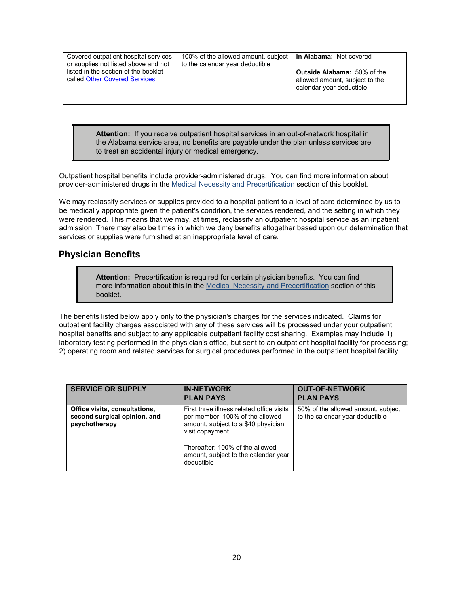| Covered outpatient hospital services<br>or supplies not listed above and not | 100% of the allowed amount, subject   In Alabama: Not covered<br>to the calendar year deductible |                                                                                                  |
|------------------------------------------------------------------------------|--------------------------------------------------------------------------------------------------|--------------------------------------------------------------------------------------------------|
| listed in the section of the booklet<br>called Other Covered Services        |                                                                                                  | <b>Outside Alabama:</b> 50% of the<br>allowed amount, subject to the<br>calendar year deductible |

**Attention:** If you receive outpatient hospital services in an out-of-network hospital in the Alabama service area, no benefits are payable under the plan unless services are to treat an accidental injury or medical emergency.

Outpatient hospital benefits include provider-administered drugs. You can find more information about provider-administered drugs in the [Medical Necessity and Precertification](#page-18-0) section of this booklet.

We may reclassify services or supplies provided to a hospital patient to a level of care determined by us to be medically appropriate given the patient's condition, the services rendered, and the setting in which they were rendered. This means that we may, at times, reclassify an outpatient hospital service as an inpatient admission. There may also be times in which we deny benefits altogether based upon our determination that services or supplies were furnished at an inappropriate level of care.

#### <span id="page-24-0"></span>**Physician Benefits**

**Attention:** Precertification is required for certain physician benefits. You can find more information about this in the [Medical Necessity and](#page-18-0) Precertification section of this booklet.

The benefits listed below apply only to the physician's charges for the services indicated. Claims for outpatient facility charges associated with any of these services will be processed under your outpatient hospital benefits and subject to any applicable outpatient facility cost sharing. Examples may include 1) laboratory testing performed in the physician's office, but sent to an outpatient hospital facility for processing; 2) operating room and related services for surgical procedures performed in the outpatient hospital facility.

| <b>SERVICE OR SUPPLY</b>                                                       | <b>IN-NETWORK</b><br><b>PLAN PAYS</b>                                                                                                                                                                                           | <b>OUT-OF-NETWORK</b><br><b>PLAN PAYS</b>                             |
|--------------------------------------------------------------------------------|---------------------------------------------------------------------------------------------------------------------------------------------------------------------------------------------------------------------------------|-----------------------------------------------------------------------|
| Office visits, consultations,<br>second surgical opinion, and<br>psychotherapy | First three illness related office visits<br>per member: 100% of the allowed<br>amount, subject to a \$40 physician<br>visit copayment<br>Thereafter: 100% of the allowed<br>amount, subject to the calendar year<br>deductible | 50% of the allowed amount, subject<br>to the calendar year deductible |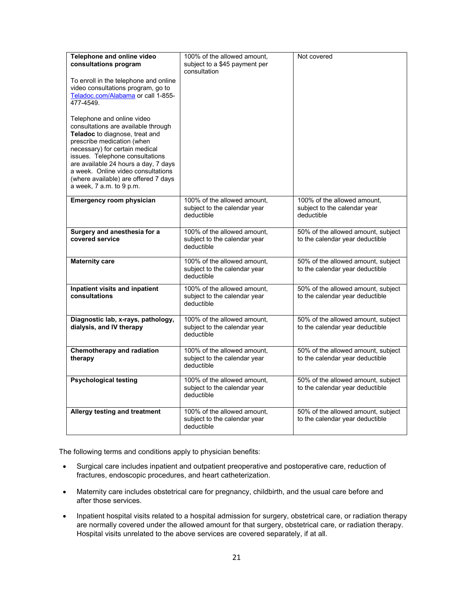| Telephone and online video<br>consultations program<br>To enroll in the telephone and online<br>video consultations program, go to<br>Teladoc.com/Alabama or call 1-855-<br>477-4549.<br>Telephone and online video<br>consultations are available through<br>Teladoc to diagnose, treat and<br>prescribe medication (when<br>necessary) for certain medical<br>issues. Telephone consultations<br>are available 24 hours a day, 7 days<br>a week. Online video consultations<br>(where available) are offered 7 days<br>a week, 7 a.m. to 9 p.m. | 100% of the allowed amount,<br>subject to a \$45 payment per<br>consultation | Not covered                                                               |
|---------------------------------------------------------------------------------------------------------------------------------------------------------------------------------------------------------------------------------------------------------------------------------------------------------------------------------------------------------------------------------------------------------------------------------------------------------------------------------------------------------------------------------------------------|------------------------------------------------------------------------------|---------------------------------------------------------------------------|
| Emergency room physician                                                                                                                                                                                                                                                                                                                                                                                                                                                                                                                          | 100% of the allowed amount,<br>subject to the calendar year<br>deductible    | 100% of the allowed amount,<br>subject to the calendar year<br>deductible |
| Surgery and anesthesia for a<br>covered service                                                                                                                                                                                                                                                                                                                                                                                                                                                                                                   | 100% of the allowed amount,<br>subject to the calendar year<br>deductible    | 50% of the allowed amount, subject<br>to the calendar year deductible     |
| <b>Maternity care</b>                                                                                                                                                                                                                                                                                                                                                                                                                                                                                                                             | 100% of the allowed amount,<br>subject to the calendar year<br>deductible    | 50% of the allowed amount, subject<br>to the calendar year deductible     |
| Inpatient visits and inpatient<br>consultations                                                                                                                                                                                                                                                                                                                                                                                                                                                                                                   | 100% of the allowed amount.<br>subject to the calendar year<br>deductible    | 50% of the allowed amount, subject<br>to the calendar year deductible     |
| Diagnostic lab, x-rays, pathology,<br>dialysis, and IV therapy                                                                                                                                                                                                                                                                                                                                                                                                                                                                                    | 100% of the allowed amount,<br>subject to the calendar year<br>deductible    | 50% of the allowed amount, subject<br>to the calendar year deductible     |
| <b>Chemotherapy and radiation</b><br>therapy                                                                                                                                                                                                                                                                                                                                                                                                                                                                                                      | 100% of the allowed amount,<br>subject to the calendar year<br>deductible    | 50% of the allowed amount, subject<br>to the calendar year deductible     |
| <b>Psychological testing</b>                                                                                                                                                                                                                                                                                                                                                                                                                                                                                                                      | 100% of the allowed amount.<br>subject to the calendar year<br>deductible    | 50% of the allowed amount, subject<br>to the calendar year deductible     |
| Allergy testing and treatment                                                                                                                                                                                                                                                                                                                                                                                                                                                                                                                     | 100% of the allowed amount,<br>subject to the calendar year<br>deductible    | 50% of the allowed amount, subject<br>to the calendar year deductible     |

The following terms and conditions apply to physician benefits:

- Surgical care includes inpatient and outpatient preoperative and postoperative care, reduction of fractures, endoscopic procedures, and heart catheterization.
- Maternity care includes obstetrical care for pregnancy, childbirth, and the usual care before and after those services.
- Inpatient hospital visits related to a hospital admission for surgery, obstetrical care, or radiation therapy are normally covered under the allowed amount for that surgery, obstetrical care, or radiation therapy. Hospital visits unrelated to the above services are covered separately, if at all.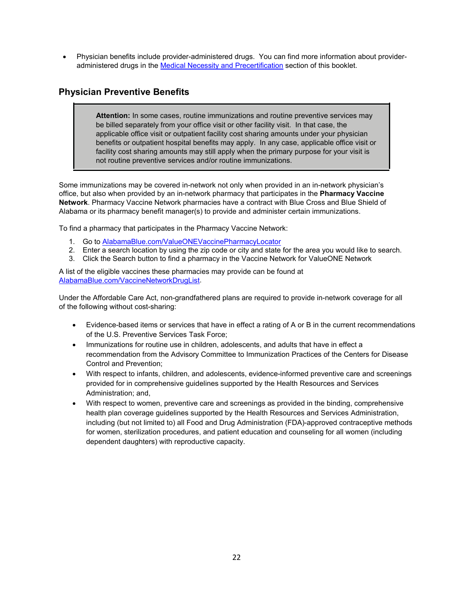• Physician benefits include provider-administered drugs. You can find more information about provideradministered drugs in the [Medical Necessity and Precertification](#page-18-0) section of this booklet.

## <span id="page-26-0"></span>**Physician Preventive Benefits**

**Attention:** In some cases, routine immunizations and routine preventive services may be billed separately from your office visit or other facility visit. In that case, the applicable office visit or outpatient facility cost sharing amounts under your physician benefits or outpatient hospital benefits may apply. In any case, applicable office visit or facility cost sharing amounts may still apply when the primary purpose for your visit is not routine preventive services and/or routine immunizations.

Some immunizations may be covered in-network not only when provided in an in-network physician's office, but also when provided by an in-network pharmacy that participates in the **Pharmacy Vaccine Network**. Pharmacy Vaccine Network pharmacies have a contract with Blue Cross and Blue Shield of Alabama or its pharmacy benefit manager(s) to provide and administer certain immunizations.

To find a pharmacy that participates in the Pharmacy Vaccine Network:

- 1. Go to [AlabamaBlue.com/ValueONEVaccinePharmacyLocator](https://www.alabamablue.com/ValueONEVaccinePharmacyLocator)
- 2. Enter a search location by using the zip code or city and state for the area you would like to search.
- 3. Click the Search button to find a pharmacy in the Vaccine Network for ValueONE Network

A list of the eligible vaccines these pharmacies may provide can be found at [AlabamaBlue.com/VaccineNetworkDrugList.](http://www.alabamablue.com/VaccineNetworkDrugList)

Under the Affordable Care Act, non-grandfathered plans are required to provide in-network coverage for all of the following without cost-sharing:

- Evidence-based items or services that have in effect a rating of A or B in the current recommendations of the U.S. Preventive Services Task Force;
- Immunizations for routine use in children, adolescents, and adults that have in effect a recommendation from the Advisory Committee to Immunization Practices of the Centers for Disease Control and Prevention;
- With respect to infants, children, and adolescents, evidence-informed preventive care and screenings provided for in comprehensive guidelines supported by the Health Resources and Services Administration; and,
- With respect to women, preventive care and screenings as provided in the binding, comprehensive health plan coverage guidelines supported by the Health Resources and Services Administration, including (but not limited to) all Food and Drug Administration (FDA)-approved contraceptive methods for women, sterilization procedures, and patient education and counseling for all women (including dependent daughters) with reproductive capacity.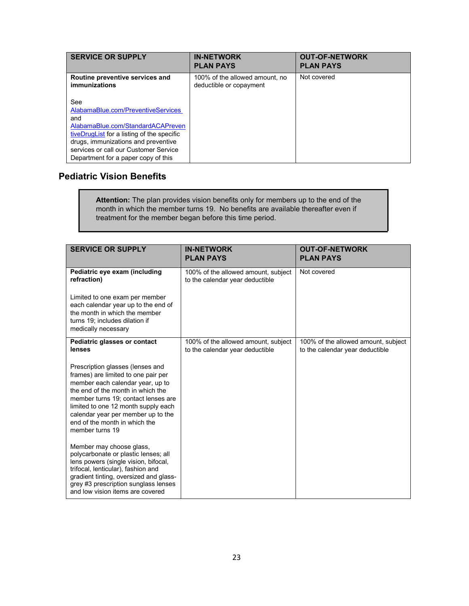| <b>SERVICE OR SUPPLY</b>                                                                                                                                                                                                                                                                                              | <b>IN-NETWORK</b><br><b>PLAN PAYS</b>                     | <b>OUT-OF-NETWORK</b><br><b>PLAN PAYS</b> |
|-----------------------------------------------------------------------------------------------------------------------------------------------------------------------------------------------------------------------------------------------------------------------------------------------------------------------|-----------------------------------------------------------|-------------------------------------------|
| Routine preventive services and<br><i>immunizations</i><br>See<br>AlabamaBlue.com/PreventiveServices<br>and<br>AlabamaBlue.com/StandardACAPreven<br>tiveDrugList for a listing of the specific<br>drugs, immunizations and preventive<br>services or call our Customer Service<br>Department for a paper copy of this | 100% of the allowed amount, no<br>deductible or copayment | Not covered                               |

## <span id="page-27-0"></span>**Pediatric Vision Benefits**

**Attention:** The plan provides vision benefits only for members up to the end of the month in which the member turns 19. No benefits are available thereafter even if treatment for the member began before this time period.

<span id="page-27-1"></span>

| <b>SERVICE OR SUPPLY</b>                                                                                                                                                                                                                                                                                                 | <b>IN-NETWORK</b><br><b>PLAN PAYS</b>                                  | <b>OUT-OF-NETWORK</b><br><b>PLAN PAYS</b>                              |
|--------------------------------------------------------------------------------------------------------------------------------------------------------------------------------------------------------------------------------------------------------------------------------------------------------------------------|------------------------------------------------------------------------|------------------------------------------------------------------------|
| Pediatric eye exam (including<br>refraction)                                                                                                                                                                                                                                                                             | 100% of the allowed amount, subject<br>to the calendar year deductible | Not covered                                                            |
| Limited to one exam per member<br>each calendar year up to the end of<br>the month in which the member<br>turns 19; includes dilation if<br>medically necessary                                                                                                                                                          |                                                                        |                                                                        |
| Pediatric glasses or contact<br>lenses                                                                                                                                                                                                                                                                                   | 100% of the allowed amount, subject<br>to the calendar year deductible | 100% of the allowed amount, subject<br>to the calendar year deductible |
| Prescription glasses (lenses and<br>frames) are limited to one pair per<br>member each calendar year, up to<br>the end of the month in which the<br>member turns 19; contact lenses are<br>limited to one 12 month supply each<br>calendar year per member up to the<br>end of the month in which the<br>member turns 19 |                                                                        |                                                                        |
| Member may choose glass,<br>polycarbonate or plastic lenses; all<br>lens powers (single vision, bifocal,<br>trifocal, lenticular), fashion and<br>gradient tinting, oversized and glass-<br>grey #3 prescription sunglass lenses<br>and low vision items are covered                                                     |                                                                        |                                                                        |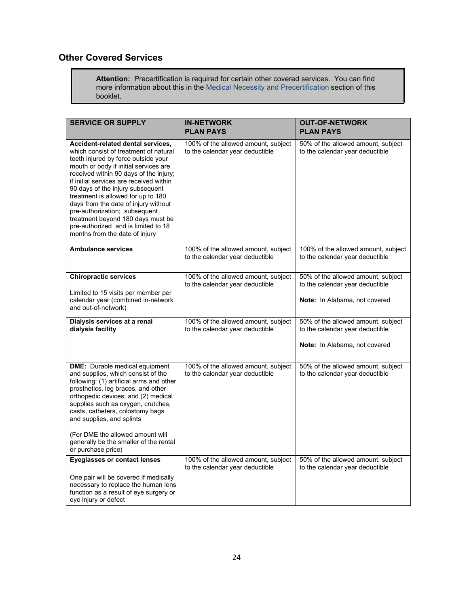## <span id="page-28-0"></span>**Other Covered Services**

**Attention:** Precertification is required for certain other covered services. You can find more information about this in the [Medical Necessity and Precertification](#page-18-0) section of this booklet.

| <b>SERVICE OR SUPPLY</b>                                                                                                                                                                                                                                                                                                                                                                                                                                                                                         | <b>IN-NETWORK</b><br><b>PLAN PAYS</b>                                  | <b>OUT-OF-NETWORK</b><br><b>PLAN PAYS</b>                              |
|------------------------------------------------------------------------------------------------------------------------------------------------------------------------------------------------------------------------------------------------------------------------------------------------------------------------------------------------------------------------------------------------------------------------------------------------------------------------------------------------------------------|------------------------------------------------------------------------|------------------------------------------------------------------------|
| Accident-related dental services,<br>which consist of treatment of natural<br>teeth injured by force outside your<br>mouth or body if initial services are<br>received within 90 days of the injury;<br>if initial services are received within<br>90 days of the injury subsequent<br>treatment is allowed for up to 180<br>days from the date of injury without<br>pre-authorization; subsequent<br>treatment beyond 180 days must be<br>pre-authorized and is limited to 18<br>months from the date of injury | 100% of the allowed amount, subject<br>to the calendar year deductible | 50% of the allowed amount, subject<br>to the calendar year deductible  |
| <b>Ambulance services</b>                                                                                                                                                                                                                                                                                                                                                                                                                                                                                        | 100% of the allowed amount, subject<br>to the calendar year deductible | 100% of the allowed amount, subject<br>to the calendar year deductible |
| <b>Chiropractic services</b>                                                                                                                                                                                                                                                                                                                                                                                                                                                                                     | 100% of the allowed amount, subject<br>to the calendar year deductible | 50% of the allowed amount, subject<br>to the calendar year deductible  |
| Limited to 15 visits per member per<br>calendar year (combined in-network<br>and out-of-network)                                                                                                                                                                                                                                                                                                                                                                                                                 |                                                                        | Note: In Alabama, not covered                                          |
| Dialysis services at a renal<br>dialysis facility                                                                                                                                                                                                                                                                                                                                                                                                                                                                | 100% of the allowed amount, subject<br>to the calendar year deductible | 50% of the allowed amount, subject<br>to the calendar year deductible  |
|                                                                                                                                                                                                                                                                                                                                                                                                                                                                                                                  |                                                                        | Note: In Alabama, not covered                                          |
| <b>DME:</b> Durable medical equipment<br>and supplies, which consist of the<br>following: (1) artificial arms and other<br>prosthetics, leg braces, and other<br>orthopedic devices; and (2) medical<br>supplies such as oxygen, crutches,<br>casts, catheters, colostomy bags<br>and supplies, and splints                                                                                                                                                                                                      | 100% of the allowed amount, subject<br>to the calendar year deductible | 50% of the allowed amount, subject<br>to the calendar year deductible  |
| (For DME the allowed amount will<br>generally be the smaller of the rental<br>or purchase price)                                                                                                                                                                                                                                                                                                                                                                                                                 |                                                                        |                                                                        |
| <b>Eyeglasses or contact lenses</b>                                                                                                                                                                                                                                                                                                                                                                                                                                                                              | 100% of the allowed amount, subject<br>to the calendar year deductible | 50% of the allowed amount, subject<br>to the calendar year deductible  |
| One pair will be covered if medically<br>necessary to replace the human lens<br>function as a result of eye surgery or<br>eye injury or defect                                                                                                                                                                                                                                                                                                                                                                   |                                                                        |                                                                        |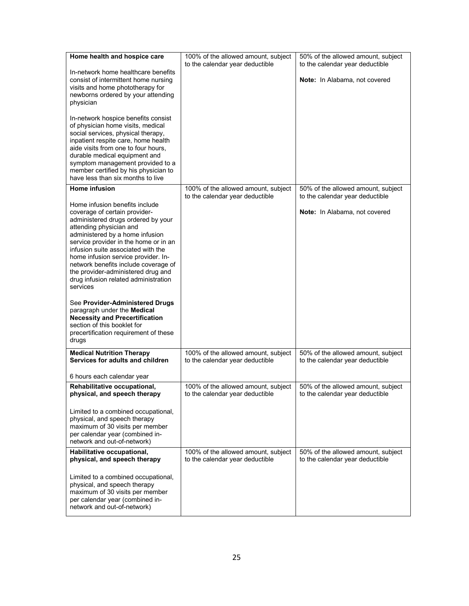| Home health and hospice care<br>In-network home healthcare benefits<br>consist of intermittent home nursing<br>visits and home phototherapy for<br>newborns ordered by your attending<br>physician<br>In-network hospice benefits consist<br>of physician home visits, medical<br>social services, physical therapy,<br>inpatient respite care, home health<br>aide visits from one to four hours,<br>durable medical equipment and<br>symptom management provided to a<br>member certified by his physician to<br>have less than six months to live | 100% of the allowed amount, subject<br>to the calendar year deductible | 50% of the allowed amount, subject<br>to the calendar year deductible<br>Note: In Alabama, not covered |
|------------------------------------------------------------------------------------------------------------------------------------------------------------------------------------------------------------------------------------------------------------------------------------------------------------------------------------------------------------------------------------------------------------------------------------------------------------------------------------------------------------------------------------------------------|------------------------------------------------------------------------|--------------------------------------------------------------------------------------------------------|
| <b>Home infusion</b><br>Home infusion benefits include<br>coverage of certain provider-<br>administered drugs ordered by your<br>attending physician and<br>administered by a home infusion<br>service provider in the home or in an<br>infusion suite associated with the<br>home infusion service provider. In-<br>network benefits include coverage of<br>the provider-administered drug and<br>drug infusion related administration<br>services<br>See Provider-Administered Drugs<br>paragraph under the Medical                                | 100% of the allowed amount, subject<br>to the calendar year deductible | 50% of the allowed amount, subject<br>to the calendar year deductible<br>Note: In Alabama, not covered |
| <b>Necessity and Precertification</b><br>section of this booklet for<br>precertification requirement of these<br>drugs<br><b>Medical Nutrition Therapy</b>                                                                                                                                                                                                                                                                                                                                                                                           | 100% of the allowed amount, subject                                    | 50% of the allowed amount, subject                                                                     |
| Services for adults and children<br>6 hours each calendar year                                                                                                                                                                                                                                                                                                                                                                                                                                                                                       | to the calendar year deductible                                        | to the calendar year deductible                                                                        |
| Rehabilitative occupational,<br>physical, and speech therapy<br>Limited to a combined occupational,<br>physical, and speech therapy<br>maximum of 30 visits per member<br>per calendar year (combined in-<br>network and out-of-network)                                                                                                                                                                                                                                                                                                             | 100% of the allowed amount, subject<br>to the calendar year deductible | 50% of the allowed amount, subject<br>to the calendar year deductible                                  |
| Habilitative occupational,<br>physical, and speech therapy<br>Limited to a combined occupational,<br>physical, and speech therapy<br>maximum of 30 visits per member<br>per calendar year (combined in-<br>network and out-of-network)                                                                                                                                                                                                                                                                                                               | 100% of the allowed amount, subject<br>to the calendar year deductible | 50% of the allowed amount, subject<br>to the calendar year deductible                                  |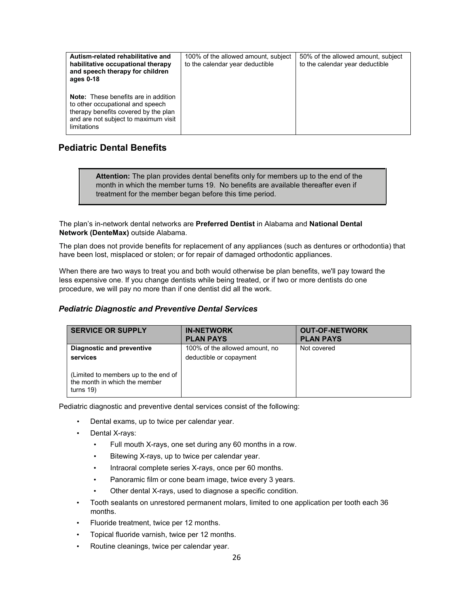| Autism-related rehabilitative and<br>habilitative occupational therapy<br>and speech therapy for children<br>ages 0-18                                                         | 100% of the allowed amount, subject<br>to the calendar year deductible | 50% of the allowed amount, subject<br>to the calendar year deductible |
|--------------------------------------------------------------------------------------------------------------------------------------------------------------------------------|------------------------------------------------------------------------|-----------------------------------------------------------------------|
| <b>Note:</b> These benefits are in addition<br>to other occupational and speech<br>therapy benefits covered by the plan<br>and are not subject to maximum visit<br>limitations |                                                                        |                                                                       |

## <span id="page-30-0"></span>**Pediatric Dental Benefits**

**Attention:** The plan provides dental benefits only for members up to the end of the month in which the member turns 19. No benefits are available thereafter even if treatment for the member began before this time period.

The plan's in-network dental networks are **Preferred Dentist** in Alabama and **National Dental Network (DenteMax)** outside Alabama.

The plan does not provide benefits for replacement of any appliances (such as dentures or orthodontia) that have been lost, misplaced or stolen; or for repair of damaged orthodontic appliances.

When there are two ways to treat you and both would otherwise be plan benefits, we'll pay toward the less expensive one. If you change dentists while being treated, or if two or more dentists do one procedure, we will pay no more than if one dentist did all the work.

### *Pediatric Diagnostic and Preventive Dental Services*

| <b>SERVICE OR SUPPLY</b>                                                           | <b>IN-NETWORK</b><br><b>PLAN PAYS</b> | <b>OUT-OF-NETWORK</b><br><b>PLAN PAYS</b> |
|------------------------------------------------------------------------------------|---------------------------------------|-------------------------------------------|
| Diagnostic and preventive                                                          | 100% of the allowed amount, no        | Not covered                               |
| services                                                                           | deductible or copayment               |                                           |
| (Limited to members up to the end of<br>the month in which the member<br>turns 19) |                                       |                                           |

Pediatric diagnostic and preventive dental services consist of the following:

- Dental exams, up to twice per calendar year.
- Dental X-rays:
	- Full mouth X-rays, one set during any 60 months in a row.
	- Bitewing X-rays, up to twice per calendar year.
	- Intraoral complete series X-rays, once per 60 months.
	- Panoramic film or cone beam image, twice every 3 years.
	- Other dental X-rays, used to diagnose a specific condition.
- Tooth sealants on unrestored permanent molars, limited to one application per tooth each 36 months.
- Fluoride treatment, twice per 12 months.
- Topical fluoride varnish, twice per 12 months.
- Routine cleanings, twice per calendar year.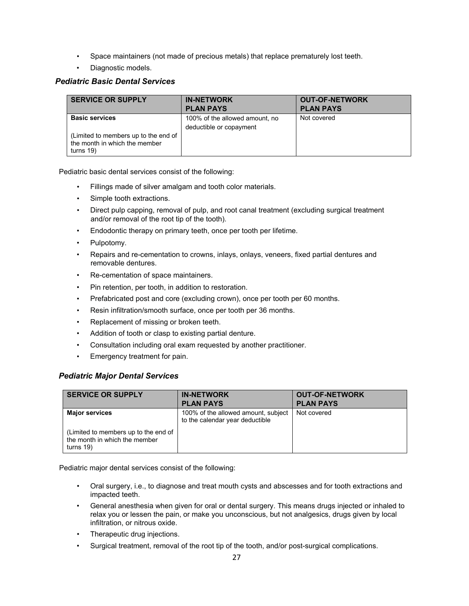- Space maintainers (not made of precious metals) that replace prematurely lost teeth.
- Diagnostic models.

#### *Pediatric Basic Dental Services*

| <b>SERVICE OR SUPPLY</b>                                                              | <b>IN-NETWORK</b>              | <b>OUT-OF-NETWORK</b> |
|---------------------------------------------------------------------------------------|--------------------------------|-----------------------|
|                                                                                       | <b>PLAN PAYS</b>               | <b>PLAN PAYS</b>      |
| <b>Basic services</b>                                                                 | 100% of the allowed amount, no | Not covered           |
|                                                                                       | deductible or copayment        |                       |
| (Limited to members up to the end of<br>the month in which the member<br>turns $19$ ) |                                |                       |

Pediatric basic dental services consist of the following:

- Fillings made of silver amalgam and tooth color materials.
- Simple tooth extractions.
- Direct pulp capping, removal of pulp, and root canal treatment (excluding surgical treatment and/or removal of the root tip of the tooth).
- Endodontic therapy on primary teeth, once per tooth per lifetime.
- Pulpotomy.
- Repairs and re-cementation to crowns, inlays, onlays, veneers, fixed partial dentures and removable dentures.
- Re-cementation of space maintainers.
- Pin retention, per tooth, in addition to restoration.
- Prefabricated post and core (excluding crown), once per tooth per 60 months.
- Resin infiltration/smooth surface, once per tooth per 36 months.
- Replacement of missing or broken teeth.
- Addition of tooth or clasp to existing partial denture.
- Consultation including oral exam requested by another practitioner.
- Emergency treatment for pain.

#### *Pediatric Major Dental Services*

| <b>SERVICE OR SUPPLY</b>                                                              | <b>IN-NETWORK</b><br><b>PLAN PAYS</b>                                  | <b>OUT-OF-NETWORK</b><br><b>PLAN PAYS</b> |
|---------------------------------------------------------------------------------------|------------------------------------------------------------------------|-------------------------------------------|
| <b>Major services</b>                                                                 | 100% of the allowed amount, subject<br>to the calendar year deductible | Not covered                               |
| (Limited to members up to the end of<br>the month in which the member<br>turns $19$ ) |                                                                        |                                           |

Pediatric major dental services consist of the following:

- Oral surgery, i.e., to diagnose and treat mouth cysts and abscesses and for tooth extractions and impacted teeth.
- General anesthesia when given for oral or dental surgery. This means drugs injected or inhaled to relax you or lessen the pain, or make you unconscious, but not analgesics, drugs given by local infiltration, or nitrous oxide.
- Therapeutic drug injections.
- Surgical treatment, removal of the root tip of the tooth, and/or post-surgical complications.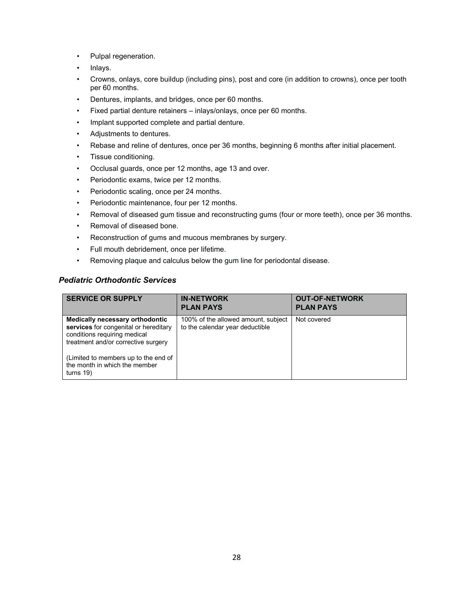- Pulpal regeneration.
- Inlays.
- Crowns, onlays, core buildup (including pins), post and core (in addition to crowns), once per tooth per 60 months.
- Dentures, implants, and bridges, once per 60 months.
- Fixed partial denture retainers inlays/onlays, once per 60 months.
- Implant supported complete and partial denture.
- Adjustments to dentures.
- Rebase and reline of dentures, once per 36 months, beginning 6 months after initial placement.
- Tissue conditioning.
- Occlusal guards, once per 12 months, age 13 and over.
- Periodontic exams, twice per 12 months.
- Periodontic scaling, once per 24 months.
- Periodontic maintenance, four per 12 months.
- Removal of diseased gum tissue and reconstructing gums (four or more teeth), once per 36 months.
- Removal of diseased bone.
- Reconstruction of gums and mucous membranes by surgery.
- Full mouth debridement, once per lifetime.
- Removing plaque and calculus below the gum line for periodontal disease.

### *Pediatric Orthodontic Services*

| <b>SERVICE OR SUPPLY</b>                                                                                                                                                                                                                 | <b>IN-NETWORK</b><br><b>PLAN PAYS</b>                                  | <b>OUT-OF-NETWORK</b><br><b>PLAN PAYS</b> |
|------------------------------------------------------------------------------------------------------------------------------------------------------------------------------------------------------------------------------------------|------------------------------------------------------------------------|-------------------------------------------|
| Medically necessary orthodontic<br>services for congenital or hereditary<br>conditions requiring medical<br>treatment and/or corrective surgery<br>(Limited to members up to the end of<br>the month in which the member<br>turns $19$ ) | 100% of the allowed amount, subject<br>to the calendar year deductible | Not covered                               |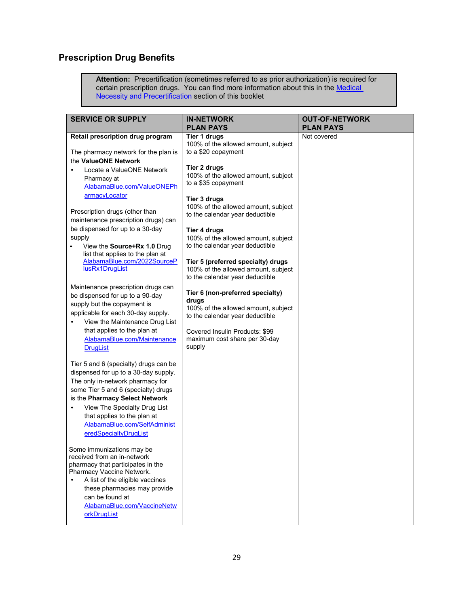## <span id="page-33-0"></span>**Prescription Drug Benefits**

**Attention:** Precertification (sometimes referred to as prior authorization) is required for certain prescription drugs. You can find more information about this in the Medical **[Necessity and Precertification](#page-18-0)** section of this booklet

| <b>PLAN PAYS</b>                                                                       | <b>PLAN PAYS</b>                                            |
|----------------------------------------------------------------------------------------|-------------------------------------------------------------|
| <b>Tier 1 druas</b><br>100% of the allowed amount, subject<br>to a \$20 copayment      | Not covered                                                 |
| Tier 2 drugs<br>100% of the allowed amount, subject<br>to a \$35 copayment             |                                                             |
| Tier 3 drugs<br>100% of the allowed amount, subject<br>to the calendar year deductible |                                                             |
| 100% of the allowed amount, subject<br>to the calendar year deductible                 |                                                             |
| 100% of the allowed amount, subject<br>to the calendar year deductible                 |                                                             |
| Tier 6 (non-preferred specialty)                                                       |                                                             |
| 100% of the allowed amount, subject<br>to the calendar year deductible                 |                                                             |
| Covered Insulin Products: \$99<br>maximum cost share per 30-day<br>supply              |                                                             |
|                                                                                        |                                                             |
|                                                                                        |                                                             |
|                                                                                        |                                                             |
|                                                                                        |                                                             |
|                                                                                        | Tier 4 drugs<br>Tier 5 (preferred specialty) drugs<br>drugs |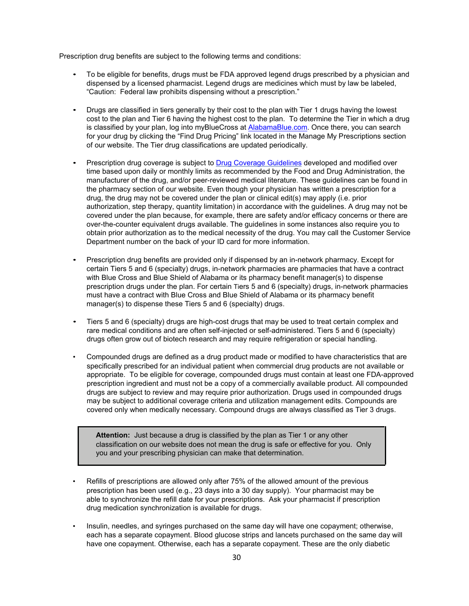Prescription drug benefits are subject to the following terms and conditions:

- To be eligible for benefits, drugs must be FDA approved legend drugs prescribed by a physician and dispensed by a licensed pharmacist. Legend drugs are medicines which must by law be labeled, "Caution: Federal law prohibits dispensing without a prescription."
- Drugs are classified in tiers generally by their cost to the plan with Tier 1 drugs having the lowest cost to the plan and Tier 6 having the highest cost to the plan. To determine the Tier in which a drug is classified by your plan, log into myBlueCross at [AlabamaBlue.com.](https://www.bcbsal.org/web/index.html) Once there, you can search for your drug by clicking the "Find Drug Pricing" link located in the Manage My Prescriptions section of our website. The Tier drug classifications are updated periodically.
- Prescription drug coverage is subject to [Drug Coverage Guidelines](https://www.bcbsal.org/web/pharmacy/guidelines.html) developed and modified over time based upon daily or monthly limits as recommended by the Food and Drug Administration, the manufacturer of the drug, and/or peer-reviewed medical literature. These guidelines can be found in the pharmacy section of our website. Even though your physician has written a prescription for a drug, the drug may not be covered under the plan or clinical edit(s) may apply (i.e. prior authorization, step therapy, quantity limitation) in accordance with the guidelines. A drug may not be covered under the plan because, for example, there are safety and/or efficacy concerns or there are over-the-counter equivalent drugs available. The guidelines in some instances also require you to obtain prior authorization as to the medical necessity of the drug. You may call the Customer Service Department number on the back of your ID card for more information.
- Prescription drug benefits are provided only if dispensed by an in-network pharmacy. Except for certain Tiers 5 and 6 (specialty) drugs, in-network pharmacies are pharmacies that have a contract with Blue Cross and Blue Shield of Alabama or its pharmacy benefit manager(s) to dispense prescription drugs under the plan. For certain Tiers 5 and 6 (specialty) drugs, in-network pharmacies must have a contract with Blue Cross and Blue Shield of Alabama or its pharmacy benefit manager(s) to dispense these Tiers 5 and 6 (specialty) drugs.
- Tiers 5 and 6 (specialty) drugs are high-cost drugs that may be used to treat certain complex and rare medical conditions and are often self-injected or self-administered. Tiers 5 and 6 (specialty) drugs often grow out of biotech research and may require refrigeration or special handling.
- Compounded drugs are defined as a drug product made or modified to have characteristics that are specifically prescribed for an individual patient when commercial drug products are not available or appropriate. To be eligible for coverage, compounded drugs must contain at least one FDA-approved prescription ingredient and must not be a copy of a commercially available product. All compounded drugs are subject to review and may require prior authorization. Drugs used in compounded drugs may be subject to additional coverage criteria and utilization management edits. Compounds are covered only when medically necessary. Compound drugs are always classified as Tier 3 drugs.

**Attention:** Just because a drug is classified by the plan as Tier 1 or any other classification on our website does not mean the drug is safe or effective for you. Only you and your prescribing physician can make that determination.

- Refills of prescriptions are allowed only after 75% of the allowed amount of the previous prescription has been used (e.g., 23 days into a 30 day supply). Your pharmacist may be able to synchronize the refill date for your prescriptions. Ask your pharmacist if prescription drug medication synchronization is available for drugs.
- Insulin, needles, and syringes purchased on the same day will have one copayment; otherwise, each has a separate copayment. Blood glucose strips and lancets purchased on the same day will have one copayment. Otherwise, each has a separate copayment. These are the only diabetic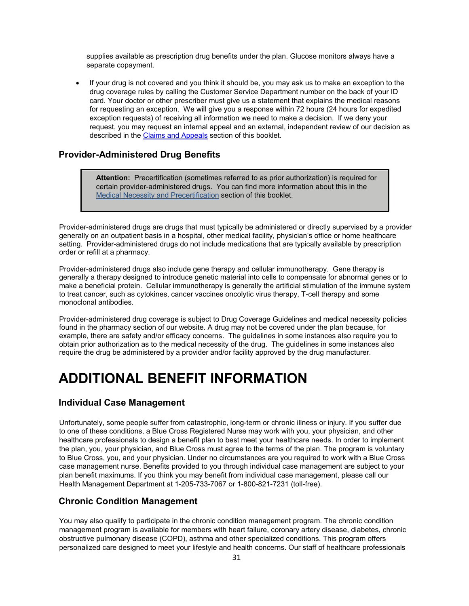supplies available as prescription drug benefits under the plan. Glucose monitors always have a separate copayment.

• If your drug is not covered and you think it should be, you may ask us to make an exception to the drug coverage rules by calling the Customer Service Department number on the back of your ID card. Your doctor or other prescriber must give us a statement that explains the medical reasons for requesting an exception. We will give you a response within 72 hours (24 hours for expedited exception requests) of receiving all information we need to make a decision. If we deny your request, you may request an internal appeal and an external, independent review of our decision as described in th[e Claims and Appeals](#page-48-0) section of this booklet.

## <span id="page-35-0"></span>**Provider-Administered Drug Benefits**

**Attention:** Precertification (sometimes referred to as prior authorization) is required for certain provider-administered drugs. You can find more information about this in the [Medical Necessity and Precertification](#page-18-0) section of this booklet.

Provider-administered drugs are drugs that must typically be administered or directly supervised by a provider generally on an outpatient basis in a hospital, other medical facility, physician's office or home healthcare setting. Provider-administered drugs do not include medications that are typically available by prescription order or refill at a pharmacy.

Provider-administered drugs also include gene therapy and cellular immunotherapy. Gene therapy is generally a therapy designed to introduce genetic material into cells to compensate for abnormal genes or to make a beneficial protein. Cellular immunotherapy is generally the artificial stimulation of the immune system to treat cancer, such as cytokines, cancer vaccines oncolytic virus therapy, T-cell therapy and some monoclonal antibodies.

Provider-administered drug coverage is subject to [Drug Coverage Guidelines](https://www.bcbsal.org/web/pharmacy/guidelines.html) and medical necessity policies found in the pharmacy section of our website. A drug may not be covered under the plan because, for example, there are safety and/or efficacy concerns. The guidelines in some instances also require you to obtain prior authorization as to the medical necessity of the drug. The guidelines in some instances also require the drug be administered by a provider and/or facility approved by the drug manufacturer.

# <span id="page-35-1"></span>**ADDITIONAL BENEFIT INFORMATION**

### <span id="page-35-2"></span>**Individual Case Management**

Unfortunately, some people suffer from catastrophic, long-term or chronic illness or injury. If you suffer due to one of these conditions, a Blue Cross Registered Nurse may work with you, your physician, and other healthcare professionals to design a benefit plan to best meet your healthcare needs. In order to implement the plan, you, your physician, and Blue Cross must agree to the terms of the plan. The program is voluntary to Blue Cross, you, and your physician. Under no circumstances are you required to work with a Blue Cross case management nurse. Benefits provided to you through individual case management are subject to your plan benefit maximums. If you think you may benefit from individual case management, please call our Health Management Department at 1-205-733-7067 or 1-800-821-7231 (toll-free).

## <span id="page-35-3"></span>**Chronic Condition Management**

You may also qualify to participate in the chronic condition management program. The chronic condition management program is available for members with heart failure, coronary artery disease, diabetes, chronic obstructive pulmonary disease (COPD), asthma and other specialized conditions. This program offers personalized care designed to meet your lifestyle and health concerns. Our staff of healthcare professionals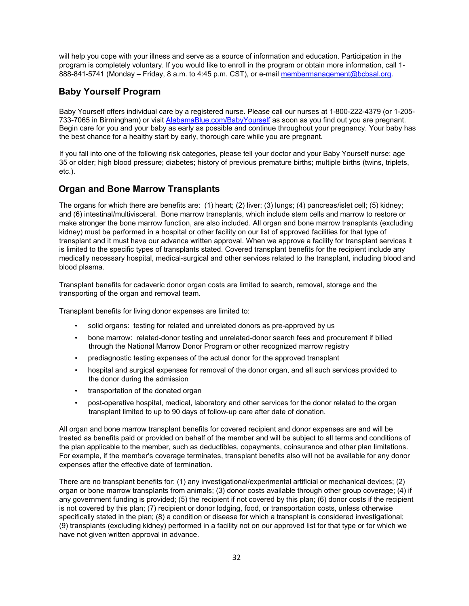will help you cope with your illness and serve as a source of information and education. Participation in the program is completely voluntary. If you would like to enroll in the program or obtain more information, call 1- 888-841-5741 (Monday – Friday, 8 a.m. to 4:45 p.m. CST), or e-mail [membermanagement@bcbsal.org.](mailto:membermanagement@bcbsal.org)

## <span id="page-36-0"></span>**Baby Yourself Program**

Baby Yourself offers individual care by a registered nurse. Please call our nurses at 1-800-222-4379 (or 1-205 733-7065 in Birmingham) or visi[t AlabamaBlue.com/BabyYourself](https://www.bcbsal.org/web/health/baby.html) as soon as you find out you are pregnant. Begin care for you and your baby as early as possible and continue throughout your pregnancy. Your baby has the best chance for a healthy start by early, thorough care while you are pregnant.

If you fall into one of the following risk categories, please tell your doctor and your Baby Yourself nurse: age 35 or older; high blood pressure; diabetes; history of previous premature births; multiple births (twins, triplets, etc.).

## <span id="page-36-1"></span>**Organ and Bone Marrow Transplants**

The organs for which there are benefits are: (1) heart; (2) liver; (3) lungs; (4) pancreas/islet cell; (5) kidney; and (6) intestinal/multivisceral. Bone marrow transplants, which include stem cells and marrow to restore or make stronger the bone marrow function, are also included. All organ and bone marrow transplants (excluding kidney) must be performed in a hospital or other facility on our list of approved facilities for that type of transplant and it must have our advance written approval. When we approve a facility for transplant services it is limited to the specific types of transplants stated. Covered transplant benefits for the recipient include any medically necessary hospital, medical-surgical and other services related to the transplant, including blood and blood plasma.

Transplant benefits for cadaveric donor organ costs are limited to search, removal, storage and the transporting of the organ and removal team.

Transplant benefits for living donor expenses are limited to:

- solid organs: testing for related and unrelated donors as pre-approved by us
- bone marrow: related-donor testing and unrelated-donor search fees and procurement if billed through the National Marrow Donor Program or other recognized marrow registry
- prediagnostic testing expenses of the actual donor for the approved transplant
- hospital and surgical expenses for removal of the donor organ, and all such services provided to the donor during the admission
- transportation of the donated organ
- post-operative hospital, medical, laboratory and other services for the donor related to the organ transplant limited to up to 90 days of follow-up care after date of donation.

All organ and bone marrow transplant benefits for covered recipient and donor expenses are and will be treated as benefits paid or provided on behalf of the member and will be subject to all terms and conditions of the plan applicable to the member, such as deductibles, copayments, coinsurance and other plan limitations. For example, if the member's coverage terminates, transplant benefits also will not be available for any donor expenses after the effective date of termination.

There are no transplant benefits for: (1) any investigational/experimental artificial or mechanical devices; (2) organ or bone marrow transplants from animals; (3) donor costs available through other group coverage; (4) if any government funding is provided; (5) the recipient if not covered by this plan; (6) donor costs if the recipient is not covered by this plan; (7) recipient or donor lodging, food, or transportation costs, unless otherwise specifically stated in the plan; (8) a condition or disease for which a transplant is considered investigational; (9) transplants (excluding kidney) performed in a facility not on our approved list for that type or for which we have not given written approval in advance.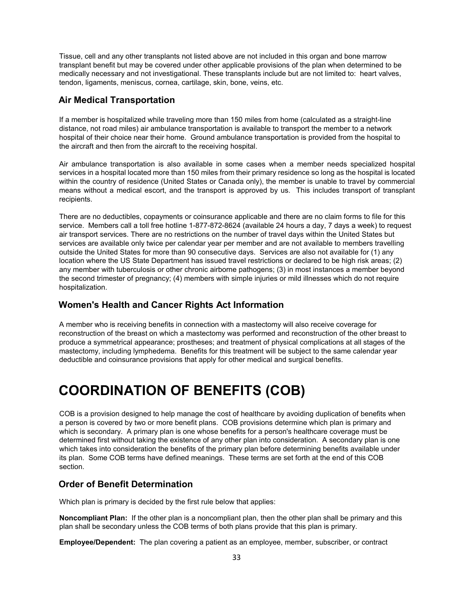Tissue, cell and any other transplants not listed above are not included in this organ and bone marrow transplant benefit but may be covered under other applicable provisions of the plan when determined to be medically necessary and not investigational. These transplants include but are not limited to: heart valves, tendon, ligaments, meniscus, cornea, cartilage, skin, bone, veins, etc.

## <span id="page-37-0"></span>**Air Medical Transportation**

If a member is hospitalized while traveling more than 150 miles from home (calculated as a straight-line distance, not road miles) air ambulance transportation is available to transport the member to a network hospital of their choice near their home. Ground ambulance transportation is provided from the hospital to the aircraft and then from the aircraft to the receiving hospital.

Air ambulance transportation is also available in some cases when a member needs specialized hospital services in a hospital located more than 150 miles from their primary residence so long as the hospital is located within the country of residence (United States or Canada only), the member is unable to travel by commercial means without a medical escort, and the transport is approved by us. This includes transport of transplant recipients.

There are no deductibles, copayments or coinsurance applicable and there are no claim forms to file for this service. Members call a toll free hotline 1-877-872-8624 (available 24 hours a day, 7 days a week) to request air transport services. There are no restrictions on the number of travel days within the United States but services are available only twice per calendar year per member and are not available to members travelling outside the United States for more than 90 consecutive days. Services are also not available for (1) any location where the US State Department has issued travel restrictions or declared to be high risk areas; (2) any member with tuberculosis or other chronic airborne pathogens; (3) in most instances a member beyond the second trimester of pregnancy; (4) members with simple injuries or mild illnesses which do not require hospitalization.

### <span id="page-37-1"></span>**Women's Health and Cancer Rights Act Information**

A member who is receiving benefits in connection with a mastectomy will also receive coverage for reconstruction of the breast on which a mastectomy was performed and reconstruction of the other breast to produce a symmetrical appearance; prostheses; and treatment of physical complications at all stages of the mastectomy, including lymphedema. Benefits for this treatment will be subject to the same calendar year deductible and coinsurance provisions that apply for other medical and surgical benefits.

# <span id="page-37-2"></span>**COORDINATION OF BENEFITS (COB)**

COB is a provision designed to help manage the cost of healthcare by avoiding duplication of benefits when a person is covered by two or more benefit plans. COB provisions determine which plan is primary and which is secondary. A primary plan is one whose benefits for a person's healthcare coverage must be determined first without taking the existence of any other plan into consideration. A secondary plan is one which takes into consideration the benefits of the primary plan before determining benefits available under its plan. Some COB terms have defined meanings. These terms are set forth at the end of this COB section.

### <span id="page-37-3"></span>**Order of Benefit Determination**

Which plan is primary is decided by the first rule below that applies:

**Noncompliant Plan:** If the other plan is a noncompliant plan, then the other plan shall be primary and this plan shall be secondary unless the COB terms of both plans provide that this plan is primary.

**Employee/Dependent:** The plan covering a patient as an employee, member, subscriber, or contract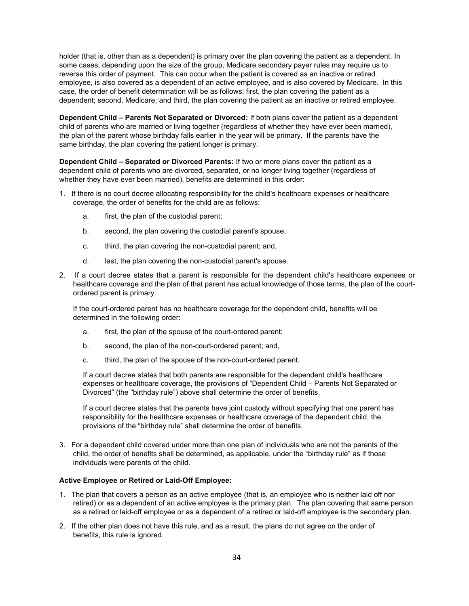holder (that is, other than as a dependent) is primary over the plan covering the patient as a dependent. In some cases, depending upon the size of the group, Medicare secondary payer rules may require us to reverse this order of payment. This can occur when the patient is covered as an inactive or retired employee, is also covered as a dependent of an active employee, and is also covered by Medicare. In this case, the order of benefit determination will be as follows: first, the plan covering the patient as a dependent; second, Medicare; and third, the plan covering the patient as an inactive or retired employee.

**Dependent Child – Parents Not Separated or Divorced:** If both plans cover the patient as a dependent child of parents who are married or living together (regardless of whether they have ever been married), the plan of the parent whose birthday falls earlier in the year will be primary. If the parents have the same birthday, the plan covering the patient longer is primary.

**Dependent Child – Separated or Divorced Parents:** If two or more plans cover the patient as a dependent child of parents who are divorced, separated, or no longer living together (regardless of whether they have ever been married), benefits are determined in this order:

- 1. If there is no court decree allocating responsibility for the child's healthcare expenses or healthcare coverage, the order of benefits for the child are as follows:
	- a. first, the plan of the custodial parent;
	- b. second, the plan covering the custodial parent's spouse;
	- c. third, the plan covering the non-custodial parent; and,
	- d. last, the plan covering the non-custodial parent's spouse.
- 2. If a court decree states that a parent is responsible for the dependent child's healthcare expenses or healthcare coverage and the plan of that parent has actual knowledge of those terms, the plan of the courtordered parent is primary.

If the court-ordered parent has no healthcare coverage for the dependent child, benefits will be determined in the following order:

- a. first, the plan of the spouse of the court-ordered parent;
- b. second, the plan of the non-court-ordered parent; and,
- c. third, the plan of the spouse of the non-court-ordered parent.

If a court decree states that both parents are responsible for the dependent child's healthcare expenses or healthcare coverage, the provisions of "Dependent Child – Parents Not Separated or Divorced" (the "birthday rule") above shall determine the order of benefits.

If a court decree states that the parents have joint custody without specifying that one parent has responsibility for the healthcare expenses or healthcare coverage of the dependent child, the provisions of the "birthday rule" shall determine the order of benefits.

3. For a dependent child covered under more than one plan of individuals who are not the parents of the child, the order of benefits shall be determined, as applicable, under the "birthday rule" as if those individuals were parents of the child.

#### **Active Employee or Retired or Laid-Off Employee:**

- 1. The plan that covers a person as an active employee (that is, an employee who is neither laid off nor retired) or as a dependent of an active employee is the primary plan. The plan covering that same person as a retired or laid-off employee or as a dependent of a retired or laid-off employee is the secondary plan.
- 2. If the other plan does not have this rule, and as a result, the plans do not agree on the order of benefits, this rule is ignored.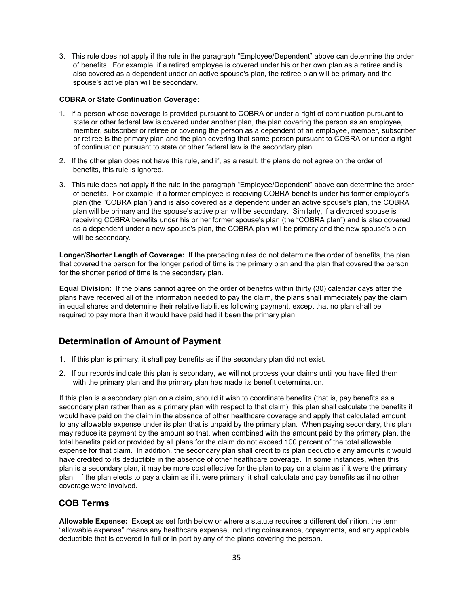3. This rule does not apply if the rule in the paragraph "Employee/Dependent" above can determine the order of benefits. For example, if a retired employee is covered under his or her own plan as a retiree and is also covered as a dependent under an active spouse's plan, the retiree plan will be primary and the spouse's active plan will be secondary.

#### **COBRA or State Continuation Coverage:**

- 1. If a person whose coverage is provided pursuant to COBRA or under a right of continuation pursuant to state or other federal law is covered under another plan, the plan covering the person as an employee, member, subscriber or retiree or covering the person as a dependent of an employee, member, subscriber or retiree is the primary plan and the plan covering that same person pursuant to COBRA or under a right of continuation pursuant to state or other federal law is the secondary plan.
- 2. If the other plan does not have this rule, and if, as a result, the plans do not agree on the order of benefits, this rule is ignored.
- 3. This rule does not apply if the rule in the paragraph "Employee/Dependent" above can determine the order of benefits. For example, if a former employee is receiving COBRA benefits under his former employer's plan (the "COBRA plan") and is also covered as a dependent under an active spouse's plan, the COBRA plan will be primary and the spouse's active plan will be secondary. Similarly, if a divorced spouse is receiving COBRA benefits under his or her former spouse's plan (the "COBRA plan") and is also covered as a dependent under a new spouse's plan, the COBRA plan will be primary and the new spouse's plan will be secondary.

**Longer/Shorter Length of Coverage:** If the preceding rules do not determine the order of benefits, the plan that covered the person for the longer period of time is the primary plan and the plan that covered the person for the shorter period of time is the secondary plan.

**Equal Division:** If the plans cannot agree on the order of benefits within thirty (30) calendar days after the plans have received all of the information needed to pay the claim, the plans shall immediately pay the claim in equal shares and determine their relative liabilities following payment, except that no plan shall be required to pay more than it would have paid had it been the primary plan.

### <span id="page-39-0"></span>**Determination of Amount of Payment**

- 1. If this plan is primary, it shall pay benefits as if the secondary plan did not exist.
- 2. If our records indicate this plan is secondary, we will not process your claims until you have filed them with the primary plan and the primary plan has made its benefit determination.

If this plan is a secondary plan on a claim, should it wish to coordinate benefits (that is, pay benefits as a secondary plan rather than as a primary plan with respect to that claim), this plan shall calculate the benefits it would have paid on the claim in the absence of other healthcare coverage and apply that calculated amount to any allowable expense under its plan that is unpaid by the primary plan. When paying secondary, this plan may reduce its payment by the amount so that, when combined with the amount paid by the primary plan, the total benefits paid or provided by all plans for the claim do not exceed 100 percent of the total allowable expense for that claim. In addition, the secondary plan shall credit to its plan deductible any amounts it would have credited to its deductible in the absence of other healthcare coverage. In some instances, when this plan is a secondary plan, it may be more cost effective for the plan to pay on a claim as if it were the primary plan. If the plan elects to pay a claim as if it were primary, it shall calculate and pay benefits as if no other coverage were involved.

### <span id="page-39-1"></span>**COB Terms**

**Allowable Expense:** Except as set forth below or where a statute requires a different definition, the term "allowable expense" means any healthcare expense, including coinsurance, copayments, and any applicable deductible that is covered in full or in part by any of the plans covering the person.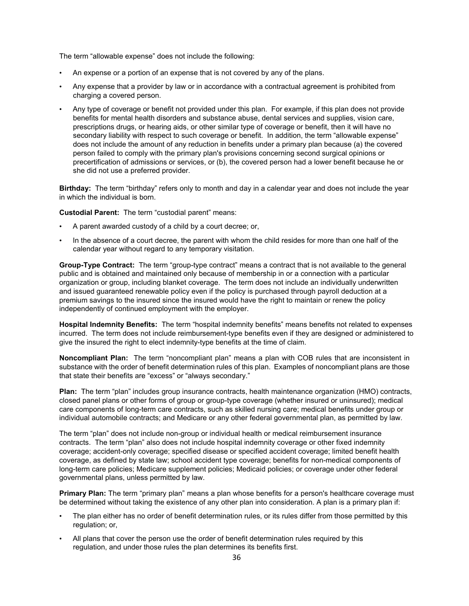The term "allowable expense" does not include the following:

- An expense or a portion of an expense that is not covered by any of the plans.
- Any expense that a provider by law or in accordance with a contractual agreement is prohibited from charging a covered person.
- Any type of coverage or benefit not provided under this plan. For example, if this plan does not provide benefits for mental health disorders and substance abuse, dental services and supplies, vision care, prescriptions drugs, or hearing aids, or other similar type of coverage or benefit, then it will have no secondary liability with respect to such coverage or benefit. In addition, the term "allowable expense" does not include the amount of any reduction in benefits under a primary plan because (a) the covered person failed to comply with the primary plan's provisions concerning second surgical opinions or precertification of admissions or services, or (b), the covered person had a lower benefit because he or she did not use a preferred provider.

**Birthday:** The term "birthday" refers only to month and day in a calendar year and does not include the year in which the individual is born.

**Custodial Parent:** The term "custodial parent" means:

- A parent awarded custody of a child by a court decree; or,
- In the absence of a court decree, the parent with whom the child resides for more than one half of the calendar year without regard to any temporary visitation.

**Group-Type Contract:** The term "group-type contract" means a contract that is not available to the general public and is obtained and maintained only because of membership in or a connection with a particular organization or group, including blanket coverage. The term does not include an individually underwritten and issued guaranteed renewable policy even if the policy is purchased through payroll deduction at a premium savings to the insured since the insured would have the right to maintain or renew the policy independently of continued employment with the employer.

**Hospital Indemnity Benefits:** The term "hospital indemnity benefits" means benefits not related to expenses incurred. The term does not include reimbursement-type benefits even if they are designed or administered to give the insured the right to elect indemnity-type benefits at the time of claim.

**Noncompliant Plan:** The term "noncompliant plan" means a plan with COB rules that are inconsistent in substance with the order of benefit determination rules of this plan. Examples of noncompliant plans are those that state their benefits are "excess" or "always secondary."

**Plan:** The term "plan" includes group insurance contracts, health maintenance organization (HMO) contracts, closed panel plans or other forms of group or group-type coverage (whether insured or uninsured); medical care components of long-term care contracts, such as skilled nursing care; medical benefits under group or individual automobile contracts; and Medicare or any other federal governmental plan, as permitted by law.

The term "plan" does not include non-group or individual health or medical reimbursement insurance contracts. The term "plan" also does not include hospital indemnity coverage or other fixed indemnity coverage; accident-only coverage; specified disease or specified accident coverage; limited benefit health coverage, as defined by state law; school accident type coverage; benefits for non-medical components of long-term care policies; Medicare supplement policies; Medicaid policies; or coverage under other federal governmental plans, unless permitted by law.

**Primary Plan:** The term "primary plan" means a plan whose benefits for a person's healthcare coverage must be determined without taking the existence of any other plan into consideration. A plan is a primary plan if:

- The plan either has no order of benefit determination rules, or its rules differ from those permitted by this regulation; or,
- All plans that cover the person use the order of benefit determination rules required by this regulation, and under those rules the plan determines its benefits first.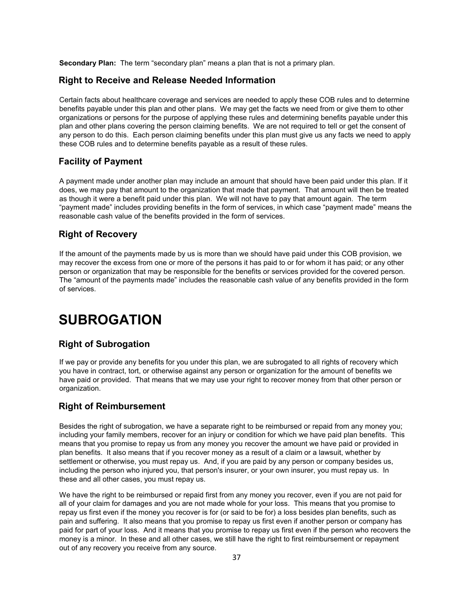<span id="page-41-0"></span>**Secondary Plan:** The term "secondary plan" means a plan that is not a primary plan.

## **Right to Receive and Release Needed Information**

Certain facts about healthcare coverage and services are needed to apply these COB rules and to determine benefits payable under this plan and other plans. We may get the facts we need from or give them to other organizations or persons for the purpose of applying these rules and determining benefits payable under this plan and other plans covering the person claiming benefits. We are not required to tell or get the consent of any person to do this. Each person claiming benefits under this plan must give us any facts we need to apply these COB rules and to determine benefits payable as a result of these rules.

## <span id="page-41-1"></span>**Facility of Payment**

A payment made under another plan may include an amount that should have been paid under this plan. If it does, we may pay that amount to the organization that made that payment. That amount will then be treated as though it were a benefit paid under this plan. We will not have to pay that amount again. The term "payment made" includes providing benefits in the form of services, in which case "payment made" means the reasonable cash value of the benefits provided in the form of services.

## <span id="page-41-2"></span>**Right of Recovery**

If the amount of the payments made by us is more than we should have paid under this COB provision, we may recover the excess from one or more of the persons it has paid to or for whom it has paid; or any other person or organization that may be responsible for the benefits or services provided for the covered person. The "amount of the payments made" includes the reasonable cash value of any benefits provided in the form of services.

# <span id="page-41-3"></span>**SUBROGATION**

## <span id="page-41-4"></span>**Right of Subrogation**

If we pay or provide any benefits for you under this plan, we are subrogated to all rights of recovery which you have in contract, tort, or otherwise against any person or organization for the amount of benefits we have paid or provided. That means that we may use your right to recover money from that other person or organization.

## <span id="page-41-5"></span>**Right of Reimbursement**

Besides the right of subrogation, we have a separate right to be reimbursed or repaid from any money you; including your family members, recover for an injury or condition for which we have paid plan benefits. This means that you promise to repay us from any money you recover the amount we have paid or provided in plan benefits. It also means that if you recover money as a result of a claim or a lawsuit, whether by settlement or otherwise, you must repay us. And, if you are paid by any person or company besides us, including the person who injured you, that person's insurer, or your own insurer, you must repay us. In these and all other cases, you must repay us.

We have the right to be reimbursed or repaid first from any money you recover, even if you are not paid for all of your claim for damages and you are not made whole for your loss. This means that you promise to repay us first even if the money you recover is for (or said to be for) a loss besides plan benefits, such as pain and suffering. It also means that you promise to repay us first even if another person or company has paid for part of your loss. And it means that you promise to repay us first even if the person who recovers the money is a minor. In these and all other cases, we still have the right to first reimbursement or repayment out of any recovery you receive from any source.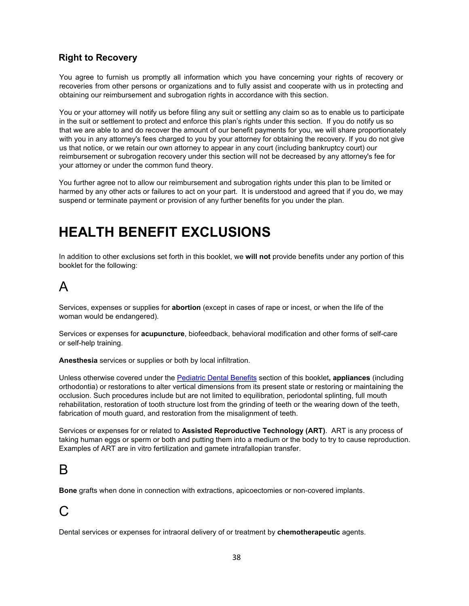## <span id="page-42-0"></span>**Right to Recovery**

You agree to furnish us promptly all information which you have concerning your rights of recovery or recoveries from other persons or organizations and to fully assist and cooperate with us in protecting and obtaining our reimbursement and subrogation rights in accordance with this section.

You or your attorney will notify us before filing any suit or settling any claim so as to enable us to participate in the suit or settlement to protect and enforce this plan's rights under this section. If you do notify us so that we are able to and do recover the amount of our benefit payments for you, we will share proportionately with you in any attorney's fees charged to you by your attorney for obtaining the recovery. If you do not give us that notice, or we retain our own attorney to appear in any court (including bankruptcy court) our reimbursement or subrogation recovery under this section will not be decreased by any attorney's fee for your attorney or under the common fund theory.

You further agree not to allow our reimbursement and subrogation rights under this plan to be limited or harmed by any other acts or failures to act on your part. It is understood and agreed that if you do, we may suspend or terminate payment or provision of any further benefits for you under the plan.

# <span id="page-42-2"></span><span id="page-42-1"></span>**HEALTH BENEFIT EXCLUSIONS**

In addition to other exclusions set forth in this booklet, we **will not** provide benefits under any portion of this booklet for the following:

## A

Services, expenses or supplies for **abortion** (except in cases of rape or incest, or when the life of the woman would be endangered).

Services or expenses for **acupuncture**, biofeedback, behavioral modification and other forms of self-care or self-help training.

**Anesthesia** services or supplies or both by local infiltration.

Unless otherwise covered under the [Pediatric Dental Benefits](#page-30-0) section of this booklet**, appliances** (including orthodontia) or restorations to alter vertical dimensions from its present state or restoring or maintaining the occlusion. Such procedures include but are not limited to equilibration, periodontal splinting, full mouth rehabilitation, restoration of tooth structure lost from the grinding of teeth or the wearing down of the teeth, fabrication of mouth guard, and restoration from the misalignment of teeth.

Services or expenses for or related to **Assisted Reproductive Technology (ART)**. ART is any process of taking human eggs or sperm or both and putting them into a medium or the body to try to cause reproduction. Examples of ART are in vitro fertilization and gamete intrafallopian transfer.

## B

**Bone** grafts when done in connection with extractions, apicoectomies or non-covered implants.

## $\bigcap$

Dental services or expenses for intraoral delivery of or treatment by **chemotherapeutic** agents.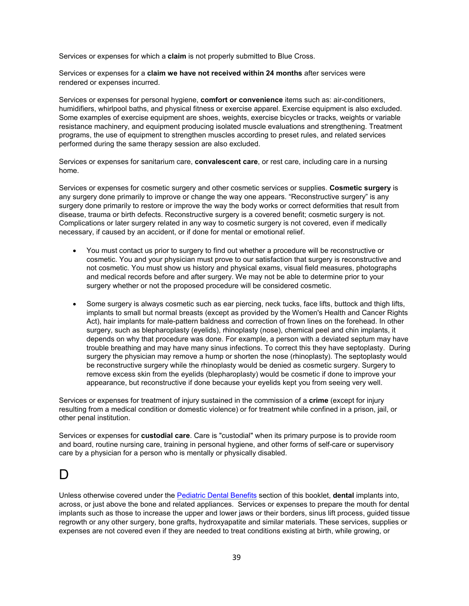Services or expenses for which a **claim** is not properly submitted to Blue Cross.

Services or expenses for a **claim we have not received within 24 months** after services were rendered or expenses incurred.

Services or expenses for personal hygiene, **comfort or convenience** items such as: air-conditioners, humidifiers, whirlpool baths, and physical fitness or exercise apparel. Exercise equipment is also excluded. Some examples of exercise equipment are shoes, weights, exercise bicycles or tracks, weights or variable resistance machinery, and equipment producing isolated muscle evaluations and strengthening. Treatment programs, the use of equipment to strengthen muscles according to preset rules, and related services performed during the same therapy session are also excluded.

Services or expenses for sanitarium care, **convalescent care**, or rest care, including care in a nursing home.

Services or expenses for cosmetic surgery and other cosmetic services or supplies. **Cosmetic surgery** is any surgery done primarily to improve or change the way one appears. "Reconstructive surgery" is any surgery done primarily to restore or improve the way the body works or correct deformities that result from disease, trauma or birth defects. Reconstructive surgery is a covered benefit; cosmetic surgery is not. Complications or later surgery related in any way to cosmetic surgery is not covered, even if medically necessary, if caused by an accident, or if done for mental or emotional relief.

- You must contact us prior to surgery to find out whether a procedure will be reconstructive or cosmetic. You and your physician must prove to our satisfaction that surgery is reconstructive and not cosmetic. You must show us history and physical exams, visual field measures, photographs and medical records before and after surgery. We may not be able to determine prior to your surgery whether or not the proposed procedure will be considered cosmetic.
- Some surgery is always cosmetic such as ear piercing, neck tucks, face lifts, buttock and thigh lifts, implants to small but normal breasts (except as provided by the Women's Health and Cancer Rights Act), hair implants for male-pattern baldness and correction of frown lines on the forehead. In other surgery, such as blepharoplasty (eyelids), rhinoplasty (nose), chemical peel and chin implants, it depends on why that procedure was done. For example, a person with a deviated septum may have trouble breathing and may have many sinus infections. To correct this they have septoplasty. During surgery the physician may remove a hump or shorten the nose (rhinoplasty). The septoplasty would be reconstructive surgery while the rhinoplasty would be denied as cosmetic surgery. Surgery to remove excess skin from the eyelids (blepharoplasty) would be cosmetic if done to improve your appearance, but reconstructive if done because your eyelids kept you from seeing very well.

Services or expenses for treatment of injury sustained in the commission of a **crime** (except for injury resulting from a medical condition or domestic violence) or for treatment while confined in a prison, jail, or other penal institution.

Services or expenses for **custodial care**. Care is "custodial" when its primary purpose is to provide room and board, routine nursing care, training in personal hygiene, and other forms of self-care or supervisory care by a physician for a person who is mentally or physically disabled.

## D

Unless otherwise covered under the [Pediatric Dental Benefits](#page-30-0) section of this booklet, **dental** implants into, across, or just above the bone and related appliances. Services or expenses to prepare the mouth for dental implants such as those to increase the upper and lower jaws or their borders, sinus lift process, guided tissue regrowth or any other surgery, bone grafts, hydroxyapatite and similar materials. These services, supplies or expenses are not covered even if they are needed to treat conditions existing at birth, while growing, or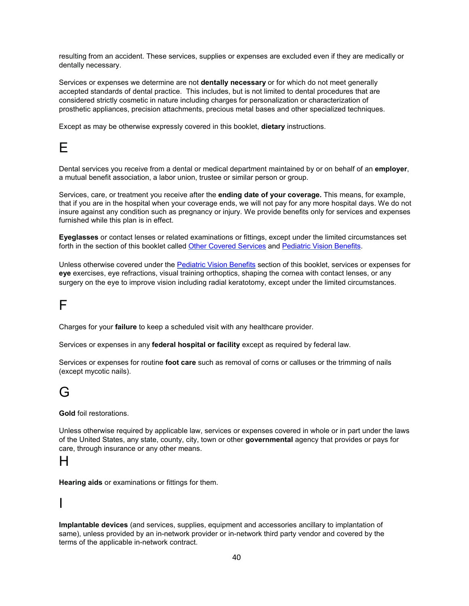resulting from an accident. These services, supplies or expenses are excluded even if they are medically or dentally necessary.

Services or expenses we determine are not **dentally necessary** or for which do not meet generally accepted standards of dental practice. This includes, but is not limited to dental procedures that are considered strictly cosmetic in nature including charges for personalization or characterization of prosthetic appliances, precision attachments, precious metal bases and other specialized techniques.

Except as may be otherwise expressly covered in this booklet, **dietary** instructions.

## E

Dental services you receive from a dental or medical department maintained by or on behalf of an **employer**, a mutual benefit association, a labor union, trustee or similar person or group.

Services, care, or treatment you receive after the **ending date of your coverage.** This means, for example, that if you are in the hospital when your coverage ends, we will not pay for any more hospital days. We do not insure against any condition such as pregnancy or injury. We provide benefits only for services and expenses furnished while this plan is in effect.

**Eyeglasses** or contact lenses or related examinations or fittings, except under the limited circumstances set forth in the section of this booklet called [Other Covered Services](#page-27-1) and Pediatric [Vision Benefits.](#page-27-0)

Unless otherwise covered under the Pediatric [Vision Benefits](#page-27-0) section of this booklet, services or expenses for **eye** exercises, eye refractions, visual training orthoptics, shaping the cornea with contact lenses, or any surgery on the eye to improve vision including radial keratotomy, except under the limited circumstances.

## F

Charges for your **failure** to keep a scheduled visit with any healthcare provider.

Services or expenses in any **federal hospital or facility** except as required by federal law.

Services or expenses for routine **foot care** such as removal of corns or calluses or the trimming of nails (except mycotic nails).

## G

**Gold** foil restorations.

Unless otherwise required by applicable law, services or expenses covered in whole or in part under the laws of the United States, any state, county, city, town or other **governmental** agency that provides or pays for care, through insurance or any other means.

## H

**Hearing aids** or examinations or fittings for them.

## I

**Implantable devices** (and services, supplies, equipment and accessories ancillary to implantation of same), unless provided by an in-network provider or in-network third party vendor and covered by the terms of the applicable in-network contract.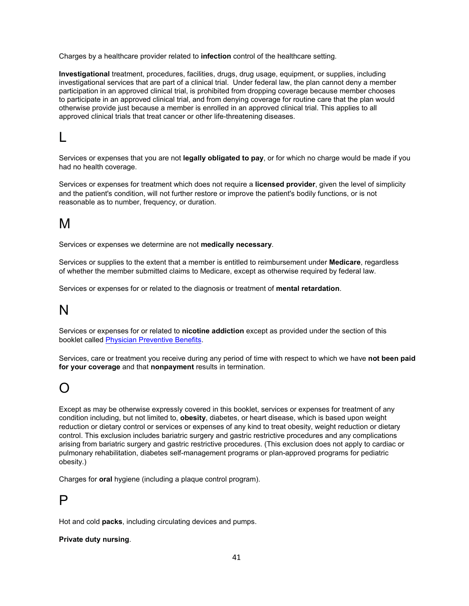Charges by a healthcare provider related to **infection** control of the healthcare setting.

**Investigational** treatment, procedures, facilities, drugs, drug usage, equipment, or supplies, including investigational services that are part of a clinical trial. Under federal law, the plan cannot deny a member participation in an approved clinical trial, is prohibited from dropping coverage because member chooses to participate in an approved clinical trial, and from denying coverage for routine care that the plan would otherwise provide just because a member is enrolled in an approved clinical trial. This applies to all approved clinical trials that treat cancer or other life-threatening diseases.

# L

Services or expenses that you are not **legally obligated to pay**, or for which no charge would be made if you had no health coverage.

Services or expenses for treatment which does not require a **licensed provider**, given the level of simplicity and the patient's condition, will not further restore or improve the patient's bodily functions, or is not reasonable as to number, frequency, or duration.

## M

Services or expenses we determine are not **medically necessary**.

Services or supplies to the extent that a member is entitled to reimbursement under **Medicare**, regardless of whether the member submitted claims to Medicare, except as otherwise required by federal law.

Services or expenses for or related to the diagnosis or treatment of **mental retardation**.

## N

Services or expenses for or related to **nicotine addiction** except as provided under the section of this booklet called [Physician Preventive Benefits.](#page-26-0)

Services, care or treatment you receive during any period of time with respect to which we have **not been paid for your coverage** and that **nonpayment** results in termination.

## O

Except as may be otherwise expressly covered in this booklet, services or expenses for treatment of any condition including, but not limited to, **obesity**, diabetes, or heart disease, which is based upon weight reduction or dietary control or services or expenses of any kind to treat obesity, weight reduction or dietary control. This exclusion includes bariatric surgery and gastric restrictive procedures and any complications arising from bariatric surgery and gastric restrictive procedures. (This exclusion does not apply to cardiac or pulmonary rehabilitation, diabetes self-management programs or plan-approved programs for pediatric obesity.)

Charges for **oral** hygiene (including a plaque control program).

## P

Hot and cold **packs**, including circulating devices and pumps.

#### **Private duty nursing**.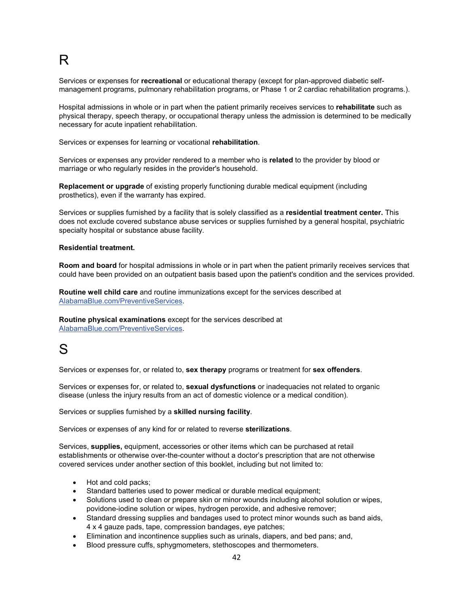# R

Services or expenses for **recreational** or educational therapy (except for plan-approved diabetic selfmanagement programs, pulmonary rehabilitation programs, or Phase 1 or 2 cardiac rehabilitation programs.).

Hospital admissions in whole or in part when the patient primarily receives services to **rehabilitate** such as physical therapy, speech therapy, or occupational therapy unless the admission is determined to be medically necessary for acute inpatient rehabilitation.

Services or expenses for learning or vocational **rehabilitation**.

Services or expenses any provider rendered to a member who is **related** to the provider by blood or marriage or who regularly resides in the provider's household.

**Replacement or upgrade** of existing properly functioning durable medical equipment (including prosthetics), even if the warranty has expired.

Services or supplies furnished by a facility that is solely classified as a **residential treatment center.** This does not exclude covered substance abuse services or supplies furnished by a general hospital, psychiatric specialty hospital or substance abuse facility.

#### **Residential treatment.**

**Room and board** for hospital admissions in whole or in part when the patient primarily receives services that could have been provided on an outpatient basis based upon the patient's condition and the services provided.

**Routine well child care** and routine immunizations except for the services described at [AlabamaBlue.com/PreventiveServices.](http://www.bcbsal.com/preventiveservices)

**Routine physical examinations** except for the services described at [AlabamaBlue.com/PreventiveServices.](http://www.bcbsal.com/preventiveservices)

## S

Services or expenses for, or related to, **sex therapy** programs or treatment for **sex offenders**.

Services or expenses for, or related to, **sexual dysfunctions** or inadequacies not related to organic disease (unless the injury results from an act of domestic violence or a medical condition).

Services or supplies furnished by a **skilled nursing facility**.

Services or expenses of any kind for or related to reverse **sterilizations**.

Services, **supplies,** equipment, accessories or other items which can be purchased at retail establishments or otherwise over-the-counter without a doctor's prescription that are not otherwise covered services under another section of this booklet, including but not limited to:

- Hot and cold packs;
- Standard batteries used to power medical or durable medical equipment;
- Solutions used to clean or prepare skin or minor wounds including alcohol solution or wipes, povidone-iodine solution or wipes, hydrogen peroxide, and adhesive remover;
- Standard dressing supplies and bandages used to protect minor wounds such as band aids, 4 x 4 gauze pads, tape, compression bandages, eye patches;
- Elimination and incontinence supplies such as urinals, diapers, and bed pans; and,
- Blood pressure cuffs, sphygmometers, stethoscopes and thermometers.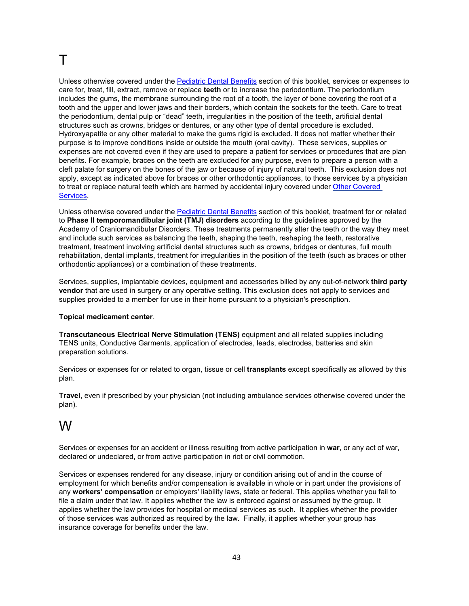# T

Unless otherwise covered under the [Pediatric Dental Benefits](#page-30-0) section of this booklet, services or expenses to care for, treat, fill, extract, remove or replace **teeth** or to increase the periodontium. The periodontium includes the gums, the membrane surrounding the root of a tooth, the layer of bone covering the root of a tooth and the upper and lower jaws and their borders, which contain the sockets for the teeth. Care to treat the periodontium, dental pulp or "dead" teeth, irregularities in the position of the teeth, artificial dental structures such as crowns, bridges or dentures, or any other type of dental procedure is excluded. Hydroxyapatite or any other material to make the gums rigid is excluded. It does not matter whether their purpose is to improve conditions inside or outside the mouth (oral cavity). These services, supplies or expenses are not covered even if they are used to prepare a patient for services or procedures that are plan benefits. For example, braces on the teeth are excluded for any purpose, even to prepare a person with a cleft palate for surgery on the bones of the jaw or because of injury of natural teeth. This exclusion does not apply, except as indicated above for braces or other orthodontic appliances, to those services by a physician to treat or replace natural teeth which are harmed by accidental injury covered under Other Covered [Services.](#page-27-1)

Unless otherwise covered under the [Pediatric Dental Benefits](#page-30-0) section of this booklet, treatment for or related to **Phase II temporomandibular joint (TMJ) disorders** according to the guidelines approved by the Academy of Craniomandibular Disorders. These treatments permanently alter the teeth or the way they meet and include such services as balancing the teeth, shaping the teeth, reshaping the teeth, restorative treatment, treatment involving artificial dental structures such as crowns, bridges or dentures, full mouth rehabilitation, dental implants, treatment for irregularities in the position of the teeth (such as braces or other orthodontic appliances) or a combination of these treatments.

Services, supplies, implantable devices, equipment and accessories billed by any out-of-network **third party vendor** that are used in surgery or any operative setting. This exclusion does not apply to services and supplies provided to a member for use in their home pursuant to a physician's prescription.

#### **Topical medicament center**.

**Transcutaneous Electrical Nerve Stimulation (TENS)** equipment and all related supplies including TENS units, Conductive Garments, application of electrodes, leads, electrodes, batteries and skin preparation solutions.

Services or expenses for or related to organ, tissue or cell **transplants** except specifically as allowed by this plan.

**Travel**, even if prescribed by your physician (not including ambulance services otherwise covered under the plan).

## W

Services or expenses for an accident or illness resulting from active participation in **war**, or any act of war, declared or undeclared, or from active participation in riot or civil commotion.

Services or expenses rendered for any disease, injury or condition arising out of and in the course of employment for which benefits and/or compensation is available in whole or in part under the provisions of any **workers' compensation** or employers' liability laws, state or federal. This applies whether you fail to file a claim under that law. It applies whether the law is enforced against or assumed by the group. It applies whether the law provides for hospital or medical services as such. It applies whether the provider of those services was authorized as required by the law. Finally, it applies whether your group has insurance coverage for benefits under the law.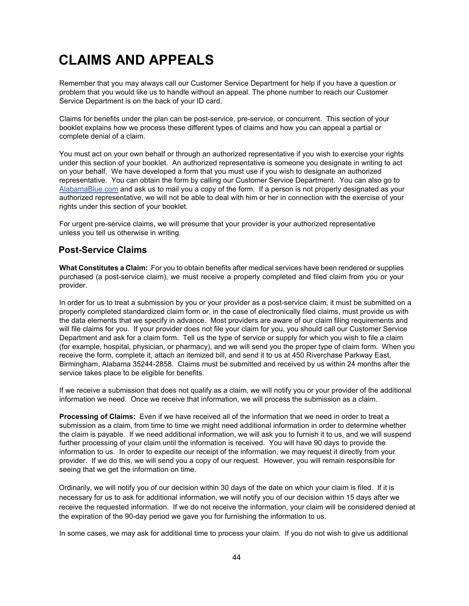# <span id="page-48-0"></span>**CLAIMS AND APPEALS**

Remember that you may always call our Customer Service Department for help if you have a question or problem that you would like us to handle without an appeal. The phone number to reach our Customer Service Department is on the back of your ID card.

Claims for benefits under the plan can be post-service, pre-service, or concurrent. This section of your booklet explains how we process these different types of claims and how you can appeal a partial or complete denial of a claim.

You must act on your own behalf or through an authorized representative if you wish to exercise your rights under this section of your booklet. An authorized representative is someone you designate in writing to act on your behalf. We have developed a form that you must use if you wish to designate an authorized representative. You can obtain the form by calling our Customer Service Department. You can also go to [AlabamaBlue.com](http://www.bcbsal.com/) and ask us to mail you a copy of the form. If a person is not properly designated as your authorized representative, we will not be able to deal with him or her in connection with the exercise of your rights under this section of your booklet.

For urgent pre-service claims, we will presume that your provider is your authorized representative unless you tell us otherwise in writing.

## <span id="page-48-1"></span>**Post-Service Claims**

**What Constitutes a Claim:** For you to obtain benefits after medical services have been rendered or supplies purchased (a post-service claim), we must receive a properly completed and filed claim from you or your provider.

In order for us to treat a submission by you or your provider as a post-service claim, it must be submitted on a properly completed standardized claim form or, in the case of electronically filed claims, must provide us with the data elements that we specify in advance. Most providers are aware of our claim filing requirements and will file claims for you. If your provider does not file your claim for you, you should call our Customer Service Department and ask for a claim form. Tell us the type of service or supply for which you wish to file a claim (for example, hospital, physician, or pharmacy), and we will send you the proper type of claim form. When you receive the form, complete it, attach an itemized bill, and send it to us at 450 Riverchase Parkway East, Birmingham, Alabama 35244-2858. Claims must be submitted and received by us within 24 months after the service takes place to be eligible for benefits.

If we receive a submission that does not qualify as a claim, we will notify you or your provider of the additional information we need. Once we receive that information, we will process the submission as a claim.

**Processing of Claims:** Even if we have received all of the information that we need in order to treat a submission as a claim, from time to time we might need additional information in order to determine whether the claim is payable. If we need additional information, we will ask you to furnish it to us, and we will suspend further processing of your claim until the information is received. You will have 90 days to provide the information to us. In order to expedite our receipt of the information, we may request it directly from your provider. If we do this, we will send you a copy of our request. However, you will remain responsible for seeing that we get the information on time.

Ordinarily, we will notify you of our decision within 30 days of the date on which your claim is filed. If it is necessary for us to ask for additional information, we will notify you of our decision within 15 days after we receive the requested information. If we do not receive the information, your claim will be considered denied at the expiration of the 90-day period we gave you for furnishing the information to us.

In some cases, we may ask for additional time to process your claim. If you do not wish to give us additional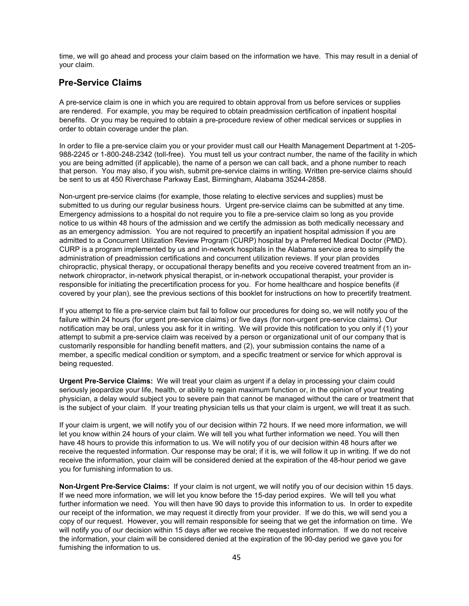time, we will go ahead and process your claim based on the information we have. This may result in a denial of your claim.

## <span id="page-49-0"></span>**Pre-Service Claims**

A pre-service claim is one in which you are required to obtain approval from us before services or supplies are rendered. For example, you may be required to obtain preadmission certification of inpatient hospital benefits. Or you may be required to obtain a pre-procedure review of other medical services or supplies in order to obtain coverage under the plan.

In order to file a pre-service claim you or your provider must call our Health Management Department at 1-205- 988-2245 or 1-800-248-2342 (toll-free). You must tell us your contract number, the name of the facility in which you are being admitted (if applicable), the name of a person we can call back, and a phone number to reach that person. You may also, if you wish, submit pre-service claims in writing. Written pre-service claims should be sent to us at 450 Riverchase Parkway East, Birmingham, Alabama 35244-2858.

Non-urgent pre-service claims (for example, those relating to elective services and supplies) must be submitted to us during our regular business hours. Urgent pre-service claims can be submitted at any time. Emergency admissions to a hospital do not require you to file a pre-service claim so long as you provide notice to us within 48 hours of the admission and we certify the admission as both medically necessary and as an emergency admission. You are not required to precertify an inpatient hospital admission if you are admitted to a Concurrent Utilization Review Program (CURP) hospital by a Preferred Medical Doctor (PMD). CURP is a program implemented by us and in-network hospitals in the Alabama service area to simplify the administration of preadmission certifications and concurrent utilization reviews. If your plan provides chiropractic, physical therapy, or occupational therapy benefits and you receive covered treatment from an innetwork chiropractor, in-network physical therapist, or in-network occupational therapist, your provider is responsible for initiating the precertification process for you. For home healthcare and hospice benefits (if covered by your plan), see the previous sections of this booklet for instructions on how to precertify treatment.

If you attempt to file a pre-service claim but fail to follow our procedures for doing so, we will notify you of the failure within 24 hours (for urgent pre-service claims) or five days (for non-urgent pre-service claims). Our notification may be oral, unless you ask for it in writing. We will provide this notification to you only if (1) your attempt to submit a pre-service claim was received by a person or organizational unit of our company that is customarily responsible for handling benefit matters, and (2), your submission contains the name of a member, a specific medical condition or symptom, and a specific treatment or service for which approval is being requested.

**Urgent Pre-Service Claims:** We will treat your claim as urgent if a delay in processing your claim could seriously jeopardize your life, health, or ability to regain maximum function or, in the opinion of your treating physician, a delay would subject you to severe pain that cannot be managed without the care or treatment that is the subject of your claim. If your treating physician tells us that your claim is urgent, we will treat it as such.

If your claim is urgent, we will notify you of our decision within 72 hours. If we need more information, we will let you know within 24 hours of your claim. We will tell you what further information we need. You will then have 48 hours to provide this information to us. We will notify you of our decision within 48 hours after we receive the requested information. Our response may be oral; if it is, we will follow it up in writing. If we do not receive the information, your claim will be considered denied at the expiration of the 48-hour period we gave you for furnishing information to us.

**Non-Urgent Pre-Service Claims:** If your claim is not urgent, we will notify you of our decision within 15 days. If we need more information, we will let you know before the 15-day period expires. We will tell you what further information we need. You will then have 90 days to provide this information to us. In order to expedite our receipt of the information, we may request it directly from your provider. If we do this, we will send you a copy of our request. However, you will remain responsible for seeing that we get the information on time. We will notify you of our decision within 15 days after we receive the requested information. If we do not receive the information, your claim will be considered denied at the expiration of the 90-day period we gave you for furnishing the information to us.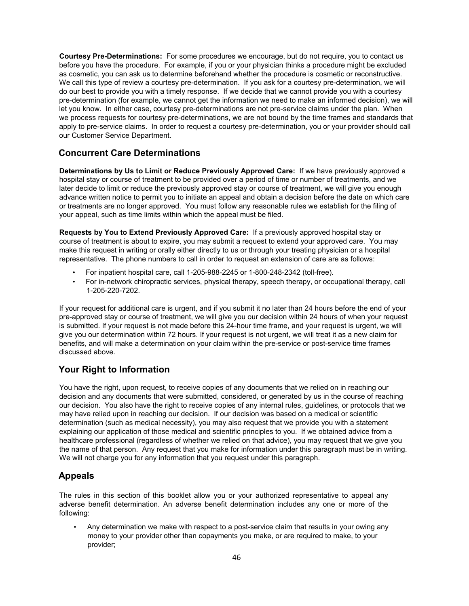**Courtesy Pre-Determinations:** For some procedures we encourage, but do not require, you to contact us before you have the procedure. For example, if you or your physician thinks a procedure might be excluded as cosmetic, you can ask us to determine beforehand whether the procedure is cosmetic or reconstructive. We call this type of review a courtesy pre-determination. If you ask for a courtesy pre-determination, we will do our best to provide you with a timely response. If we decide that we cannot provide you with a courtesy pre-determination (for example, we cannot get the information we need to make an informed decision), we will let you know. In either case, courtesy pre-determinations are not pre-service claims under the plan. When we process requests for courtesy pre-determinations, we are not bound by the time frames and standards that apply to pre-service claims. In order to request a courtesy pre-determination, you or your provider should call our Customer Service Department.

## <span id="page-50-0"></span>**Concurrent Care Determinations**

**Determinations by Us to Limit or Reduce Previously Approved Care:** If we have previously approved a hospital stay or course of treatment to be provided over a period of time or number of treatments, and we later decide to limit or reduce the previously approved stay or course of treatment, we will give you enough advance written notice to permit you to initiate an appeal and obtain a decision before the date on which care or treatments are no longer approved. You must follow any reasonable rules we establish for the filing of your appeal, such as time limits within which the appeal must be filed.

**Requests by You to Extend Previously Approved Care:** If a previously approved hospital stay or course of treatment is about to expire, you may submit a request to extend your approved care. You may make this request in writing or orally either directly to us or through your treating physician or a hospital representative. The phone numbers to call in order to request an extension of care are as follows:

- For inpatient hospital care, call 1-205-988-2245 or 1-800-248-2342 (toll-free).
- For in-network chiropractic services, physical therapy, speech therapy, or occupational therapy, call 1-205-220-7202.

If your request for additional care is urgent, and if you submit it no later than 24 hours before the end of your pre-approved stay or course of treatment, we will give you our decision within 24 hours of when your request is submitted. If your request is not made before this 24-hour time frame, and your request is urgent, we will give you our determination within 72 hours. If your request is not urgent, we will treat it as a new claim for benefits, and will make a determination on your claim within the pre-service or post-service time frames discussed above.

## <span id="page-50-1"></span>**Your Right to Information**

You have the right, upon request, to receive copies of any documents that we relied on in reaching our decision and any documents that were submitted, considered, or generated by us in the course of reaching our decision. You also have the right to receive copies of any internal rules, guidelines, or protocols that we may have relied upon in reaching our decision. If our decision was based on a medical or scientific determination (such as medical necessity), you may also request that we provide you with a statement explaining our application of those medical and scientific principles to you. If we obtained advice from a healthcare professional (regardless of whether we relied on that advice), you may request that we give you the name of that person. Any request that you make for information under this paragraph must be in writing. We will not charge you for any information that you request under this paragraph.

## <span id="page-50-2"></span>**Appeals**

The rules in this section of this booklet allow you or your authorized representative to appeal any adverse benefit determination. An adverse benefit determination includes any one or more of the following:

• Any determination we make with respect to a post-service claim that results in your owing any money to your provider other than copayments you make, or are required to make, to your provider;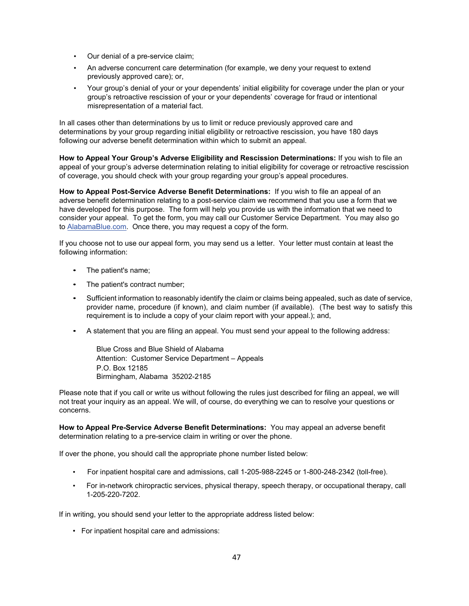- Our denial of a pre-service claim;
- An adverse concurrent care determination (for example, we deny your request to extend previously approved care); or,
- Your group's denial of your or your dependents' initial eligibility for coverage under the plan or your group's retroactive rescission of your or your dependents' coverage for fraud or intentional misrepresentation of a material fact.

In all cases other than determinations by us to limit or reduce previously approved care and determinations by your group regarding initial eligibility or retroactive rescission, you have 180 days following our adverse benefit determination within which to submit an appeal.

**How to Appeal Your Group's Adverse Eligibility and Rescission Determinations:** If you wish to file an appeal of your group's adverse determination relating to initial eligibility for coverage or retroactive rescission of coverage, you should check with your group regarding your group's appeal procedures.

**How to Appeal Post-Service Adverse Benefit Determinations:** If you wish to file an appeal of an adverse benefit determination relating to a post-service claim we recommend that you use a form that we have developed for this purpose. The form will help you provide us with the information that we need to consider your appeal. To get the form, you may call our Customer Service Department. You may also go to **AlabamaBlue.com.** Once there, you may request a copy of the form.

If you choose not to use our appeal form, you may send us a letter. Your letter must contain at least the following information:

- The patient's name;
- The patient's contract number;
- Sufficient information to reasonably identify the claim or claims being appealed, such as date of service, provider name, procedure (if known), and claim number (if available). (The best way to satisfy this requirement is to include a copy of your claim report with your appeal.); and,
- A statement that you are filing an appeal. You must send your appeal to the following address:

Blue Cross and Blue Shield of Alabama Attention: Customer Service Department – Appeals P.O. Box 12185 Birmingham, Alabama 35202-2185

Please note that if you call or write us without following the rules just described for filing an appeal, we will not treat your inquiry as an appeal. We will, of course, do everything we can to resolve your questions or concerns.

**How to Appeal Pre-Service Adverse Benefit Determinations:** You may appeal an adverse benefit determination relating to a pre-service claim in writing or over the phone.

If over the phone, you should call the appropriate phone number listed below:

- For inpatient hospital care and admissions, call 1-205-988-2245 or 1-800-248-2342 (toll-free).
- For in-network chiropractic services, physical therapy, speech therapy, or occupational therapy, call 1-205-220-7202.

If in writing, you should send your letter to the appropriate address listed below:

• For inpatient hospital care and admissions: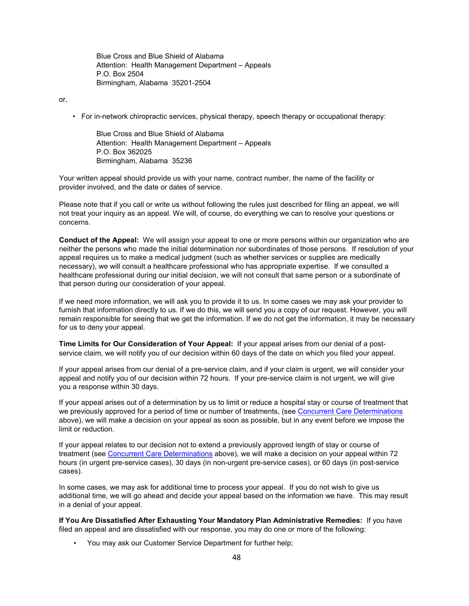Blue Cross and Blue Shield of Alabama Attention: Health Management Department – Appeals P.O. Box 2504 Birmingham, Alabama 35201-2504

or,

• For in-network chiropractic services, physical therapy, speech therapy or occupational therapy:

Blue Cross and Blue Shield of Alabama Attention: Health Management Department – Appeals P.O. Box 362025 Birmingham, Alabama 35236

Your written appeal should provide us with your name, contract number, the name of the facility or provider involved, and the date or dates of service.

Please note that if you call or write us without following the rules just described for filing an appeal, we will not treat your inquiry as an appeal. We will, of course, do everything we can to resolve your questions or concerns.

**Conduct of the Appeal:** We will assign your appeal to one or more persons within our organization who are neither the persons who made the initial determination nor subordinates of those persons. If resolution of your appeal requires us to make a medical judgment (such as whether services or supplies are medically necessary), we will consult a healthcare professional who has appropriate expertise. If we consulted a healthcare professional during our initial decision, we will not consult that same person or a subordinate of that person during our consideration of your appeal.

If we need more information, we will ask you to provide it to us. In some cases we may ask your provider to furnish that information directly to us. If we do this, we will send you a copy of our request. However, you will remain responsible for seeing that we get the information. If we do not get the information, it may be necessary for us to deny your appeal.

**Time Limits for Our Consideration of Your Appeal:** If your appeal arises from our denial of a postservice claim, we will notify you of our decision within 60 days of the date on which you filed your appeal.

If your appeal arises from our denial of a pre-service claim, and if your claim is urgent, we will consider your appeal and notify you of our decision within 72 hours. If your pre-service claim is not urgent, we will give you a response within 30 days.

If your appeal arises out of a determination by us to limit or reduce a hospital stay or course of treatment that we previously approved for a period of time or number of treatments, (see [Concurrent Care](#page-50-0) Determinations above), we will make a decision on your appeal as soon as possible, but in any event before we impose the limit or reduction.

If your appeal relates to our decision not to extend a previously approved length of stay or course of treatment (see [Concurrent Care Determinations](#page-50-0) above), we will make a decision on your appeal within 72 hours (in urgent pre-service cases), 30 days (in non-urgent pre-service cases), or 60 days (in post-service cases).

In some cases, we may ask for additional time to process your appeal. If you do not wish to give us additional time, we will go ahead and decide your appeal based on the information we have. This may result in a denial of your appeal.

**If You Are Dissatisfied After Exhausting Your Mandatory Plan Administrative Remedies:** If you have filed an appeal and are dissatisfied with our response, you may do one or more of the following:

• You may ask our Customer Service Department for further help;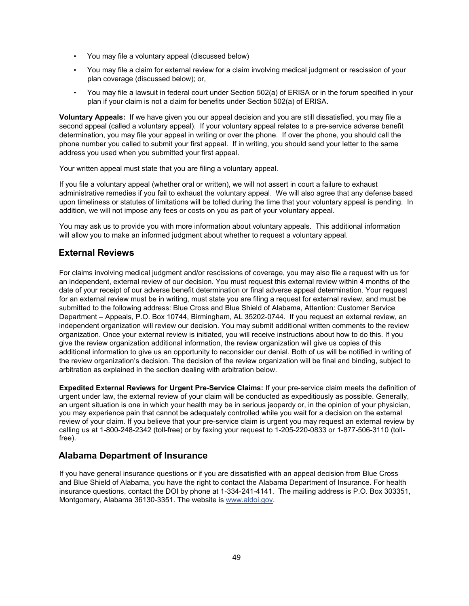- You may file a voluntary appeal (discussed below)
- You may file a claim for external review for a claim involving medical judgment or rescission of your plan coverage (discussed below); or,
- You may file a lawsuit in federal court under Section 502(a) of ERISA or in the forum specified in your plan if your claim is not a claim for benefits under Section 502(a) of ERISA.

**Voluntary Appeals:** If we have given you our appeal decision and you are still dissatisfied, you may file a second appeal (called a voluntary appeal). If your voluntary appeal relates to a pre-service adverse benefit determination, you may file your appeal in writing or over the phone. If over the phone, you should call the phone number you called to submit your first appeal. If in writing, you should send your letter to the same address you used when you submitted your first appeal.

Your written appeal must state that you are filing a voluntary appeal.

If you file a voluntary appeal (whether oral or written), we will not assert in court a failure to exhaust administrative remedies if you fail to exhaust the voluntary appeal. We will also agree that any defense based upon timeliness or statutes of limitations will be tolled during the time that your voluntary appeal is pending. In addition, we will not impose any fees or costs on you as part of your voluntary appeal.

You may ask us to provide you with more information about voluntary appeals. This additional information will allow you to make an informed judgment about whether to request a voluntary appeal.

## <span id="page-53-0"></span>**External Reviews**

For claims involving medical judgment and/or rescissions of coverage, you may also file a request with us for an independent, external review of our decision. You must request this external review within 4 months of the date of your receipt of our adverse benefit determination or final adverse appeal determination. Your request for an external review must be in writing, must state you are filing a request for external review, and must be submitted to the following address: Blue Cross and Blue Shield of Alabama, Attention: Customer Service Department – Appeals, P.O. Box 10744, Birmingham, AL 35202-0744. If you request an external review, an independent organization will review our decision. You may submit additional written comments to the review organization. Once your external review is initiated, you will receive instructions about how to do this. If you give the review organization additional information, the review organization will give us copies of this additional information to give us an opportunity to reconsider our denial. Both of us will be notified in writing of the review organization's decision. The decision of the review organization will be final and binding, subject to arbitration as explained in the section dealing with arbitration below.

**Expedited External Reviews for Urgent Pre-Service Claims:** If your pre-service claim meets the definition of urgent under law, the external review of your claim will be conducted as expeditiously as possible. Generally, an urgent situation is one in which your health may be in serious jeopardy or, in the opinion of your physician, you may experience pain that cannot be adequately controlled while you wait for a decision on the external review of your claim. If you believe that your pre-service claim is urgent you may request an external review by calling us at 1-800-248-2342 (toll-free) or by faxing your request to 1-205-220-0833 or 1-877-506-3110 (tollfree).

### <span id="page-53-1"></span>**Alabama Department of Insurance**

If you have general insurance questions or if you are dissatisfied with an appeal decision from Blue Cross and Blue Shield of Alabama, you have the right to contact the Alabama Department of Insurance. For health insurance questions, contact the DOI by phone at 1-334-241-4141. The mailing address is P.O. Box 303351, Montgomery, Alabama 36130-3351. The website is [www.aldoi.gov.](http://www.aldoi.gov/)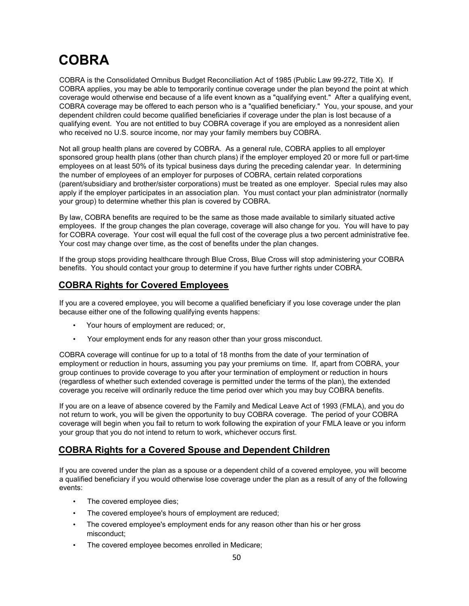# <span id="page-54-0"></span>**COBRA**

COBRA is the Consolidated Omnibus Budget Reconciliation Act of 1985 (Public Law 99-272, Title X). If COBRA applies, you may be able to temporarily continue coverage under the plan beyond the point at which coverage would otherwise end because of a life event known as a "qualifying event." After a qualifying event, COBRA coverage may be offered to each person who is a "qualified beneficiary." You, your spouse, and your dependent children could become qualified beneficiaries if coverage under the plan is lost because of a qualifying event. You are not entitled to buy COBRA coverage if you are employed as a nonresident alien who received no U.S. source income, nor may your family members buy COBRA.

Not all group health plans are covered by COBRA. As a general rule, COBRA applies to all employer sponsored group health plans (other than church plans) if the employer employed 20 or more full or part-time employees on at least 50% of its typical business days during the preceding calendar year. In determining the number of employees of an employer for purposes of COBRA, certain related corporations (parent/subsidiary and brother/sister corporations) must be treated as one employer. Special rules may also apply if the employer participates in an association plan. You must contact your plan administrator (normally your group) to determine whether this plan is covered by COBRA.

By law, COBRA benefits are required to be the same as those made available to similarly situated active employees. If the group changes the plan coverage, coverage will also change for you. You will have to pay for COBRA coverage. Your cost will equal the full cost of the coverage plus a two percent administrative fee. Your cost may change over time, as the cost of benefits under the plan changes.

If the group stops providing healthcare through Blue Cross, Blue Cross will stop administering your COBRA benefits. You should contact your group to determine if you have further rights under COBRA.

## <span id="page-54-1"></span>**COBRA Rights for Covered Employees**

If you are a covered employee, you will become a qualified beneficiary if you lose coverage under the plan because either one of the following qualifying events happens:

- Your hours of employment are reduced; or,
- Your employment ends for any reason other than your gross misconduct.

COBRA coverage will continue for up to a total of 18 months from the date of your termination of employment or reduction in hours, assuming you pay your premiums on time. If, apart from COBRA, your group continues to provide coverage to you after your termination of employment or reduction in hours (regardless of whether such extended coverage is permitted under the terms of the plan), the extended coverage you receive will ordinarily reduce the time period over which you may buy COBRA benefits.

If you are on a leave of absence covered by the Family and Medical Leave Act of 1993 (FMLA), and you do not return to work, you will be given the opportunity to buy COBRA coverage. The period of your COBRA coverage will begin when you fail to return to work following the expiration of your FMLA leave or you inform your group that you do not intend to return to work, whichever occurs first.

## <span id="page-54-2"></span>**COBRA Rights for a Covered Spouse and Dependent Children**

If you are covered under the plan as a spouse or a dependent child of a covered employee, you will become a qualified beneficiary if you would otherwise lose coverage under the plan as a result of any of the following events:

- The covered employee dies;
- The covered employee's hours of employment are reduced;
- The covered employee's employment ends for any reason other than his or her gross misconduct;
- The covered employee becomes enrolled in Medicare;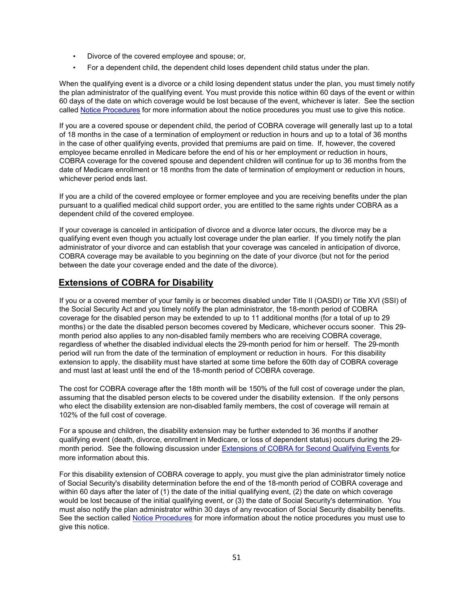- Divorce of the covered employee and spouse; or,
- For a dependent child, the dependent child loses dependent child status under the plan.

When the qualifying event is a divorce or a child losing dependent status under the plan, you must timely notify the plan administrator of the qualifying event. You must provide this notice within 60 days of the event or within 60 days of the date on which coverage would be lost because of the event, whichever is later. See the section called [Notice Procedures](#page-56-1) for more information about the notice procedures you must use to give this notice.

If you are a covered spouse or dependent child, the period of COBRA coverage will generally last up to a total of 18 months in the case of a termination of employment or reduction in hours and up to a total of 36 months in the case of other qualifying events, provided that premiums are paid on time. If, however, the covered employee became enrolled in Medicare before the end of his or her employment or reduction in hours, COBRA coverage for the covered spouse and dependent children will continue for up to 36 months from the date of Medicare enrollment or 18 months from the date of termination of employment or reduction in hours, whichever period ends last.

If you are a child of the covered employee or former employee and you are receiving benefits under the plan pursuant to a qualified medical child support order, you are entitled to the same rights under COBRA as a dependent child of the covered employee.

If your coverage is canceled in anticipation of divorce and a divorce later occurs, the divorce may be a qualifying event even though you actually lost coverage under the plan earlier. If you timely notify the plan administrator of your divorce and can establish that your coverage was canceled in anticipation of divorce, COBRA coverage may be available to you beginning on the date of your divorce (but not for the period between the date your coverage ended and the date of the divorce).

### <span id="page-55-0"></span>**Extensions of COBRA for Disability**

If you or a covered member of your family is or becomes disabled under Title II (OASDI) or Title XVI (SSI) of the Social Security Act and you timely notify the plan administrator, the 18-month period of COBRA coverage for the disabled person may be extended to up to 11 additional months (for a total of up to 29 months) or the date the disabled person becomes covered by Medicare, whichever occurs sooner. This 29 month period also applies to any non-disabled family members who are receiving COBRA coverage, regardless of whether the disabled individual elects the 29-month period for him or herself. The 29-month period will run from the date of the termination of employment or reduction in hours. For this disability extension to apply, the disability must have started at some time before the 60th day of COBRA coverage and must last at least until the end of the 18-month period of COBRA coverage.

The cost for COBRA coverage after the 18th month will be 150% of the full cost of coverage under the plan, assuming that the disabled person elects to be covered under the disability extension. If the only persons who elect the disability extension are non-disabled family members, the cost of coverage will remain at 102% of the full cost of coverage.

For a spouse and children, the disability extension may be further extended to 36 months if another qualifying event (death, divorce, enrollment in Medicare, or loss of dependent status) occurs during the 29 month period. See the following discussion under Extensions [of COBRA for Second Qualifying](#page-56-0) Events for more information about this.

For this disability extension of COBRA coverage to apply, you must give the plan administrator timely notice of Social Security's disability determination before the end of the 18-month period of COBRA coverage and within 60 days after the later of (1) the date of the initial qualifying event, (2) the date on which coverage would be lost because of the initial qualifying event, or (3) the date of Social Security's determination. You must also notify the plan administrator within 30 days of any revocation of Social Security disability benefits. See the section called [Notice Procedures](#page-56-1) for more information about the notice procedures you must use to give this notice.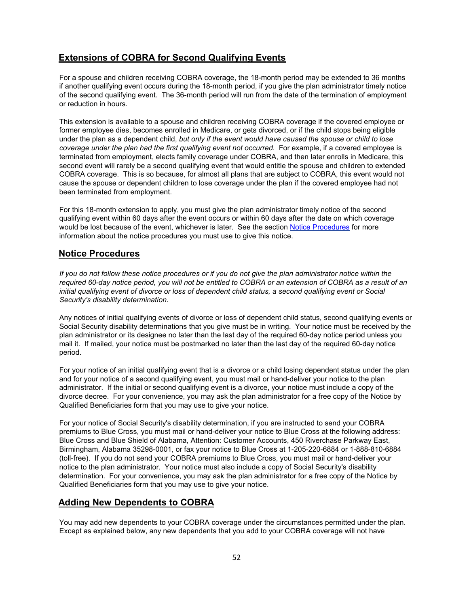## <span id="page-56-0"></span>**Extensions of COBRA for Second Qualifying Events**

For a spouse and children receiving COBRA coverage, the 18-month period may be extended to 36 months if another qualifying event occurs during the 18-month period, if you give the plan administrator timely notice of the second qualifying event. The 36-month period will run from the date of the termination of employment or reduction in hours.

This extension is available to a spouse and children receiving COBRA coverage if the covered employee or former employee dies, becomes enrolled in Medicare, or gets divorced, or if the child stops being eligible under the plan as a dependent child, *but only if the event would have caused the spouse or child to lose*  coverage under the plan had the first qualifying event not occurred. For example, if a covered employee is terminated from employment, elects family coverage under COBRA, and then later enrolls in Medicare, this second event will rarely be a second qualifying event that would entitle the spouse and children to extended COBRA coverage. This is so because, for almost all plans that are subject to COBRA, this event would not cause the spouse or dependent children to lose coverage under the plan if the covered employee had not been terminated from employment.

For this 18-month extension to apply, you must give the plan administrator timely notice of the second qualifying event within 60 days after the event occurs or within 60 days after the date on which coverage would be lost because of the event, whichever is later. See the section [Notice Procedures](#page-56-1) for more information about the notice procedures you must use to give this notice.

#### <span id="page-56-1"></span>**Notice Procedures**

*If you do not follow these notice procedures or if you do not give the plan administrator notice within the required 60-day notice period, you will not be entitled to COBRA or an extension of COBRA as a result of an initial qualifying event of divorce or loss of dependent child status, a second qualifying event or Social Security's disability determination.*

Any notices of initial qualifying events of divorce or loss of dependent child status, second qualifying events or Social Security disability determinations that you give must be in writing. Your notice must be received by the plan administrator or its designee no later than the last day of the required 60-day notice period unless you mail it. If mailed, your notice must be postmarked no later than the last day of the required 60-day notice period.

For your notice of an initial qualifying event that is a divorce or a child losing dependent status under the plan and for your notice of a second qualifying event, you must mail or hand-deliver your notice to the plan administrator. If the initial or second qualifying event is a divorce, your notice must include a copy of the divorce decree. For your convenience, you may ask the plan administrator for a free copy of the Notice by Qualified Beneficiaries form that you may use to give your notice.

For your notice of Social Security's disability determination, if you are instructed to send your COBRA premiums to Blue Cross, you must mail or hand-deliver your notice to Blue Cross at the following address: Blue Cross and Blue Shield of Alabama, Attention: Customer Accounts, 450 Riverchase Parkway East, Birmingham, Alabama 35298-0001, or fax your notice to Blue Cross at 1-205-220-6884 or 1-888-810-6884 (toll-free). If you do not send your COBRA premiums to Blue Cross, you must mail or hand-deliver your notice to the plan administrator. Your notice must also include a copy of Social Security's disability determination. For your convenience, you may ask the plan administrator for a free copy of the Notice by Qualified Beneficiaries form that you may use to give your notice.

## <span id="page-56-2"></span>**Adding New Dependents to COBRA**

You may add new dependents to your COBRA coverage under the circumstances permitted under the plan. Except as explained below, any new dependents that you add to your COBRA coverage will not have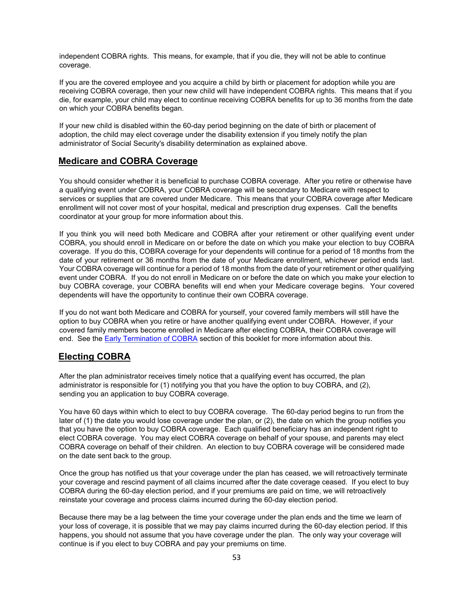independent COBRA rights. This means, for example, that if you die, they will not be able to continue coverage.

If you are the covered employee and you acquire a child by birth or placement for adoption while you are receiving COBRA coverage, then your new child will have independent COBRA rights. This means that if you die, for example, your child may elect to continue receiving COBRA benefits for up to 36 months from the date on which your COBRA benefits began.

If your new child is disabled within the 60-day period beginning on the date of birth or placement of adoption, the child may elect coverage under the disability extension if you timely notify the plan administrator of Social Security's disability determination as explained above.

### <span id="page-57-0"></span>**Medicare and COBRA Coverage**

You should consider whether it is beneficial to purchase COBRA coverage. After you retire or otherwise have a qualifying event under COBRA, your COBRA coverage will be secondary to Medicare with respect to services or supplies that are covered under Medicare. This means that your COBRA coverage after Medicare enrollment will not cover most of your hospital, medical and prescription drug expenses. Call the benefits coordinator at your group for more information about this.

If you think you will need both Medicare and COBRA after your retirement or other qualifying event under COBRA, you should enroll in Medicare on or before the date on which you make your election to buy COBRA coverage. If you do this, COBRA coverage for your dependents will continue for a period of 18 months from the date of your retirement or 36 months from the date of your Medicare enrollment, whichever period ends last. Your COBRA coverage will continue for a period of 18 months from the date of your retirement or other qualifying event under COBRA. If you do not enroll in Medicare on or before the date on which you make your election to buy COBRA coverage, your COBRA benefits will end when your Medicare coverage begins. Your covered dependents will have the opportunity to continue their own COBRA coverage.

If you do not want both Medicare and COBRA for yourself, your covered family members will still have the option to buy COBRA when you retire or have another qualifying event under COBRA. However, if your covered family members become enrolled in Medicare after electing COBRA, their COBRA coverage will end. See the [Early Termination of](#page-58-1) COBRA section of this booklet for more information about this.

### <span id="page-57-1"></span>**Electing COBRA**

After the plan administrator receives timely notice that a qualifying event has occurred, the plan administrator is responsible for (1) notifying you that you have the option to buy COBRA, and (2), sending you an application to buy COBRA coverage.

You have 60 days within which to elect to buy COBRA coverage. The 60-day period begins to run from the later of (1) the date you would lose coverage under the plan, or (2), the date on which the group notifies you that you have the option to buy COBRA coverage. Each qualified beneficiary has an independent right to elect COBRA coverage. You may elect COBRA coverage on behalf of your spouse, and parents may elect COBRA coverage on behalf of their children. An election to buy COBRA coverage will be considered made on the date sent back to the group.

Once the group has notified us that your coverage under the plan has ceased, we will retroactively terminate your coverage and rescind payment of all claims incurred after the date coverage ceased. If you elect to buy COBRA during the 60-day election period, and if your premiums are paid on time, we will retroactively reinstate your coverage and process claims incurred during the 60-day election period.

Because there may be a lag between the time your coverage under the plan ends and the time we learn of your loss of coverage, it is possible that we may pay claims incurred during the 60-day election period. If this happens, you should not assume that you have coverage under the plan. The only way your coverage will continue is if you elect to buy COBRA and pay your premiums on time.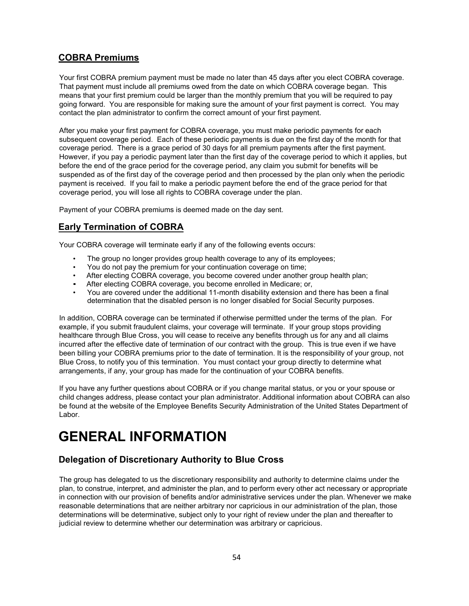## <span id="page-58-0"></span>**COBRA Premiums**

Your first COBRA premium payment must be made no later than 45 days after you elect COBRA coverage. That payment must include all premiums owed from the date on which COBRA coverage began. This means that your first premium could be larger than the monthly premium that you will be required to pay going forward. You are responsible for making sure the amount of your first payment is correct. You may contact the plan administrator to confirm the correct amount of your first payment.

After you make your first payment for COBRA coverage, you must make periodic payments for each subsequent coverage period. Each of these periodic payments is due on the first day of the month for that coverage period. There is a grace period of 30 days for all premium payments after the first payment. However, if you pay a periodic payment later than the first day of the coverage period to which it applies, but before the end of the grace period for the coverage period, any claim you submit for benefits will be suspended as of the first day of the coverage period and then processed by the plan only when the periodic payment is received. If you fail to make a periodic payment before the end of the grace period for that coverage period, you will lose all rights to COBRA coverage under the plan.

Payment of your COBRA premiums is deemed made on the day sent.

## <span id="page-58-1"></span>**Early Termination of COBRA**

Your COBRA coverage will terminate early if any of the following events occurs:

- The group no longer provides group health coverage to any of its employees;
- You do not pay the premium for your continuation coverage on time;
- After electing COBRA coverage, you become covered under another group health plan;
- After electing COBRA coverage, you become enrolled in Medicare; or,
- You are covered under the additional 11-month disability extension and there has been a final determination that the disabled person is no longer disabled for Social Security purposes.

In addition, COBRA coverage can be terminated if otherwise permitted under the terms of the plan. For example, if you submit fraudulent claims, your coverage will terminate. If your group stops providing healthcare through Blue Cross, you will cease to receive any benefits through us for any and all claims incurred after the effective date of termination of our contract with the group. This is true even if we have been billing your COBRA premiums prior to the date of termination. It is the responsibility of your group, not Blue Cross, to notify you of this termination. You must contact your group directly to determine what arrangements, if any, your group has made for the continuation of your COBRA benefits.

If you have any further questions about COBRA or if you change marital status, or you or your spouse or child changes address, please contact your plan administrator. Additional information about COBRA can also be found at the website of the Employee Benefits Security Administration of the United States Department of Labor.

# <span id="page-58-2"></span>**GENERAL INFORMATION**

## <span id="page-58-3"></span>**Delegation of Discretionary Authority to Blue Cross**

The group has delegated to us the discretionary responsibility and authority to determine claims under the plan, to construe, interpret, and administer the plan, and to perform every other act necessary or appropriate in connection with our provision of benefits and/or administrative services under the plan. Whenever we make reasonable determinations that are neither arbitrary nor capricious in our administration of the plan, those determinations will be determinative, subject only to your right of review under the plan and thereafter to judicial review to determine whether our determination was arbitrary or capricious.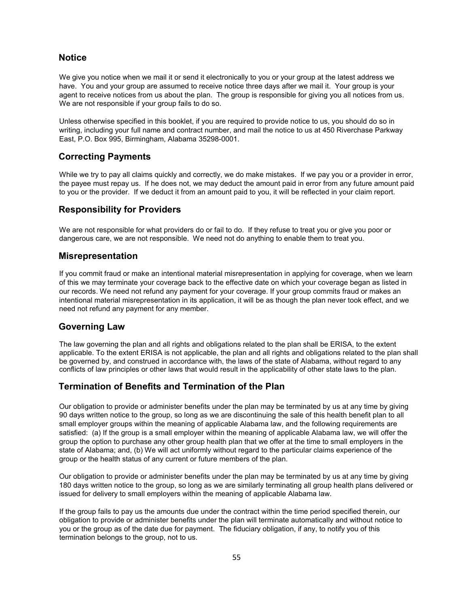## <span id="page-59-0"></span>**Notice**

We give you notice when we mail it or send it electronically to you or your group at the latest address we have. You and your group are assumed to receive notice three days after we mail it. Your group is your agent to receive notices from us about the plan. The group is responsible for giving you all notices from us. We are not responsible if your group fails to do so.

Unless otherwise specified in this booklet, if you are required to provide notice to us, you should do so in writing, including your full name and contract number, and mail the notice to us at 450 Riverchase Parkway East, P.O. Box 995, Birmingham, Alabama 35298-0001.

## <span id="page-59-1"></span>**Correcting Payments**

While we try to pay all claims quickly and correctly, we do make mistakes. If we pay you or a provider in error, the payee must repay us. If he does not, we may deduct the amount paid in error from any future amount paid to you or the provider. If we deduct it from an amount paid to you, it will be reflected in your claim report.

## <span id="page-59-2"></span>**Responsibility for Providers**

We are not responsible for what providers do or fail to do. If they refuse to treat you or give you poor or dangerous care, we are not responsible. We need not do anything to enable them to treat you.

## <span id="page-59-3"></span>**Misrepresentation**

If you commit fraud or make an intentional material misrepresentation in applying for coverage, when we learn of this we may terminate your coverage back to the effective date on which your coverage began as listed in our records. We need not refund any payment for your coverage. If your group commits fraud or makes an intentional material misrepresentation in its application, it will be as though the plan never took effect, and we need not refund any payment for any member.

## <span id="page-59-4"></span>**Governing Law**

The law governing the plan and all rights and obligations related to the plan shall be ERISA, to the extent applicable. To the extent ERISA is not applicable, the plan and all rights and obligations related to the plan shall be governed by, and construed in accordance with, the laws of the state of Alabama, without regard to any conflicts of law principles or other laws that would result in the applicability of other state laws to the plan.

## <span id="page-59-5"></span>**Termination of Benefits and Termination of the Plan**

Our obligation to provide or administer benefits under the plan may be terminated by us at any time by giving 90 days written notice to the group, so long as we are discontinuing the sale of this health benefit plan to all small employer groups within the meaning of applicable Alabama law, and the following requirements are satisfied: (a) If the group is a small employer within the meaning of applicable Alabama law, we will offer the group the option to purchase any other group health plan that we offer at the time to small employers in the state of Alabama; and, (b) We will act uniformly without regard to the particular claims experience of the group or the health status of any current or future members of the plan.

Our obligation to provide or administer benefits under the plan may be terminated by us at any time by giving 180 days written notice to the group, so long as we are similarly terminating all group health plans delivered or issued for delivery to small employers within the meaning of applicable Alabama law.

If the group fails to pay us the amounts due under the contract within the time period specified therein, our obligation to provide or administer benefits under the plan will terminate automatically and without notice to you or the group as of the date due for payment. The fiduciary obligation, if any, to notify you of this termination belongs to the group, not to us.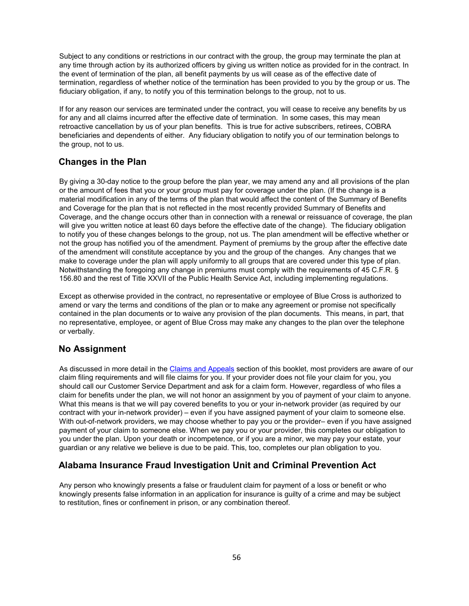Subject to any conditions or restrictions in our contract with the group, the group may terminate the plan at any time through action by its authorized officers by giving us written notice as provided for in the contract. In the event of termination of the plan, all benefit payments by us will cease as of the effective date of termination, regardless of whether notice of the termination has been provided to you by the group or us. The fiduciary obligation, if any, to notify you of this termination belongs to the group, not to us.

If for any reason our services are terminated under the contract, you will cease to receive any benefits by us for any and all claims incurred after the effective date of termination. In some cases, this may mean retroactive cancellation by us of your plan benefits. This is true for active subscribers, retirees, COBRA beneficiaries and dependents of either. Any fiduciary obligation to notify you of our termination belongs to the group, not to us.

## <span id="page-60-0"></span>**Changes in the Plan**

By giving a 30-day notice to the group before the plan year, we may amend any and all provisions of the plan or the amount of fees that you or your group must pay for coverage under the plan. (If the change is a material modification in any of the terms of the plan that would affect the content of the Summary of Benefits and Coverage for the plan that is not reflected in the most recently provided Summary of Benefits and Coverage, and the change occurs other than in connection with a renewal or reissuance of coverage, the plan will give you written notice at least 60 days before the effective date of the change). The fiduciary obligation to notify you of these changes belongs to the group, not us. The plan amendment will be effective whether or not the group has notified you of the amendment. Payment of premiums by the group after the effective date of the amendment will constitute acceptance by you and the group of the changes. Any changes that we make to coverage under the plan will apply uniformly to all groups that are covered under this type of plan. Notwithstanding the foregoing any change in premiums must comply with the requirements of 45 C.F.R. § 156.80 and the rest of Title XXVII of the Public Health Service Act, including implementing regulations.

Except as otherwise provided in the contract, no representative or employee of Blue Cross is authorized to amend or vary the terms and conditions of the plan or to make any agreement or promise not specifically contained in the plan documents or to waive any provision of the plan documents. This means, in part, that no representative, employee, or agent of Blue Cross may make any changes to the plan over the telephone or verbally.

## <span id="page-60-1"></span>**No Assignment**

As discussed in more detail in the [Claims and Appeals](#page-48-0) section of this booklet, most providers are aware of our claim filing requirements and will file claims for you. If your provider does not file your claim for you, you should call our Customer Service Department and ask for a claim form. However, regardless of who files a claim for benefits under the plan, we will not honor an assignment by you of payment of your claim to anyone. What this means is that we will pay covered benefits to you or your in-network provider (as required by our contract with your in-network provider) – even if you have assigned payment of your claim to someone else. With out-of-network providers, we may choose whether to pay you or the provider– even if you have assigned payment of your claim to someone else. When we pay you or your provider, this completes our obligation to you under the plan. Upon your death or incompetence, or if you are a minor, we may pay your estate, your guardian or any relative we believe is due to be paid. This, too, completes our plan obligation to you.

## <span id="page-60-2"></span>**Alabama Insurance Fraud Investigation Unit and Criminal Prevention Act**

Any person who knowingly presents a false or fraudulent claim for payment of a loss or benefit or who knowingly presents false information in an application for insurance is guilty of a crime and may be subject to restitution, fines or confinement in prison, or any combination thereof.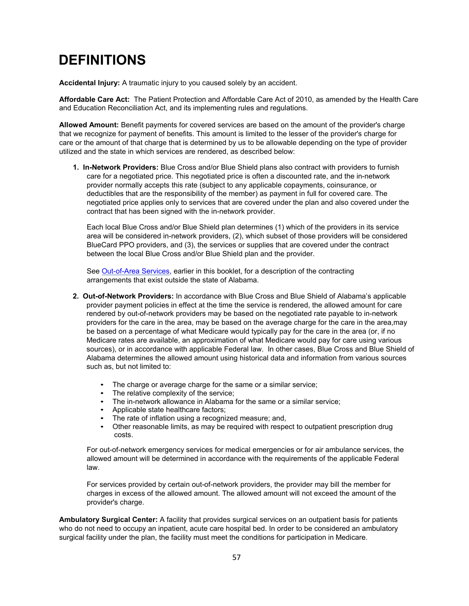# <span id="page-61-0"></span>**DEFINITIONS**

**Accidental Injury:** A traumatic injury to you caused solely by an accident.

**Affordable Care Act:** The Patient Protection and Affordable Care Act of 2010, as amended by the Health Care and Education Reconciliation Act, and its implementing rules and regulations.

**Allowed Amount:** Benefit payments for covered services are based on the amount of the provider's charge that we recognize for payment of benefits. This amount is limited to the lesser of the provider's charge for care or the amount of that charge that is determined by us to be allowable depending on the type of provider utilized and the state in which services are rendered, as described below:

**1. In-Network Providers:** Blue Cross and/or Blue Shield plans also contract with providers to furnish care for a negotiated price. This negotiated price is often a discounted rate, and the in-network provider normally accepts this rate (subject to any applicable copayments, coinsurance, or deductibles that are the responsibility of the member) as payment in full for covered care. The negotiated price applies only to services that are covered under the plan and also covered under the contract that has been signed with the in-network provider.

Each local Blue Cross and/or Blue Shield plan determines (1) which of the providers in its service area will be considered in-network providers, (2), which subset of those providers will be considered BlueCard PPO providers, and (3), the services or supplies that are covered under the contract between the local Blue Cross and/or Blue Shield plan and the provider.

See [Out-of-Area Services,](#page-16-1) earlier in this booklet, for a description of the contracting arrangements that exist outside the state of Alabama.

- **2. Out-of-Network Providers:** In accordance with Blue Cross and Blue Shield of Alabama's applicable provider payment policies in effect at the time the service is rendered, the allowed amount for care rendered by out-of-network providers may be based on the negotiated rate payable to in-network providers for the care in the area, may be based on the average charge for the care in the area,may be based on a percentage of what Medicare would typically pay for the care in the area (or, if no Medicare rates are available, an approximation of what Medicare would pay for care using various sources), or in accordance with applicable Federal law. In other cases, Blue Cross and Blue Shield of Alabama determines the allowed amount using historical data and information from various sources such as, but not limited to:
	- The charge or average charge for the same or a similar service;
	- The relative complexity of the service;
	- The in-network allowance in Alabama for the same or a similar service;
	- Applicable state healthcare factors;
	- The rate of inflation using a recognized measure; and,
	- Other reasonable limits, as may be required with respect to outpatient prescription drug costs.

For out-of-network emergency services for medical emergencies or for air ambulance services, the allowed amount will be determined in accordance with the requirements of the applicable Federal law.

For services provided by certain out-of-network providers, the provider may bill the member for charges in excess of the allowed amount. The allowed amount will not exceed the amount of the provider's charge.

**Ambulatory Surgical Center:** A facility that provides surgical services on an outpatient basis for patients who do not need to occupy an inpatient, acute care hospital bed. In order to be considered an ambulatory surgical facility under the plan, the facility must meet the conditions for participation in Medicare.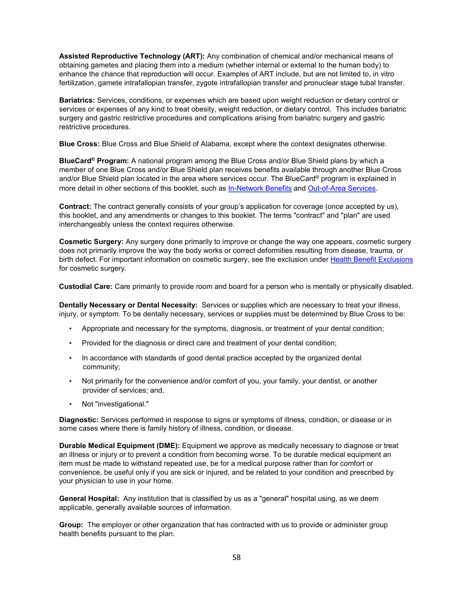**Assisted Reproductive Technology (ART):** Any combination of chemical and/or mechanical means of obtaining gametes and placing them into a medium (whether internal or external to the human body) to enhance the chance that reproduction will occur. Examples of ART include, but are not limited to, in vitro fertilization, gamete intrafallopian transfer, zygote intrafallopian transfer and pronuclear stage tubal transfer.

**Bariatrics:** Services, conditions, or expenses which are based upon weight reduction or dietary control or services or expenses of any kind to treat obesity, weight reduction, or dietary control. This includes bariatric surgery and gastric restrictive procedures and complications arising from bariatric surgery and gastric restrictive procedures.

**Blue Cross:** Blue Cross and Blue Shield of Alabama, except where the context designates otherwise.

**BlueCard® Program:** A national program among the Blue Cross and/or Blue Shield plans by which a member of one Blue Cross and/or Blue Shield plan receives benefits available through another Blue Cross and/or Blue Shield plan located in the area where services occur. The BlueCard® program is explained in more detail in other sections of this booklet, such as [In-Network Benefits](#page-7-0) and [Out-of-Area Services](#page-16-1).

**Contract:** The contract generally consists of your group's application for coverage (once accepted by us), this booklet, and any amendments or changes to this booklet. The terms "contract" and "plan" are used interchangeably unless the context requires otherwise.

**Cosmetic Surgery:** Any surgery done primarily to improve or change the way one appears, cosmetic surgery does not primarily improve the way the body works or correct deformities resulting from disease, trauma, or birth defect. For important information on cosmetic surgery, see the exclusion under Health [Benefit Exclusions](#page-42-2) for cosmetic surgery.

**Custodial Care:** Care primarily to provide room and board for a person who is mentally or physically disabled.

**Dentally Necessary or Dental Necessity:** Services or supplies which are necessary to treat your illness, injury, or symptom. To be dentally necessary, services or supplies must be determined by Blue Cross to be:

- Appropriate and necessary for the symptoms, diagnosis, or treatment of your dental condition;
- Provided for the diagnosis or direct care and treatment of your dental condition;
- In accordance with standards of good dental practice accepted by the organized dental community;
- Not primarily for the convenience and/or comfort of you, your family, your dentist, or another provider of services; and,
- Not "investigational."

**Diagnostic:** Services performed in response to signs or symptoms of illness, condition, or disease or in some cases where there is family history of illness, condition, or disease.

**Durable Medical Equipment (DME):** Equipment we approve as medically necessary to diagnose or treat an illness or injury or to prevent a condition from becoming worse. To be durable medical equipment an item must be made to withstand repeated use, be for a medical purpose rather than for comfort or convenience, be useful only if you are sick or injured, and be related to your condition and prescribed by your physician to use in your home.

**General Hospital:** Any institution that is classified by us as a "general" hospital using, as we deem applicable, generally available sources of information.

**Group:** The employer or other organization that has contracted with us to provide or administer group health benefits pursuant to the plan.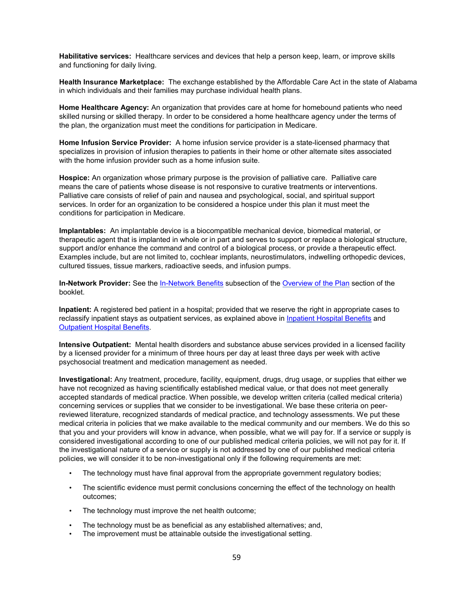**Habilitative services:** Healthcare services and devices that help a person keep, learn, or improve skills and functioning for daily living.

**Health Insurance Marketplace:** The exchange established by the Affordable Care Act in the state of Alabama in which individuals and their families may purchase individual health plans.

**Home Healthcare Agency:** An organization that provides care at home for homebound patients who need skilled nursing or skilled therapy. In order to be considered a home healthcare agency under the terms of the plan, the organization must meet the conditions for participation in Medicare.

**Home Infusion Service Provider:** A home infusion service provider is a state-licensed pharmacy that specializes in provision of infusion therapies to patients in their home or other alternate sites associated with the home infusion provider such as a home infusion suite.

**Hospice:** An organization whose primary purpose is the provision of palliative care. Palliative care means the care of patients whose disease is not responsive to curative treatments or interventions. Palliative care consists of relief of pain and nausea and psychological, social, and spiritual support services. In order for an organization to be considered a hospice under this plan it must meet the conditions for participation in Medicare.

**Implantables:** An implantable device is a biocompatible mechanical device, biomedical material, or therapeutic agent that is implanted in whole or in part and serves to support or replace a biological structure, support and/or enhance the command and control of a biological process, or provide a therapeutic effect. Examples include, but are not limited to, cochlear implants, neurostimulators, indwelling orthopedic devices, cultured tissues, tissue markers, radioactive seeds, and infusion pumps.

**In-Network Provider:** See the [In-Network Benefits](#page-7-0) subsection of the [Overview of the Plan](#page-4-0) section of the booklet.

**Inpatient:** A registered bed patient in a hospital; provided that we reserve the right in appropriate cases to reclassify inpatient stays as outpatient services, as explained above in [Inpatient Hospital Benefits](#page-21-1) and [Outpatient Hospital Benefits.](#page-23-0)

**Intensive Outpatient:** Mental health disorders and substance abuse services provided in a licensed facility by a licensed provider for a minimum of three hours per day at least three days per week with active psychosocial treatment and medication management as needed.

**Investigational:** Any treatment, procedure, facility, equipment, drugs, drug usage, or supplies that either we have not recognized as having scientifically established medical value, or that does not meet generally accepted standards of medical practice. When possible, we develop written criteria (called medical criteria) concerning services or supplies that we consider to be investigational. We base these criteria on peerreviewed literature, recognized standards of medical practice, and technology assessments. We put these medical criteria in policies that we make available to the medical community and our members. We do this so that you and your providers will know in advance, when possible, what we will pay for. If a service or supply is considered investigational according to one of our published medical criteria policies, we will not pay for it. If the investigational nature of a service or supply is not addressed by one of our published medical criteria policies, we will consider it to be non-investigational only if the following requirements are met:

- The technology must have final approval from the appropriate government regulatory bodies;
- The scientific evidence must permit conclusions concerning the effect of the technology on health outcomes;
- The technology must improve the net health outcome;
- The technology must be as beneficial as any established alternatives; and,
- The improvement must be attainable outside the investigational setting.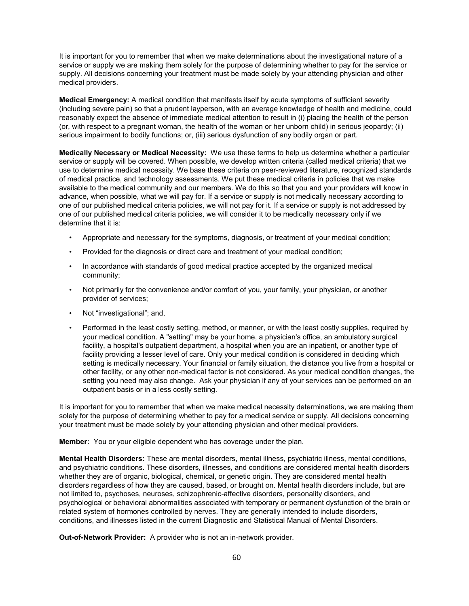It is important for you to remember that when we make determinations about the investigational nature of a service or supply we are making them solely for the purpose of determining whether to pay for the service or supply. All decisions concerning your treatment must be made solely by your attending physician and other medical providers.

**Medical Emergency:** A medical condition that manifests itself by acute symptoms of sufficient severity (including severe pain) so that a prudent layperson, with an average knowledge of health and medicine, could reasonably expect the absence of immediate medical attention to result in (i) placing the health of the person (or, with respect to a pregnant woman, the health of the woman or her unborn child) in serious jeopardy; (ii) serious impairment to bodily functions; or, (iii) serious dysfunction of any bodily organ or part.

**Medically Necessary or Medical Necessity:** We use these terms to help us determine whether a particular service or supply will be covered. When possible, we develop written criteria (called medical criteria) that we use to determine medical necessity. We base these criteria on peer-reviewed literature, recognized standards of medical practice, and technology assessments. We put these medical criteria in policies that we make available to the medical community and our members. We do this so that you and your providers will know in advance, when possible, what we will pay for. If a service or supply is not medically necessary according to one of our published medical criteria policies, we will not pay for it. If a service or supply is not addressed by one of our published medical criteria policies, we will consider it to be medically necessary only if we determine that it is:

- Appropriate and necessary for the symptoms, diagnosis, or treatment of your medical condition;
- Provided for the diagnosis or direct care and treatment of your medical condition;
- In accordance with standards of good medical practice accepted by the organized medical community;
- Not primarily for the convenience and/or comfort of you, your family, your physician, or another provider of services;
- Not "investigational"; and,
- Performed in the least costly setting, method, or manner, or with the least costly supplies, required by your medical condition. A "setting" may be your home, a physician's office, an ambulatory surgical facility, a hospital's outpatient department, a hospital when you are an inpatient, or another type of facility providing a lesser level of care. Only your medical condition is considered in deciding which setting is medically necessary. Your financial or family situation, the distance you live from a hospital or other facility, or any other non-medical factor is not considered. As your medical condition changes, the setting you need may also change. Ask your physician if any of your services can be performed on an outpatient basis or in a less costly setting.

It is important for you to remember that when we make medical necessity determinations, we are making them solely for the purpose of determining whether to pay for a medical service or supply. All decisions concerning your treatment must be made solely by your attending physician and other medical providers.

**Member:** You or your eligible dependent who has coverage under the plan.

**Mental Health Disorders:** These are mental disorders, mental illness, psychiatric illness, mental conditions, and psychiatric conditions. These disorders, illnesses, and conditions are considered mental health disorders whether they are of organic, biological, chemical, or genetic origin. They are considered mental health disorders regardless of how they are caused, based, or brought on. Mental health disorders include, but are not limited to, psychoses, neuroses, schizophrenic-affective disorders, personality disorders, and psychological or behavioral abnormalities associated with temporary or permanent dysfunction of the brain or related system of hormones controlled by nerves. They are generally intended to include disorders, conditions, and illnesses listed in the current Diagnostic and Statistical Manual of Mental Disorders.

**Out-of-Network Provider:** A provider who is not an in-network provider.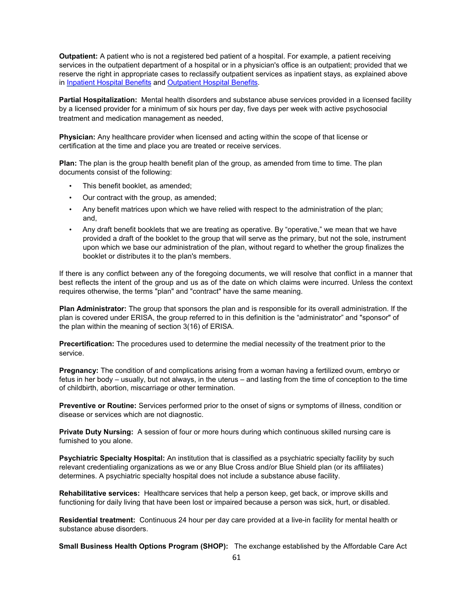**Outpatient:** A patient who is not a registered bed patient of a hospital. For example, a patient receiving services in the outpatient department of a hospital or in a physician's office is an outpatient; provided that we reserve the right in appropriate cases to reclassify outpatient services as inpatient stays, as explained above in [Inpatient Hospital Benefits](#page-21-1) and [Outpatient Hospital Benefits.](#page-23-0)

**Partial Hospitalization:** Mental health disorders and substance abuse services provided in a licensed facility by a licensed provider for a minimum of six hours per day, five days per week with active psychosocial treatment and medication management as needed.

**Physician:** Any healthcare provider when licensed and acting within the scope of that license or certification at the time and place you are treated or receive services.

**Plan:** The plan is the group health benefit plan of the group, as amended from time to time. The plan documents consist of the following:

- This benefit booklet, as amended;
- Our contract with the group, as amended;
- Any benefit matrices upon which we have relied with respect to the administration of the plan; and,
- Any draft benefit booklets that we are treating as operative. By "operative," we mean that we have provided a draft of the booklet to the group that will serve as the primary, but not the sole, instrument upon which we base our administration of the plan, without regard to whether the group finalizes the booklet or distributes it to the plan's members.

If there is any conflict between any of the foregoing documents, we will resolve that conflict in a manner that best reflects the intent of the group and us as of the date on which claims were incurred. Unless the context requires otherwise, the terms "plan" and "contract" have the same meaning.

**Plan Administrator:** The group that sponsors the plan and is responsible for its overall administration. If the plan is covered under ERISA, the group referred to in this definition is the "administrator" and "sponsor" of the plan within the meaning of section 3(16) of ERISA.

**Precertification:** The procedures used to determine the medial necessity of the treatment prior to the service.

**Pregnancy:** The condition of and complications arising from a woman having a fertilized ovum, embryo or fetus in her body – usually, but not always, in the uterus – and lasting from the time of conception to the time of childbirth, abortion, miscarriage or other termination.

**Preventive or Routine:** Services performed prior to the onset of signs or symptoms of illness, condition or disease or services which are not diagnostic.

**Private Duty Nursing:** A session of four or more hours during which continuous skilled nursing care is furnished to you alone.

**Psychiatric Specialty Hospital:** An institution that is classified as a psychiatric specialty facility by such relevant credentialing organizations as we or any Blue Cross and/or Blue Shield plan (or its affiliates) determines. A psychiatric specialty hospital does not include a substance abuse facility.

**Rehabilitative services:** Healthcare services that help a person keep, get back, or improve skills and functioning for daily living that have been lost or impaired because a person was sick, hurt, or disabled.

**Residential treatment:** Continuous 24 hour per day care provided at a live-in facility for mental health or substance abuse disorders.

**Small Business Health Options Program (SHOP):** The exchange established by the Affordable Care Act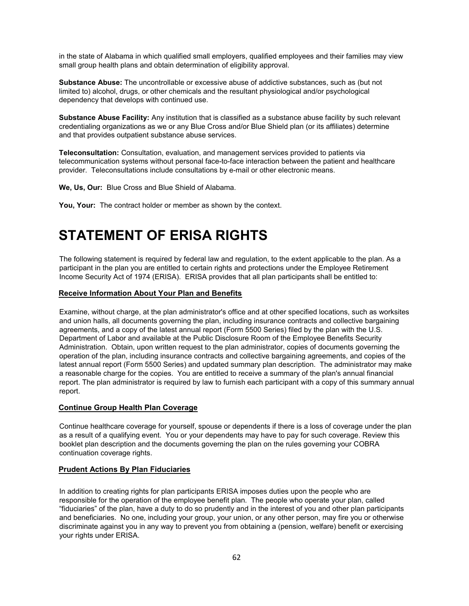in the state of Alabama in which qualified small employers, qualified employees and their families may view small group health plans and obtain determination of eligibility approval.

**Substance Abuse:** The uncontrollable or excessive abuse of addictive substances, such as (but not limited to) alcohol, drugs, or other chemicals and the resultant physiological and/or psychological dependency that develops with continued use.

**Substance Abuse Facility:** Any institution that is classified as a substance abuse facility by such relevant credentialing organizations as we or any Blue Cross and/or Blue Shield plan (or its affiliates) determine and that provides outpatient substance abuse services.

**Teleconsultation:** Consultation, evaluation, and management services provided to patients via telecommunication systems without personal face-to-face interaction between the patient and healthcare provider. Teleconsultations include consultations by e-mail or other electronic means.

**We, Us, Our:** Blue Cross and Blue Shield of Alabama.

<span id="page-66-0"></span>**You, Your:** The contract holder or member as shown by the context.

# **STATEMENT OF ERISA RIGHTS**

The following statement is required by federal law and regulation, to the extent applicable to the plan. As a participant in the plan you are entitled to certain rights and protections under the Employee Retirement Income Security Act of 1974 (ERISA). ERISA provides that all plan participants shall be entitled to:

#### <span id="page-66-1"></span>**Receive Information About Your Plan and Benefits**

Examine, without charge, at the plan administrator's office and at other specified locations, such as worksites and union halls, all documents governing the plan, including insurance contracts and collective bargaining agreements, and a copy of the latest annual report (Form 5500 Series) filed by the plan with the U.S. Department of Labor and available at the Public Disclosure Room of the Employee Benefits Security Administration. Obtain, upon written request to the plan administrator, copies of documents governing the operation of the plan, including insurance contracts and collective bargaining agreements, and copies of the latest annual report (Form 5500 Series) and updated summary plan description. The administrator may make a reasonable charge for the copies. You are entitled to receive a summary of the plan's annual financial report. The plan administrator is required by law to furnish each participant with a copy of this summary annual report.

#### <span id="page-66-2"></span>**Continue Group Health Plan Coverage**

Continue healthcare coverage for yourself, spouse or dependents if there is a loss of coverage under the plan as a result of a qualifying event. You or your dependents may have to pay for such coverage. Review this booklet plan description and the documents governing the plan on the rules governing your COBRA continuation coverage rights.

#### <span id="page-66-3"></span>**Prudent Actions By Plan Fiduciaries**

In addition to creating rights for plan participants ERISA imposes duties upon the people who are responsible for the operation of the employee benefit plan. The people who operate your plan, called "fiduciaries" of the plan, have a duty to do so prudently and in the interest of you and other plan participants and beneficiaries. No one, including your group, your union, or any other person, may fire you or otherwise discriminate against you in any way to prevent you from obtaining a (pension, welfare) benefit or exercising your rights under ERISA.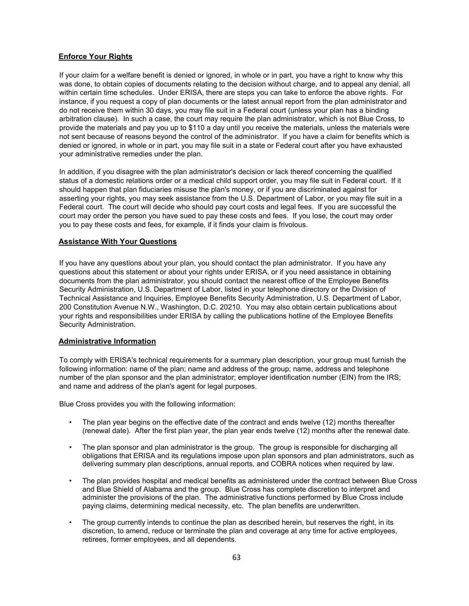#### <span id="page-67-0"></span>**Enforce Your Rights**

If your claim for a welfare benefit is denied or ignored, in whole or in part, you have a right to know why this was done, to obtain copies of documents relating to the decision without charge, and to appeal any denial, all within certain time schedules. Under ERISA, there are steps you can take to enforce the above rights. For instance, if you request a copy of plan documents or the latest annual report from the plan administrator and do not receive them within 30 days, you may file suit in a Federal court (unless your plan has a binding arbitration clause). In such a case, the court may require the plan administrator, which is not Blue Cross, to provide the materials and pay you up to \$110 a day until you receive the materials, unless the materials were not sent because of reasons beyond the control of the administrator. If you have a claim for benefits which is denied or ignored, in whole or in part, you may file suit in a state or Federal court after you have exhausted your administrative remedies under the plan.

In addition, if you disagree with the plan administrator's decision or lack thereof concerning the qualified status of a domestic relations order or a medical child support order, you may file suit in Federal court. If it should happen that plan fiduciaries misuse the plan's money, or if you are discriminated against for asserting your rights, you may seek assistance from the U.S. Department of Labor, or you may file suit in a Federal court. The court will decide who should pay court costs and legal fees. If you are successful the court may order the person you have sued to pay these costs and fees. If you lose, the court may order you to pay these costs and fees, for example, if it finds your claim is frivolous.

#### <span id="page-67-1"></span>**Assistance With Your Questions**

If you have any questions about your plan, you should contact the plan administrator. If you have any questions about this statement or about your rights under ERISA, or if you need assistance in obtaining documents from the plan administrator, you should contact the nearest office of the Employee Benefits Security Administration, U.S. Department of Labor, listed in your telephone directory or the Division of Technical Assistance and Inquiries, Employee Benefits Security Administration, U.S. Department of Labor, 200 Constitution Avenue N.W., Washington, D.C. 20210. You may also obtain certain publications about your rights and responsibilities under ERISA by calling the publications hotline of the Employee Benefits Security Administration.

#### <span id="page-67-2"></span>**Administrative Information**

To comply with ERISA's technical requirements for a summary plan description, your group must furnish the following information: name of the plan; name and address of the group; name, address and telephone number of the plan sponsor and the plan administrator; employer identification number (EIN) from the IRS; and name and address of the plan's agent for legal purposes.

Blue Cross provides you with the following information:

- The plan year begins on the effective date of the contract and ends twelve (12) months thereafter (renewal date). After the first plan year, the plan year ends twelve (12) months after the renewal date.
- The plan sponsor and plan administrator is the group. The group is responsible for discharging all obligations that ERISA and its regulations impose upon plan sponsors and plan administrators, such as delivering summary plan descriptions, annual reports, and COBRA notices when required by law.
- The plan provides hospital and medical benefits as administered under the contract between Blue Cross and Blue Shield of Alabama and the group. Blue Cross has complete discretion to interpret and administer the provisions of the plan. The administrative functions performed by Blue Cross include paying claims, determining medical necessity, etc. The plan benefits are underwritten.
- The group currently intends to continue the plan as described herein, but reserves the right, in its discretion, to amend, reduce or terminate the plan and coverage at any time for active employees, retirees, former employees, and all dependents.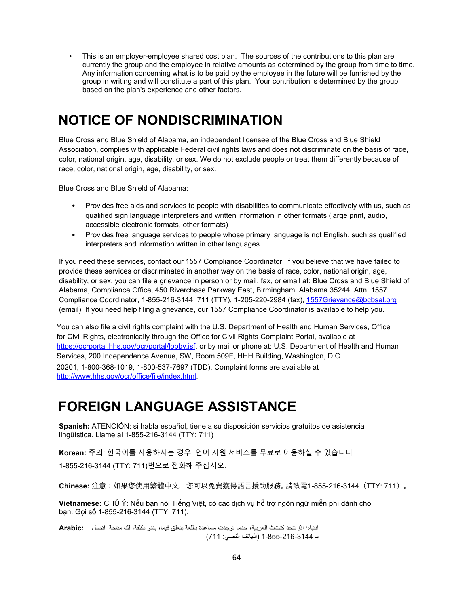This is an employer-employee shared cost plan. The sources of the contributions to this plan are currently the group and the employee in relative amounts as determined by the group from time to time. Any information concerning what is to be paid by the employee in the future will be furnished by the group in writing and will constitute a part of this plan. Your contribution is determined by the group based on the plan's experience and other factors.

# <span id="page-68-0"></span>**NOTICE OF NONDISCRIMINATION**

Blue Cross and Blue Shield of Alabama, an independent licensee of the Blue Cross and Blue Shield Association, complies with applicable Federal civil rights laws and does not discriminate on the basis of race, color, national origin, age, disability, or sex. We do not exclude people or treat them differently because of race, color, national origin, age, disability, or sex.

Blue Cross and Blue Shield of Alabama:

- Provides free aids and services to people with disabilities to communicate effectively with us, such as qualified sign language interpreters and written information in other formats (large print, audio, accessible electronic formats, other formats)
- Provides free language services to people whose primary language is not English, such as qualified interpreters and information written in other languages

If you need these services, contact our 1557 Compliance Coordinator. If you believe that we have failed to provide these services or discriminated in another way on the basis of race, color, national origin, age, disability, or sex, you can file a grievance in person or by mail, fax, or email at: Blue Cross and Blue Shield of Alabama, Compliance Office, 450 Riverchase Parkway East, Birmingham, Alabama 35244, Attn: 1557 Compliance Coordinator, 1-855-216-3144, 711 (TTY), 1-205-220-2984 (fax), [1557Grievance@bcbsal.org](mailto:1557Grievance@bcbsal.org) (email). If you need help filing a grievance, our 1557 Compliance Coordinator is available to help you.

You can also file a civil rights complaint with the U.S. Department of Health and Human Services, Office for Civil Rights, electronically through the Office for Civil Rights Complaint Portal, available at [https://ocrportal.hhs.gov/ocr/portal/lobby.jsf,](https://ocrportal.hhs.gov/ocr/portal/lobby.jsf) or by mail or phone at: U.S. Department of Health and Human Services, 200 Independence Avenue, SW, Room 509F, HHH Building, Washington, D.C. 20201, 1-800-368-1019, 1-800-537-7697 (TDD). Complaint forms are available at [http://www.hhs.gov/ocr/office/file/index.html.](http://www.hhs.gov/ocr/office/file/index.html)

## <span id="page-68-1"></span>**FOREIGN LANGUAGE ASSISTANCE**

**Spanish:** ATENCIÓN: si habla español, tiene a su disposición servicios gratuitos de asistencia lingüística. Llame al 1-855-216-3144 (TTY: 711)

**Korean:** 주의: 한국어를 사용하시는 경우, 언어 지원 서비스를 무료로 이용하실 수 있습니다. 1-855-216-3144 (TTY: 711)번으로 전화해 주십시오.

**Chinese:** 注意:如果您使用繁體中文,您可以免費獲得語言援助服務。請致電1-855-216-3144(TTY: 711)。

**Vietnamese:** CHÚ Ý: Nếu bạn nói Tiếng Việt, có các dịch vụ hỗ trợ ngôn ngữ miễn phí dành cho bạn. Gọi số 1-855-216-3144 (TTY: 711).

انتباه: اذإ تتحد كنتث العربیة، خدما توجدت مساعدة باللغة یتعلق فیما، بدنو تكلفة، لك متاحة. اتصل **:Arabic** بـ 1-855-216-3144 (الهاتف النصي: 711).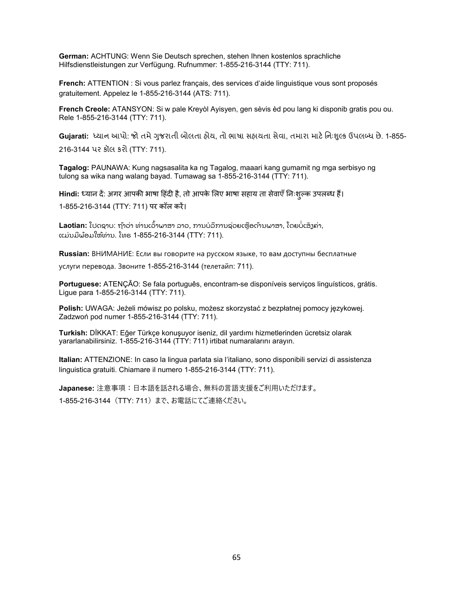**German:** ACHTUNG: Wenn Sie Deutsch sprechen, stehen Ihnen kostenlos sprachliche Hilfsdienstleistungen zur Verfügung. Rufnummer: 1-855-216-3144 (TTY: 711).

**French:** ATTENTION : Si vous parlez français, des services d'aide linguistique vous sont proposés gratuitement. Appelez le 1-855-216-3144 (ATS: 711).

**French Creole:** ATANSYON: Si w pale Kreyòl Ayisyen, gen sèvis èd pou lang ki disponib gratis pou ou. Rele 1-855-216-3144 (TTY: 711).

**Gujarati**: ધ્યાન આપો: જો તમે ગુજરાતી બોલતા હોય, તો ભાષા સહાયતા સેવા, તમારા માટે નિઃશુલ્ક ઉપલબ્ધ છે. 1-855-216-3144 પર કૉલ કરો (TTY: 711).

**Tagalog:** PAUNAWA: Kung nagsasalita ka ng Tagalog, maaari kang gumamit ng mga serbisyo ng tulong sa wika nang walang bayad. Tumawag sa 1-855-216-3144 (TTY: 711).

**Hindi:** ध्यान दे: अगर आपकी भाषा हिंदी है, तो आपके लिए भाषा सहाय ता सेवाएँ निःशुल्क उपलब्ध है। 1-855-216-3144 (TTY: 711) पर कॉल करें।

**Laotian:** ໂປດຊາບ: ຖ້າວ່າ ທ່ານເວົ້າພາສາ ລາວ, ການບໍລິການຊ່ວຍເຫຼືອດ້ານພາສາ, ໂດຍບໍ່ເສັງຄ່າ, ແມ່ນມີພ້ອມໃຫ້ທ່ານ. ໂທຣ 1-855-216-3144 (TTY: 711).

**Russian:** ВНИМАНИЕ: Если вы говорите на русском языке, то вам доступны бесплатные

услуги перевода. Звоните 1-855-216-3144 (телетайп: 711).

**Portuguese:** ATENÇÃO: Se fala português, encontram-se disponíveis serviços linguísticos, grátis. Ligue para 1-855-216-3144 (TTY: 711).

**Polish:** UWAGA: Jeżeli mówisz po polsku, możesz skorzystać z bezpłatnej pomocy językowej. Zadzwoń pod numer 1-855-216-3144 (TTY: 711).

**Turkish:** DİKKAT: Eğer Türkçe konuşuyor iseniz, dil yardımı hizmetlerinden ücretsiz olarak yararlanabilirsiniz. 1-855-216-3144 (TTY: 711) irtibat numaralarını arayın.

**Italian:** ATTENZIONE: In caso la lingua parlata sia l'italiano, sono disponibili servizi di assistenza linguistica gratuiti. Chiamare il numero 1-855-216-3144 (TTY: 711).

**Japanese:** 注意事項:日本語を話される場合、無料の言語支援をご利用いただけます。 1-855-216-3144(TTY: 711)まで、お電話にてご連絡ください。